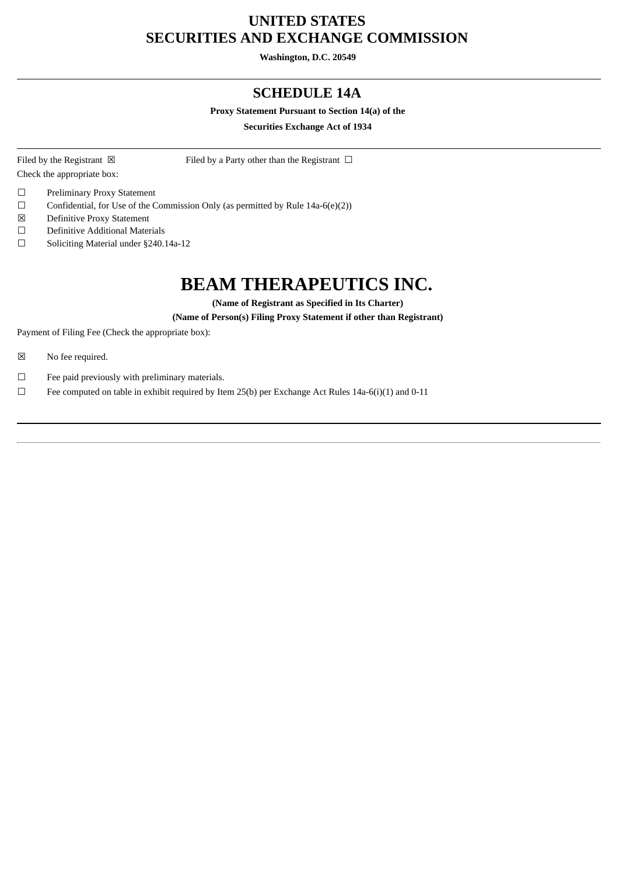## **UNITED STATES SECURITIES AND EXCHANGE COMMISSION**

**Washington, D.C. 20549**

### **SCHEDULE 14A**

#### **Proxy Statement Pursuant to Section 14(a) of the**

**Securities Exchange Act of 1934**

Check the appropriate box:

Filed by the Registrant  $\boxtimes$  Filed by a Party other than the Registrant  $\Box$ 

- ☐ Preliminary Proxy Statement
- ☐ Confidential, for Use of the Commission Only (as permitted by Rule 14a-6(e)(2))
- ☒ Definitive Proxy Statement
- ☐ Definitive Additional Materials
- ☐ Soliciting Material under §240.14a-12

# **BEAM THERAPEUTICS INC.**

**(Name of Registrant as Specified in Its Charter)**

#### **(Name of Person(s) Filing Proxy Statement if other than Registrant)**

Payment of Filing Fee (Check the appropriate box):

- ☒ No fee required.
- $\Box$  Fee paid previously with preliminary materials.
- ☐ Fee computed on table in exhibit required by Item 25(b) per Exchange Act Rules 14a-6(i)(1) and 0-11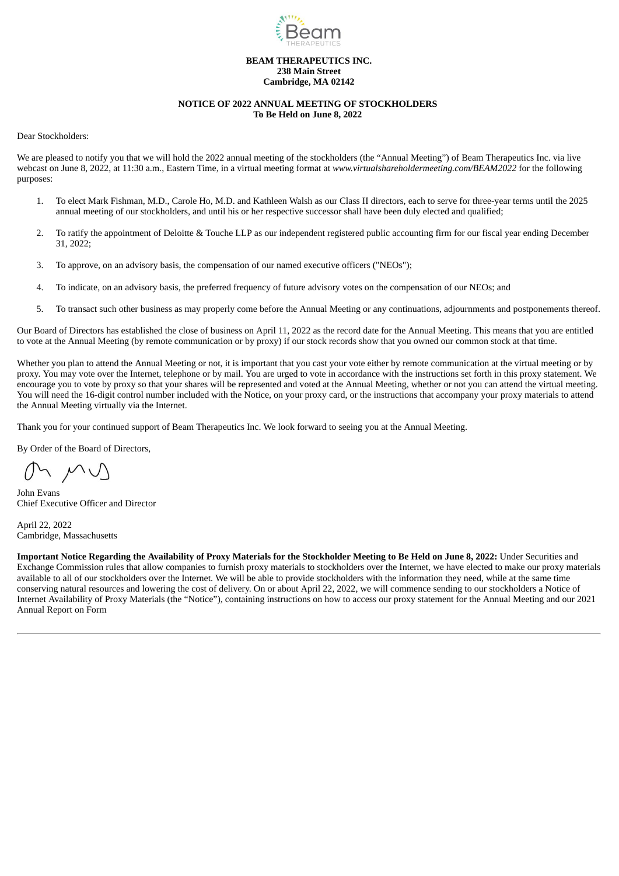

#### **BEAM THERAPEUTICS INC. 238 Main Street Cambridge, MA 02142**

#### **NOTICE OF 2022 ANNUAL MEETING OF STOCKHOLDERS To Be Held on June 8, 2022**

<span id="page-1-0"></span>Dear Stockholders:

We are pleased to notify you that we will hold the 2022 annual meeting of the stockholders (the "Annual Meeting") of Beam Therapeutics Inc. via live webcast on June 8, 2022, at 11:30 a.m., Eastern Time, in a virtual meeting format at *www.virtualshareholdermeeting.com/BEAM2022* for the following purposes:

- 1. To elect Mark Fishman, M.D., Carole Ho, M.D. and Kathleen Walsh as our Class II directors, each to serve for three-year terms until the 2025 annual meeting of our stockholders, and until his or her respective successor shall have been duly elected and qualified;
- 2. To ratify the appointment of Deloitte & Touche LLP as our independent registered public accounting firm for our fiscal year ending December 31, 2022;
- 3. To approve, on an advisory basis, the compensation of our named executive officers ("NEOs");
- 4. To indicate, on an advisory basis, the preferred frequency of future advisory votes on the compensation of our NEOs; and
- 5. To transact such other business as may properly come before the Annual Meeting or any continuations, adjournments and postponements thereof.

Our Board of Directors has established the close of business on April 11, 2022 as the record date for the Annual Meeting. This means that you are entitled to vote at the Annual Meeting (by remote communication or by proxy) if our stock records show that you owned our common stock at that time.

Whether you plan to attend the Annual Meeting or not, it is important that you cast your yote either by remote communication at the virtual meeting or by proxy. You may vote over the Internet, telephone or by mail. You are urged to vote in accordance with the instructions set forth in this proxy statement. We encourage you to vote by proxy so that your shares will be represented and voted at the Annual Meeting, whether or not you can attend the virtual meeting. You will need the 16-digit control number included with the Notice, on your proxy card, or the instructions that accompany your proxy materials to attend the Annual Meeting virtually via the Internet.

Thank you for your continued support of Beam Therapeutics Inc. We look forward to seeing you at the Annual Meeting.

By Order of the Board of Directors,

John Evans Chief Executive Officer and Director

April 22, 2022 Cambridge, Massachusetts

Important Notice Regarding the Availability of Proxy Materials for the Stockholder Meeting to Be Held on June 8, 2022: Under Securities and Exchange Commission rules that allow companies to furnish proxy materials to stockholders over the Internet, we have elected to make our proxy materials available to all of our stockholders over the Internet. We will be able to provide stockholders with the information they need, while at the same time conserving natural resources and lowering the cost of delivery. On or about April 22, 2022, we will commence sending to our stockholders a Notice of Internet Availability of Proxy Materials (the "Notice"), containing instructions on how to access our proxy statement for the Annual Meeting and our 2021 Annual Report on Form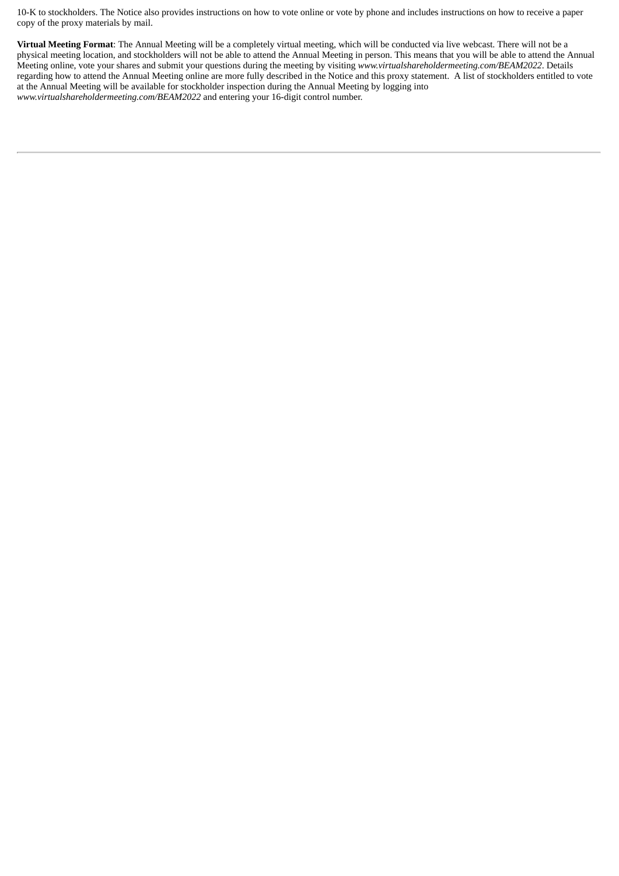10-K to stockholders. The Notice also provides instructions on how to vote online or vote by phone and includes instructions on how to receive a paper copy of the proxy materials by mail.

**Virtual Meeting Format**: The Annual Meeting will be a completely virtual meeting, which will be conducted via live webcast. There will not be a physical meeting location, and stockholders will not be able to attend the Annual Meeting in person. This means that you will be able to attend the Annual Meeting online, vote your shares and submit your questions during the meeting by visiting *www.virtualshareholdermeeting.com/BEAM2022*. Details regarding how to attend the Annual Meeting online are more fully described in the Notice and this proxy statement. A list of stockholders entitled to vote at the Annual Meeting will be available for stockholder inspection during the Annual Meeting by logging into *www.virtualshareholdermeeting.com/BEAM2022* and entering your 16-digit control number.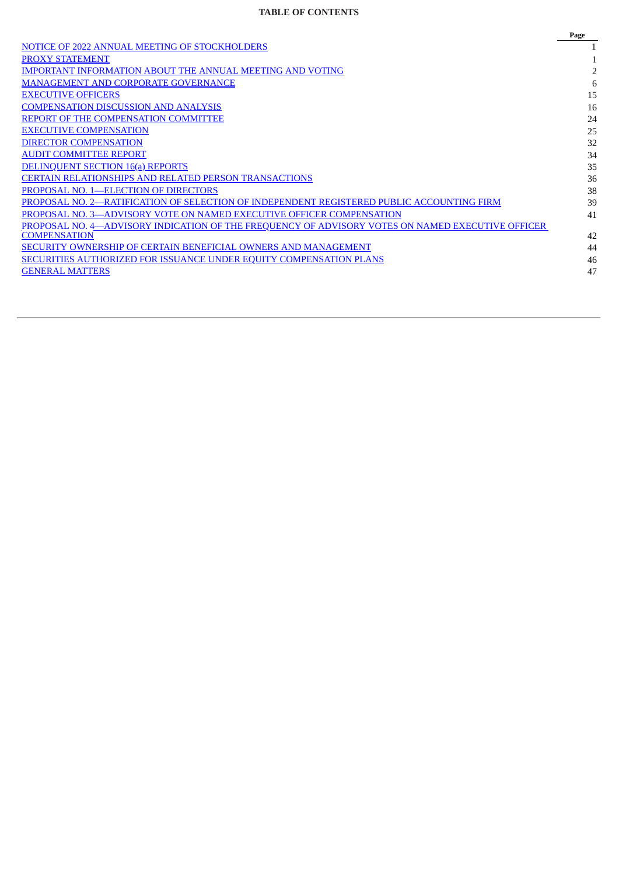### **TABLE OF CONTENTS**

|                                                                                                  | Page |
|--------------------------------------------------------------------------------------------------|------|
| NOTICE OF 2022 ANNUAL MEETING OF STOCKHOLDERS                                                    |      |
| <b>PROXY STATEMENT</b>                                                                           |      |
| <b>IMPORTANT INFORMATION ABOUT THE ANNUAL MEETING AND VOTING</b>                                 |      |
| <b>MANAGEMENT AND CORPORATE GOVERNANCE</b>                                                       | 6    |
| <b>EXECUTIVE OFFICERS</b>                                                                        | 15   |
| <b>COMPENSATION DISCUSSION AND ANALYSIS</b>                                                      | 16   |
| REPORT OF THE COMPENSATION COMMITTEE                                                             | 24   |
| <b>EXECUTIVE COMPENSATION</b>                                                                    | 25   |
| <b>DIRECTOR COMPENSATION</b>                                                                     | 32   |
| <b>AUDIT COMMITTEE REPORT</b>                                                                    | 34   |
| <b>DELINQUENT SECTION 16(a) REPORTS</b>                                                          | 35   |
| <b>CERTAIN RELATIONSHIPS AND RELATED PERSON TRANSACTIONS</b>                                     | 36   |
| PROPOSAL NO. 1-ELECTION OF DIRECTORS                                                             | 38   |
| PROPOSAL NO. 2—RATIFICATION OF SELECTION OF INDEPENDENT REGISTERED PUBLIC ACCOUNTING FIRM        | 39   |
| PROPOSAL NO. 3—ADVISORY VOTE ON NAMED EXECUTIVE OFFICER COMPENSATION                             | 41   |
| PROPOSAL NO. 4—ADVISORY INDICATION OF THE FREQUENCY OF ADVISORY VOTES ON NAMED EXECUTIVE OFFICER |      |
| <b>COMPENSATION</b>                                                                              | 42   |
| SECURITY OWNERSHIP OF CERTAIN BENEFICIAL OWNERS AND MANAGEMENT                                   | 44   |
| SECURITIES AUTHORIZED FOR ISSUANCE UNDER EQUITY COMPENSATION PLANS                               | 46   |
| <b>GENERAL MATTERS</b>                                                                           | 47   |
|                                                                                                  |      |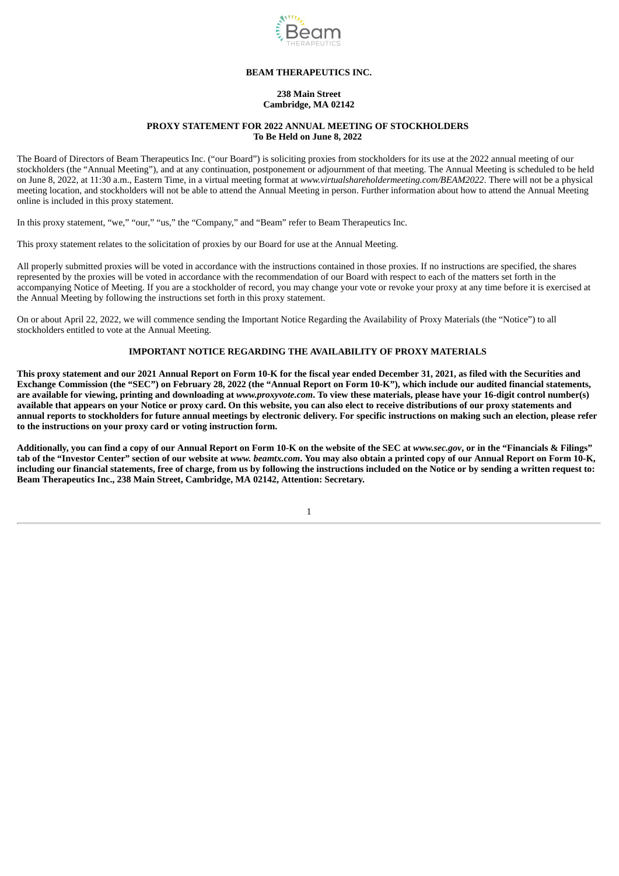

#### **BEAM THERAPEUTICS INC.**

#### **238 Main Street Cambridge, MA 02142**

#### **PROXY STATEMENT FOR 2022 ANNUAL MEETING OF STOCKHOLDERS To Be Held on June 8, 2022**

<span id="page-4-0"></span>The Board of Directors of Beam Therapeutics Inc. ("our Board") is soliciting proxies from stockholders for its use at the 2022 annual meeting of our stockholders (the "Annual Meeting"), and at any continuation, postponement or adjournment of that meeting. The Annual Meeting is scheduled to be held on June 8, 2022, at 11:30 a.m., Eastern Time, in a virtual meeting format at *www.virtualshareholdermeeting.com/BEAM2022*. There will not be a physical meeting location, and stockholders will not be able to attend the Annual Meeting in person. Further information about how to attend the Annual Meeting online is included in this proxy statement.

In this proxy statement, "we," "our," "us," the "Company," and "Beam" refer to Beam Therapeutics Inc.

This proxy statement relates to the solicitation of proxies by our Board for use at the Annual Meeting.

All properly submitted proxies will be voted in accordance with the instructions contained in those proxies. If no instructions are specified, the shares represented by the proxies will be voted in accordance with the recommendation of our Board with respect to each of the matters set forth in the accompanying Notice of Meeting. If you are a stockholder of record, you may change your vote or revoke your proxy at any time before it is exercised at the Annual Meeting by following the instructions set forth in this proxy statement.

On or about April 22, 2022, we will commence sending the Important Notice Regarding the Availability of Proxy Materials (the "Notice") to all stockholders entitled to vote at the Annual Meeting.

#### **IMPORTANT NOTICE REGARDING THE AVAILABILITY OF PROXY MATERIALS**

This proxy statement and our 2021 Annual Report on Form 10-K for the fiscal year ended December 31, 2021, as filed with the Securities and Exchange Commission (the "SEC") on February 28, 2022 (the "Annual Report on Form 10-K"), which include our audited financial statements, are available for viewing, printing and downloading at www.proxyvote.com. To view these materials, please have your 16-digit control number(s) available that appears on your Notice or proxy card. On this website, you can also elect to receive distributions of our proxy statements and annual reports to stockholders for future annual meetings by electronic delivery. For specific instructions on making such an election, please refer **to the instructions on your proxy card or voting instruction form.**

Additionally, you can find a copy of our Annual Report on Form 10-K on the website of the SEC at www.sec.gov, or in the "Financials & Filings" tab of the "Investor Center" section of our website at www. beamtx.com. You may also obtain a printed copy of our Annual Report on Form 10-K, including our financial statements, free of charge, from us by following the instructions included on the Notice or by sending a written request to: **Beam Therapeutics Inc., 238 Main Street, Cambridge, MA 02142, Attention: Secretary.**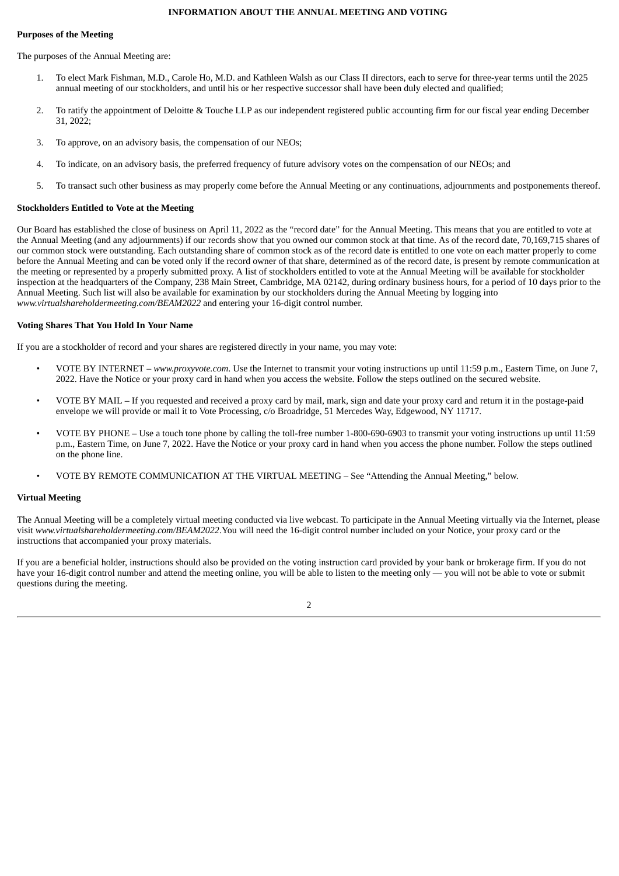#### **INFORMATION ABOUT THE ANNUAL MEETING AND VOTING**

#### <span id="page-5-0"></span>**Purposes of the Meeting**

The purposes of the Annual Meeting are:

- 1. To elect Mark Fishman, M.D., Carole Ho, M.D. and Kathleen Walsh as our Class II directors, each to serve for three-year terms until the 2025 annual meeting of our stockholders, and until his or her respective successor shall have been duly elected and qualified;
- 2. To ratify the appointment of Deloitte & Touche LLP as our independent registered public accounting firm for our fiscal year ending December 31, 2022;
- 3. To approve, on an advisory basis, the compensation of our NEOs;
- 4. To indicate, on an advisory basis, the preferred frequency of future advisory votes on the compensation of our NEOs; and
- 5. To transact such other business as may properly come before the Annual Meeting or any continuations, adjournments and postponements thereof.

#### **Stockholders Entitled to Vote at the Meeting**

Our Board has established the close of business on April 11, 2022 as the "record date" for the Annual Meeting. This means that you are entitled to vote at the Annual Meeting (and any adjournments) if our records show that you owned our common stock at that time. As of the record date, 70,169,715 shares of our common stock were outstanding. Each outstanding share of common stock as of the record date is entitled to one vote on each matter properly to come before the Annual Meeting and can be voted only if the record owner of that share, determined as of the record date, is present by remote communication at the meeting or represented by a properly submitted proxy. A list of stockholders entitled to vote at the Annual Meeting will be available for stockholder inspection at the headquarters of the Company, 238 Main Street, Cambridge, MA 02142, during ordinary business hours, for a period of 10 days prior to the Annual Meeting. Such list will also be available for examination by our stockholders during the Annual Meeting by logging into *www.virtualshareholdermeeting.com/BEAM2022* and entering your 16-digit control number.

#### **Voting Shares That You Hold In Your Name**

If you are a stockholder of record and your shares are registered directly in your name, you may vote:

- VOTE BY INTERNET *www.proxyvote.com*. Use the Internet to transmit your voting instructions up until 11:59 p.m., Eastern Time, on June 7, 2022. Have the Notice or your proxy card in hand when you access the website. Follow the steps outlined on the secured website.
- VOTE BY MAIL If you requested and received a proxy card by mail, mark, sign and date your proxy card and return it in the postage-paid envelope we will provide or mail it to Vote Processing, c/o Broadridge, 51 Mercedes Way, Edgewood, NY 11717.
- VOTE BY PHONE Use a touch tone phone by calling the toll-free number 1-800-690-6903 to transmit your voting instructions up until 11:59 p.m., Eastern Time, on June 7, 2022. Have the Notice or your proxy card in hand when you access the phone number. Follow the steps outlined on the phone line.
- VOTE BY REMOTE COMMUNICATION AT THE VIRTUAL MEETING See "Attending the Annual Meeting," below.

#### **Virtual Meeting**

The Annual Meeting will be a completely virtual meeting conducted via live webcast. To participate in the Annual Meeting virtually via the Internet, please visit *www.virtualshareholdermeeting.com/BEAM2022*.You will need the 16-digit control number included on your Notice, your proxy card or the instructions that accompanied your proxy materials.

If you are a beneficial holder, instructions should also be provided on the voting instruction card provided by your bank or brokerage firm. If you do not have your 16-digit control number and attend the meeting online, you will be able to listen to the meeting only — you will not be able to vote or submit questions during the meeting.

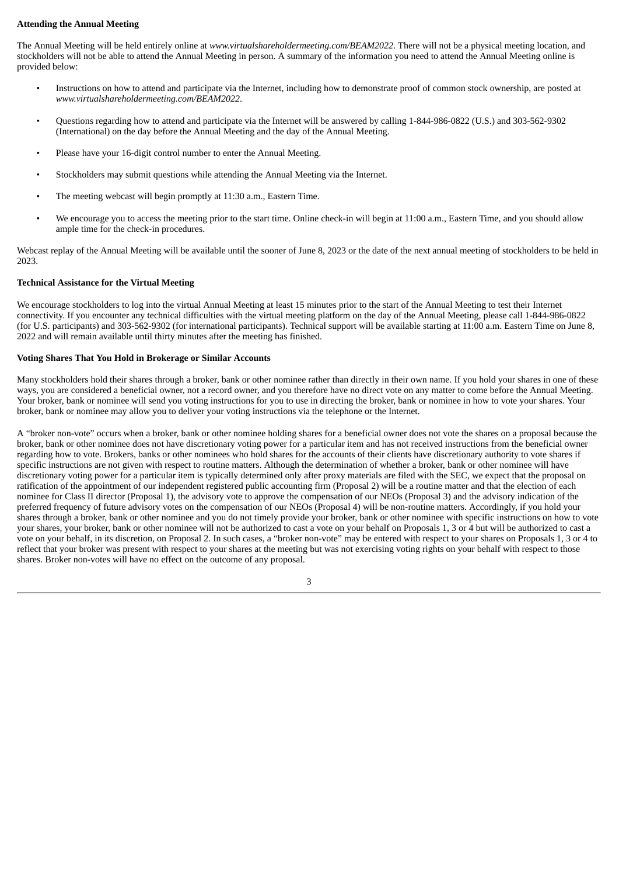#### **Attending the Annual Meeting**

The Annual Meeting will be held entirely online at *www.virtualshareholdermeeting.com/BEAM2022*. There will not be a physical meeting location, and stockholders will not be able to attend the Annual Meeting in person. A summary of the information you need to attend the Annual Meeting online is provided below:

- Instructions on how to attend and participate via the Internet, including how to demonstrate proof of common stock ownership, are posted at *www.virtualshareholdermeeting.com/BEAM2022*.
- Questions regarding how to attend and participate via the Internet will be answered by calling 1-844-986-0822 (U.S.) and 303-562-9302 (International) on the day before the Annual Meeting and the day of the Annual Meeting.
- Please have your 16-digit control number to enter the Annual Meeting.
- Stockholders may submit questions while attending the Annual Meeting via the Internet.
- The meeting webcast will begin promptly at 11:30 a.m., Eastern Time.
- We encourage you to access the meeting prior to the start time. Online check-in will begin at 11:00 a.m., Eastern Time, and you should allow ample time for the check-in procedures.

Webcast replay of the Annual Meeting will be available until the sooner of June 8, 2023 or the date of the next annual meeting of stockholders to be held in 2023.

#### **Technical Assistance for the Virtual Meeting**

We encourage stockholders to log into the virtual Annual Meeting at least 15 minutes prior to the start of the Annual Meeting to test their Internet connectivity. If you encounter any technical difficulties with the virtual meeting platform on the day of the Annual Meeting, please call 1-844-986-0822 (for U.S. participants) and 303-562-9302 (for international participants). Technical support will be available starting at 11:00 a.m. Eastern Time on June 8, 2022 and will remain available until thirty minutes after the meeting has finished.

#### **Voting Shares That You Hold in Brokerage or Similar Accounts**

Many stockholders hold their shares through a broker, bank or other nominee rather than directly in their own name. If you hold your shares in one of these ways, you are considered a beneficial owner, not a record owner, and you therefore have no direct vote on any matter to come before the Annual Meeting. Your broker, bank or nominee will send you voting instructions for you to use in directing the broker, bank or nominee in how to vote your shares. Your broker, bank or nominee may allow you to deliver your voting instructions via the telephone or the Internet.

A "broker non-vote" occurs when a broker, bank or other nominee holding shares for a beneficial owner does not vote the shares on a proposal because the broker, bank or other nominee does not have discretionary voting power for a particular item and has not received instructions from the beneficial owner regarding how to vote. Brokers, banks or other nominees who hold shares for the accounts of their clients have discretionary authority to vote shares if specific instructions are not given with respect to routine matters. Although the determination of whether a broker, bank or other nominee will have discretionary voting power for a particular item is typically determined only after proxy materials are filed with the SEC, we expect that the proposal on ratification of the appointment of our independent registered public accounting firm (Proposal 2) will be a routine matter and that the election of each nominee for Class II director (Proposal 1), the advisory vote to approve the compensation of our NEOs (Proposal 3) and the advisory indication of the preferred frequency of future advisory votes on the compensation of our NEOs (Proposal 4) will be non-routine matters. Accordingly, if you hold your shares through a broker, bank or other nominee and you do not timely provide your broker, bank or other nominee with specific instructions on how to vote your shares, your broker, bank or other nominee will not be authorized to cast a vote on your behalf on Proposals 1, 3 or 4 but will be authorized to cast a vote on your behalf, in its discretion, on Proposal 2. In such cases, a "broker non-vote" may be entered with respect to your shares on Proposals 1, 3 or 4 to reflect that your broker was present with respect to your shares at the meeting but was not exercising voting rights on your behalf with respect to those shares. Broker non-votes will have no effect on the outcome of any proposal.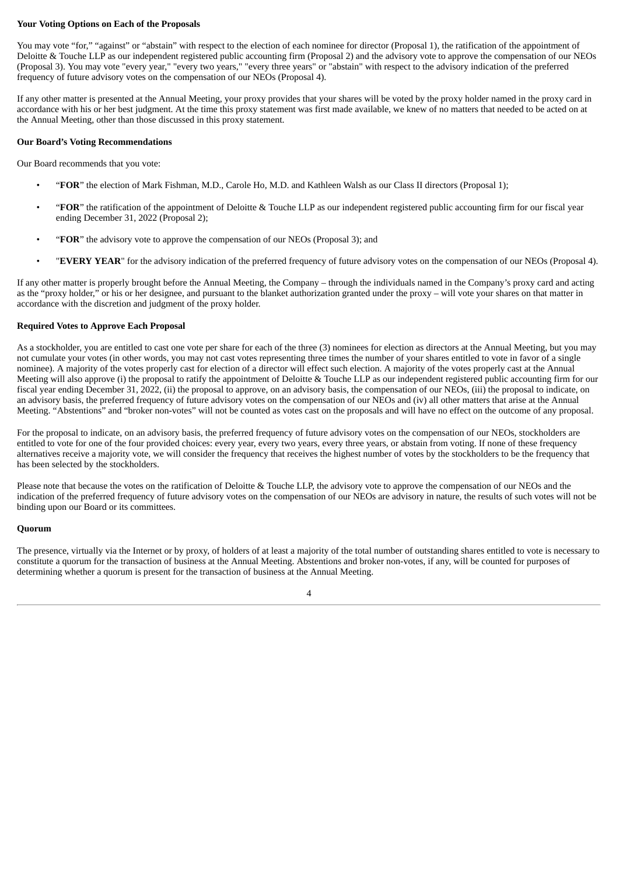#### **Your Voting Options on Each of the Proposals**

You may vote "for," "against" or "abstain" with respect to the election of each nominee for director (Proposal 1), the ratification of the appointment of Deloitte & Touche LLP as our independent registered public accounting firm (Proposal 2) and the advisory vote to approve the compensation of our NEOs (Proposal 3). You may vote "every year," "every two years," "every three years" or "abstain" with respect to the advisory indication of the preferred frequency of future advisory votes on the compensation of our NEOs (Proposal 4).

If any other matter is presented at the Annual Meeting, your proxy provides that your shares will be voted by the proxy holder named in the proxy card in accordance with his or her best judgment. At the time this proxy statement was first made available, we knew of no matters that needed to be acted on at the Annual Meeting, other than those discussed in this proxy statement.

#### **Our Board's Voting Recommendations**

Our Board recommends that you vote:

- "**FOR**" the election of Mark Fishman, M.D., Carole Ho, M.D. and Kathleen Walsh as our Class II directors (Proposal 1);
- "**FOR**" the ratification of the appointment of Deloitte & Touche LLP as our independent registered public accounting firm for our fiscal year ending December 31, 2022 (Proposal 2);
- "**FOR**" the advisory vote to approve the compensation of our NEOs (Proposal 3); and
- "**EVERY YEAR**" for the advisory indication of the preferred frequency of future advisory votes on the compensation of our NEOs (Proposal 4).

If any other matter is properly brought before the Annual Meeting, the Company – through the individuals named in the Company's proxy card and acting as the "proxy holder," or his or her designee, and pursuant to the blanket authorization granted under the proxy – will vote your shares on that matter in accordance with the discretion and judgment of the proxy holder.

#### **Required Votes to Approve Each Proposal**

As a stockholder, you are entitled to cast one vote per share for each of the three (3) nominees for election as directors at the Annual Meeting, but you may not cumulate your votes (in other words, you may not cast votes representing three times the number of your shares entitled to vote in favor of a single nominee). A majority of the votes properly cast for election of a director will effect such election. A majority of the votes properly cast at the Annual Meeting will also approve (i) the proposal to ratify the appointment of Deloitte & Touche LLP as our independent registered public accounting firm for our fiscal year ending December 31, 2022, (ii) the proposal to approve, on an advisory basis, the compensation of our NEOs, (iii) the proposal to indicate, on an advisory basis, the preferred frequency of future advisory votes on the compensation of our NEOs and (iv) all other matters that arise at the Annual Meeting. "Abstentions" and "broker non-votes" will not be counted as votes cast on the proposals and will have no effect on the outcome of any proposal.

For the proposal to indicate, on an advisory basis, the preferred frequency of future advisory votes on the compensation of our NEOs, stockholders are entitled to vote for one of the four provided choices: every year, every two years, every three years, or abstain from voting. If none of these frequency alternatives receive a majority vote, we will consider the frequency that receives the highest number of votes by the stockholders to be the frequency that has been selected by the stockholders.

Please note that because the votes on the ratification of Deloitte & Touche LLP, the advisory vote to approve the compensation of our NEOs and the indication of the preferred frequency of future advisory votes on the compensation of our NEOs are advisory in nature, the results of such votes will not be binding upon our Board or its committees.

#### **Quorum**

The presence, virtually via the Internet or by proxy, of holders of at least a majority of the total number of outstanding shares entitled to vote is necessary to constitute a quorum for the transaction of business at the Annual Meeting. Abstentions and broker non-votes, if any, will be counted for purposes of determining whether a quorum is present for the transaction of business at the Annual Meeting.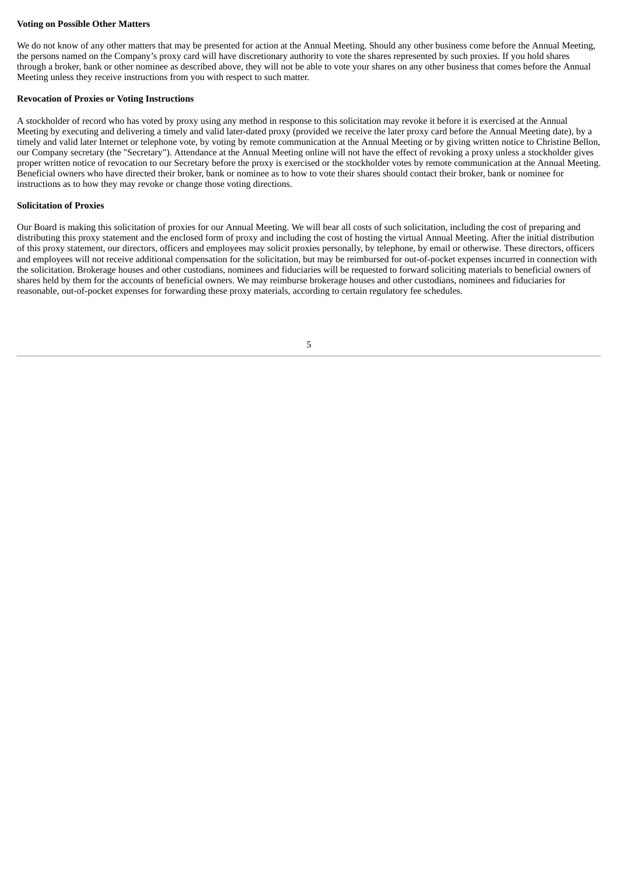#### **Voting on Possible Other Matters**

We do not know of any other matters that may be presented for action at the Annual Meeting. Should any other business come before the Annual Meeting, the persons named on the Company's proxy card will have discretionary authority to vote the shares represented by such proxies. If you hold shares through a broker, bank or other nominee as described above, they will not be able to vote your shares on any other business that comes before the Annual Meeting unless they receive instructions from you with respect to such matter.

#### **Revocation of Proxies or Voting Instructions**

A stockholder of record who has voted by proxy using any method in response to this solicitation may revoke it before it is exercised at the Annual Meeting by executing and delivering a timely and valid later-dated proxy (provided we receive the later proxy card before the Annual Meeting date), by a timely and valid later Internet or telephone vote, by voting by remote communication at the Annual Meeting or by giving written notice to Christine Bellon, our Company secretary (the "Secretary"). Attendance at the Annual Meeting online will not have the effect of revoking a proxy unless a stockholder gives proper written notice of revocation to our Secretary before the proxy is exercised or the stockholder votes by remote communication at the Annual Meeting. Beneficial owners who have directed their broker, bank or nominee as to how to vote their shares should contact their broker, bank or nominee for instructions as to how they may revoke or change those voting directions.

#### **Solicitation of Proxies**

Our Board is making this solicitation of proxies for our Annual Meeting. We will bear all costs of such solicitation, including the cost of preparing and distributing this proxy statement and the enclosed form of proxy and including the cost of hosting the virtual Annual Meeting. After the initial distribution of this proxy statement, our directors, officers and employees may solicit proxies personally, by telephone, by email or otherwise. These directors, officers and employees will not receive additional compensation for the solicitation, but may be reimbursed for out-of-pocket expenses incurred in connection with the solicitation. Brokerage houses and other custodians, nominees and fiduciaries will be requested to forward soliciting materials to beneficial owners of shares held by them for the accounts of beneficial owners. We may reimburse brokerage houses and other custodians, nominees and fiduciaries for reasonable, out-of-pocket expenses for forwarding these proxy materials, according to certain regulatory fee schedules.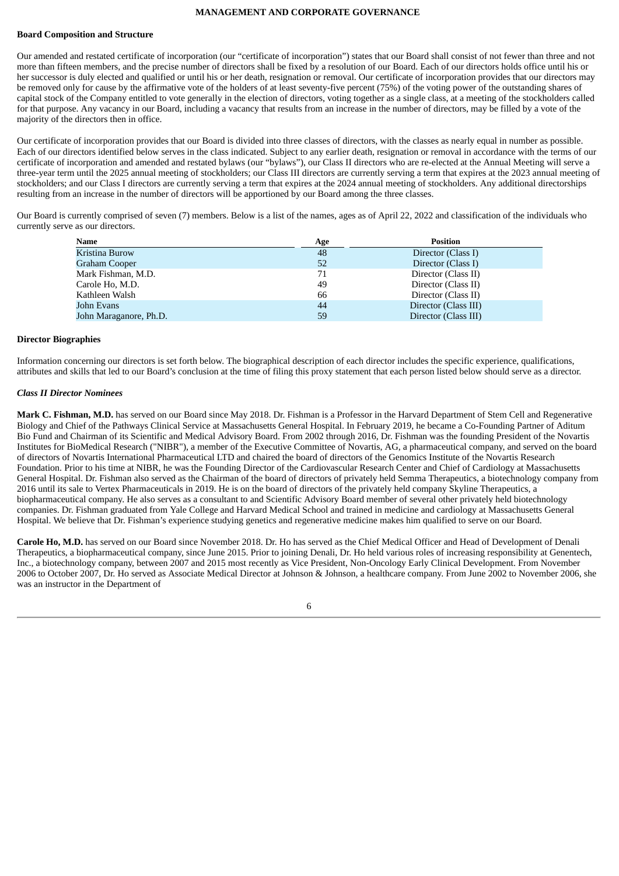#### **MANAGEMENT AND CORPORATE GOVERNANCE**

#### <span id="page-9-0"></span>**Board Composition and Structure**

Our amended and restated certificate of incorporation (our "certificate of incorporation") states that our Board shall consist of not fewer than three and not more than fifteen members, and the precise number of directors shall be fixed by a resolution of our Board. Each of our directors holds office until his or her successor is duly elected and qualified or until his or her death, resignation or removal. Our certificate of incorporation provides that our directors may be removed only for cause by the affirmative vote of the holders of at least seventy-five percent (75%) of the voting power of the outstanding shares of capital stock of the Company entitled to vote generally in the election of directors, voting together as a single class, at a meeting of the stockholders called for that purpose. Any vacancy in our Board, including a vacancy that results from an increase in the number of directors, may be filled by a vote of the majority of the directors then in office.

Our certificate of incorporation provides that our Board is divided into three classes of directors, with the classes as nearly equal in number as possible. Each of our directors identified below serves in the class indicated. Subject to any earlier death, resignation or removal in accordance with the terms of our certificate of incorporation and amended and restated bylaws (our "bylaws"), our Class II directors who are re-elected at the Annual Meeting will serve a three-year term until the 2025 annual meeting of stockholders; our Class III directors are currently serving a term that expires at the 2023 annual meeting of stockholders; and our Class I directors are currently serving a term that expires at the 2024 annual meeting of stockholders. Any additional directorships resulting from an increase in the number of directors will be apportioned by our Board among the three classes.

Our Board is currently comprised of seven (7) members. Below is a list of the names, ages as of April 22, 2022 and classification of the individuals who currently serve as our directors.

| <b>Name</b>            | Age | <b>Position</b>      |
|------------------------|-----|----------------------|
| Kristina Burow         | 48  | Director (Class I)   |
| <b>Graham Cooper</b>   | 52  | Director (Class I)   |
| Mark Fishman, M.D.     | 71  | Director (Class II)  |
| Carole Ho, M.D.        | 49  | Director (Class II)  |
| Kathleen Walsh         | 66  | Director (Class II)  |
| John Evans             | 44  | Director (Class III) |
| John Maraganore, Ph.D. | 59  | Director (Class III) |

#### **Director Biographies**

Information concerning our directors is set forth below. The biographical description of each director includes the specific experience, qualifications, attributes and skills that led to our Board's conclusion at the time of filing this proxy statement that each person listed below should serve as a director.

#### *Class II Director Nominees*

**Mark C. Fishman, M.D.** has served on our Board since May 2018. Dr. Fishman is a Professor in the Harvard Department of Stem Cell and Regenerative Biology and Chief of the Pathways Clinical Service at Massachusetts General Hospital. In February 2019, he became a Co-Founding Partner of Aditum Bio Fund and Chairman of its Scientific and Medical Advisory Board. From 2002 through 2016, Dr. Fishman was the founding President of the Novartis Institutes for BioMedical Research ("NIBR"), a member of the Executive Committee of Novartis, AG, a pharmaceutical company, and served on the board of directors of Novartis International Pharmaceutical LTD and chaired the board of directors of the Genomics Institute of the Novartis Research Foundation. Prior to his time at NIBR, he was the Founding Director of the Cardiovascular Research Center and Chief of Cardiology at Massachusetts General Hospital. Dr. Fishman also served as the Chairman of the board of directors of privately held Semma Therapeutics, a biotechnology company from 2016 until its sale to Vertex Pharmaceuticals in 2019. He is on the board of directors of the privately held company Skyline Therapeutics, a biopharmaceutical company. He also serves as a consultant to and Scientific Advisory Board member of several other privately held biotechnology companies. Dr. Fishman graduated from Yale College and Harvard Medical School and trained in medicine and cardiology at Massachusetts General Hospital. We believe that Dr. Fishman's experience studying genetics and regenerative medicine makes him qualified to serve on our Board.

**Carole Ho, M.D.** has served on our Board since November 2018. Dr. Ho has served as the Chief Medical Officer and Head of Development of Denali Therapeutics, a biopharmaceutical company, since June 2015. Prior to joining Denali, Dr. Ho held various roles of increasing responsibility at Genentech, Inc., a biotechnology company, between 2007 and 2015 most recently as Vice President, Non-Oncology Early Clinical Development. From November 2006 to October 2007, Dr. Ho served as Associate Medical Director at Johnson & Johnson, a healthcare company. From June 2002 to November 2006, she was an instructor in the Department of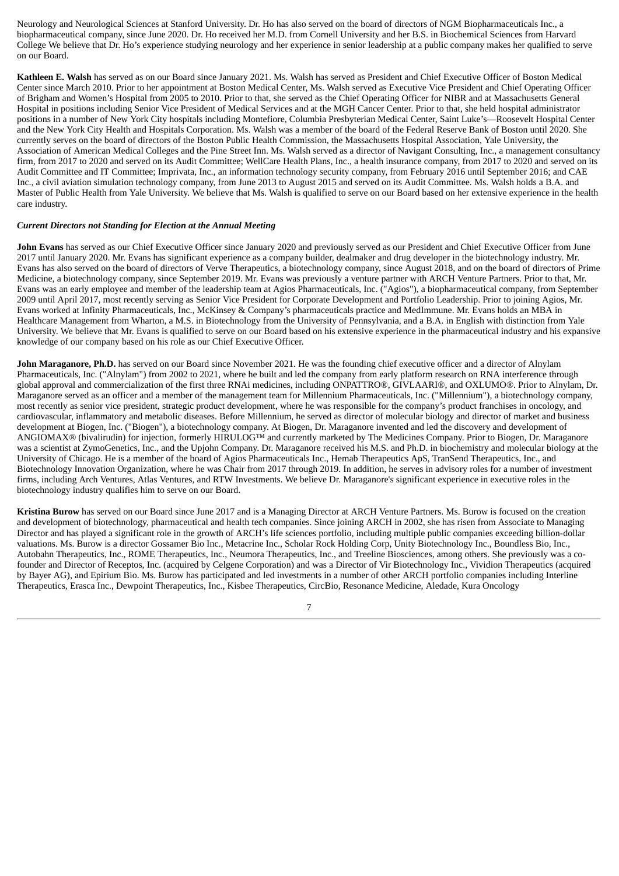Neurology and Neurological Sciences at Stanford University. Dr. Ho has also served on the board of directors of NGM Biopharmaceuticals Inc., a biopharmaceutical company, since June 2020. Dr. Ho received her M.D. from Cornell University and her B.S. in Biochemical Sciences from Harvard College We believe that Dr. Ho's experience studying neurology and her experience in senior leadership at a public company makes her qualified to serve on our Board.

**Kathleen E. Walsh** has served as on our Board since January 2021. Ms. Walsh has served as President and Chief Executive Officer of Boston Medical Center since March 2010. Prior to her appointment at Boston Medical Center, Ms. Walsh served as Executive Vice President and Chief Operating Officer of Brigham and Women's Hospital from 2005 to 2010. Prior to that, she served as the Chief Operating Officer for NIBR and at Massachusetts General Hospital in positions including Senior Vice President of Medical Services and at the MGH Cancer Center. Prior to that, she held hospital administrator positions in a number of New York City hospitals including Montefiore, Columbia Presbyterian Medical Center, Saint Luke's—Roosevelt Hospital Center and the New York City Health and Hospitals Corporation. Ms. Walsh was a member of the board of the Federal Reserve Bank of Boston until 2020. She currently serves on the board of directors of the Boston Public Health Commission, the Massachusetts Hospital Association, Yale University, the Association of American Medical Colleges and the Pine Street Inn. Ms. Walsh served as a director of Navigant Consulting, Inc., a management consultancy firm, from 2017 to 2020 and served on its Audit Committee; WellCare Health Plans, Inc., a health insurance company, from 2017 to 2020 and served on its Audit Committee and IT Committee; Imprivata, Inc., an information technology security company, from February 2016 until September 2016; and CAE Inc., a civil aviation simulation technology company, from June 2013 to August 2015 and served on its Audit Committee. Ms. Walsh holds a B.A. and Master of Public Health from Yale University. We believe that Ms. Walsh is qualified to serve on our Board based on her extensive experience in the health care industry.

#### *Current Directors not Standing for Election at the Annual Meeting*

**John Evans** has served as our Chief Executive Officer since January 2020 and previously served as our President and Chief Executive Officer from June 2017 until January 2020. Mr. Evans has significant experience as a company builder, dealmaker and drug developer in the biotechnology industry. Mr. Evans has also served on the board of directors of Verve Therapeutics, a biotechnology company, since August 2018, and on the board of directors of Prime Medicine, a biotechnology company, since September 2019. Mr. Evans was previously a venture partner with ARCH Venture Partners. Prior to that, Mr. Evans was an early employee and member of the leadership team at Agios Pharmaceuticals, Inc. ("Agios"), a biopharmaceutical company, from September 2009 until April 2017, most recently serving as Senior Vice President for Corporate Development and Portfolio Leadership. Prior to joining Agios, Mr. Evans worked at Infinity Pharmaceuticals, Inc., McKinsey & Company's pharmaceuticals practice and MedImmune. Mr. Evans holds an MBA in Healthcare Management from Wharton, a M.S. in Biotechnology from the University of Pennsylvania, and a B.A. in English with distinction from Yale University. We believe that Mr. Evans is qualified to serve on our Board based on his extensive experience in the pharmaceutical industry and his expansive knowledge of our company based on his role as our Chief Executive Officer.

**John Maraganore, Ph.D.** has served on our Board since November 2021. He was the founding chief executive officer and a director of Alnylam Pharmaceuticals, Inc. ("Alnylam") from 2002 to 2021, where he built and led the company from early platform research on RNA interference through global approval and commercialization of the first three RNAi medicines, including ONPATTRO®, GIVLAARI®, and OXLUMO®. Prior to Alnylam, Dr. Maraganore served as an officer and a member of the management team for Millennium Pharmaceuticals, Inc. ("Millennium"), a biotechnology company, most recently as senior vice president, strategic product development, where he was responsible for the company's product franchises in oncology, and cardiovascular, inflammatory and metabolic diseases. Before Millennium, he served as director of molecular biology and director of market and business development at Biogen, Inc. ("Biogen"), a biotechnology company. At Biogen, Dr. Maraganore invented and led the discovery and development of ANGIOMAX® (bivalirudin) for injection, formerly HIRULOG™ and currently marketed by The Medicines Company. Prior to Biogen, Dr. Maraganore was a scientist at ZymoGenetics, Inc., and the Upjohn Company. Dr. Maraganore received his M.S. and Ph.D. in biochemistry and molecular biology at the University of Chicago. He is a member of the board of Agios Pharmaceuticals Inc., Hemab Therapeutics ApS, TranSend Therapeutics, Inc., and Biotechnology Innovation Organization, where he was Chair from 2017 through 2019. In addition, he serves in advisory roles for a number of investment firms, including Arch Ventures, Atlas Ventures, and RTW Investments. We believe Dr. Maraganore's significant experience in executive roles in the biotechnology industry qualifies him to serve on our Board.

**Kristina Burow** has served on our Board since June 2017 and is a Managing Director at ARCH Venture Partners. Ms. Burow is focused on the creation and development of biotechnology, pharmaceutical and health tech companies. Since joining ARCH in 2002, she has risen from Associate to Managing Director and has played a significant role in the growth of ARCH's life sciences portfolio, including multiple public companies exceeding billion-dollar valuations. Ms. Burow is a director Gossamer Bio Inc., Metacrine Inc., Scholar Rock Holding Corp, Unity Biotechnology Inc., Boundless Bio, Inc., Autobahn Therapeutics, Inc., ROME Therapeutics, Inc., Neumora Therapeutics, Inc., and Treeline Biosciences, among others. She previously was a cofounder and Director of Receptos, Inc. (acquired by Celgene Corporation) and was a Director of Vir Biotechnology Inc., Vividion Therapeutics (acquired by Bayer AG), and Epirium Bio. Ms. Burow has participated and led investments in a number of other ARCH portfolio companies including Interline Therapeutics, Erasca Inc., Dewpoint Therapeutics, Inc., Kisbee Therapeutics, CircBio, Resonance Medicine, Aledade, Kura Oncology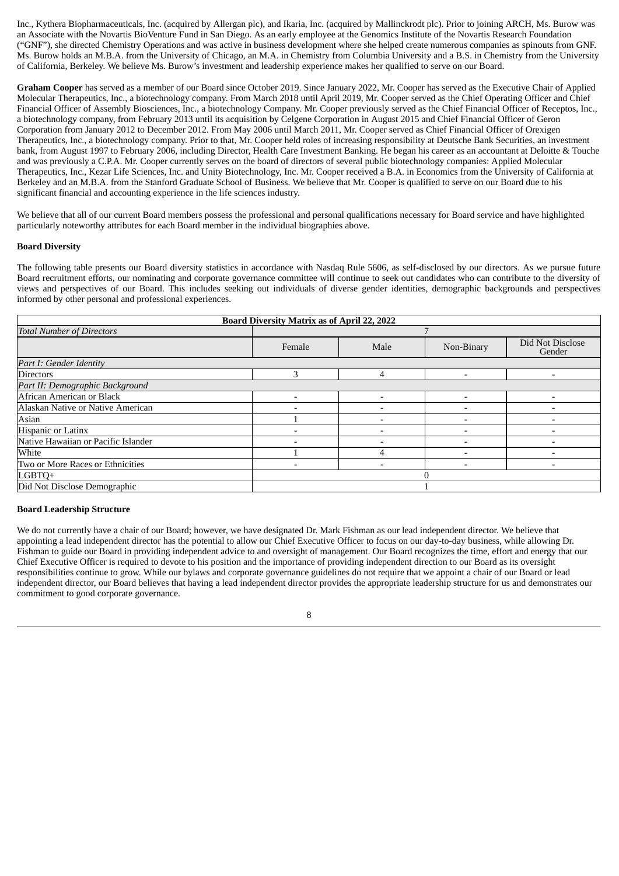Inc., Kythera Biopharmaceuticals, Inc. (acquired by Allergan plc), and Ikaria, Inc. (acquired by Mallinckrodt plc). Prior to joining ARCH, Ms. Burow was an Associate with the Novartis BioVenture Fund in San Diego. As an early employee at the Genomics Institute of the Novartis Research Foundation ("GNF"), she directed Chemistry Operations and was active in business development where she helped create numerous companies as spinouts from GNF. Ms. Burow holds an M.B.A. from the University of Chicago, an M.A. in Chemistry from Columbia University and a B.S. in Chemistry from the University of California, Berkeley. We believe Ms. Burow's investment and leadership experience makes her qualified to serve on our Board.

**Graham Cooper** has served as a member of our Board since October 2019. Since January 2022, Mr. Cooper has served as the Executive Chair of Applied Molecular Therapeutics, Inc., a biotechnology company. From March 2018 until April 2019, Mr. Cooper served as the Chief Operating Officer and Chief Financial Officer of Assembly Biosciences, Inc., a biotechnology Company. Mr. Cooper previously served as the Chief Financial Officer of Receptos, Inc., a biotechnology company, from February 2013 until its acquisition by Celgene Corporation in August 2015 and Chief Financial Officer of Geron Corporation from January 2012 to December 2012. From May 2006 until March 2011, Mr. Cooper served as Chief Financial Officer of Orexigen Therapeutics, Inc., a biotechnology company. Prior to that, Mr. Cooper held roles of increasing responsibility at Deutsche Bank Securities, an investment bank, from August 1997 to February 2006, including Director, Health Care Investment Banking. He began his career as an accountant at Deloitte & Touche and was previously a C.P.A. Mr. Cooper currently serves on the board of directors of several public biotechnology companies: Applied Molecular Therapeutics, Inc., Kezar Life Sciences, Inc. and Unity Biotechnology, Inc. Mr. Cooper received a B.A. in Economics from the University of California at Berkeley and an M.B.A. from the Stanford Graduate School of Business. We believe that Mr. Cooper is qualified to serve on our Board due to his significant financial and accounting experience in the life sciences industry.

We believe that all of our current Board members possess the professional and personal qualifications necessary for Board service and have highlighted particularly noteworthy attributes for each Board member in the individual biographies above.

#### **Board Diversity**

The following table presents our Board diversity statistics in accordance with Nasdaq Rule 5606, as self-disclosed by our directors. As we pursue future Board recruitment efforts, our nominating and corporate governance committee will continue to seek out candidates who can contribute to the diversity of views and perspectives of our Board. This includes seeking out individuals of diverse gender identities, demographic backgrounds and perspectives informed by other personal and professional experiences.

| <b>Board Diversity Matrix as of April 22, 2022</b> |        |      |                          |                            |  |
|----------------------------------------------------|--------|------|--------------------------|----------------------------|--|
| <b>Total Number of Directors</b>                   |        |      |                          |                            |  |
|                                                    | Female | Male | Non-Binary               | Did Not Disclose<br>Gender |  |
| Part I: Gender Identity                            |        |      |                          |                            |  |
| <b>Directors</b>                                   | 3      | 4    | $\overline{\phantom{0}}$ |                            |  |
| Part II: Demographic Background                    |        |      |                          |                            |  |
| African American or Black                          |        |      |                          |                            |  |
| Alaskan Native or Native American                  |        |      | $\overline{\phantom{a}}$ |                            |  |
| Asian                                              |        |      |                          |                            |  |
| Hispanic or Latinx                                 |        |      |                          |                            |  |
| Native Hawaiian or Pacific Islander                |        |      |                          |                            |  |
| White                                              |        |      |                          |                            |  |
| Two or More Races or Ethnicities                   |        |      |                          |                            |  |
| LGBTQ+                                             |        |      |                          |                            |  |
| Did Not Disclose Demographic                       |        |      |                          |                            |  |

#### **Board Leadership Structure**

We do not currently have a chair of our Board; however, we have designated Dr. Mark Fishman as our lead independent director. We believe that appointing a lead independent director has the potential to allow our Chief Executive Officer to focus on our day-to-day business, while allowing Dr. Fishman to guide our Board in providing independent advice to and oversight of management. Our Board recognizes the time, effort and energy that our Chief Executive Officer is required to devote to his position and the importance of providing independent direction to our Board as its oversight responsibilities continue to grow. While our bylaws and corporate governance guidelines do not require that we appoint a chair of our Board or lead independent director, our Board believes that having a lead independent director provides the appropriate leadership structure for us and demonstrates our commitment to good corporate governance.

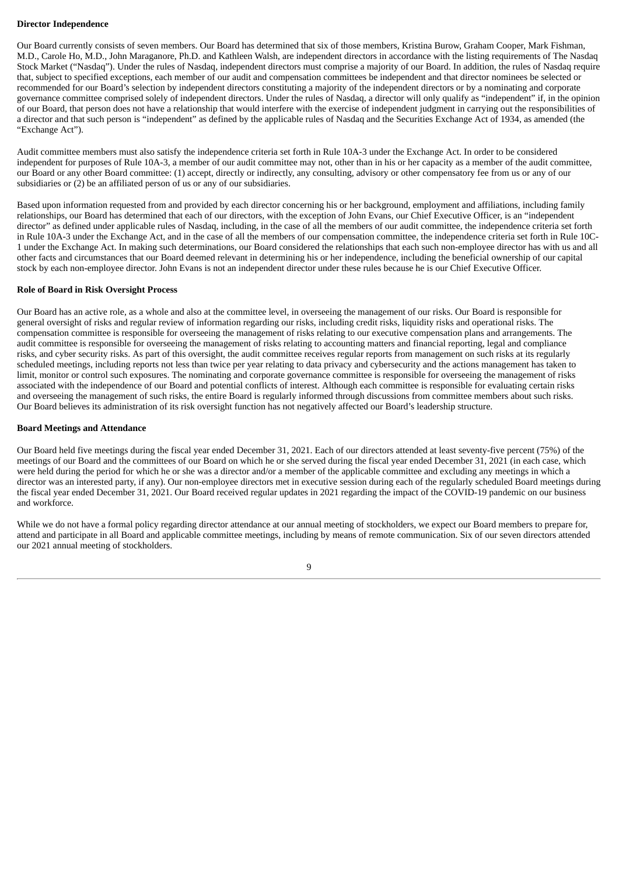#### **Director Independence**

Our Board currently consists of seven members. Our Board has determined that six of those members, Kristina Burow, Graham Cooper, Mark Fishman, M.D., Carole Ho, M.D., John Maraganore, Ph.D. and Kathleen Walsh, are independent directors in accordance with the listing requirements of The Nasdaq Stock Market ("Nasdaq"). Under the rules of Nasdaq, independent directors must comprise a majority of our Board. In addition, the rules of Nasdaq require that, subject to specified exceptions, each member of our audit and compensation committees be independent and that director nominees be selected or recommended for our Board's selection by independent directors constituting a majority of the independent directors or by a nominating and corporate governance committee comprised solely of independent directors. Under the rules of Nasdaq, a director will only qualify as "independent" if, in the opinion of our Board, that person does not have a relationship that would interfere with the exercise of independent judgment in carrying out the responsibilities of a director and that such person is "independent" as defined by the applicable rules of Nasdaq and the Securities Exchange Act of 1934, as amended (the "Exchange Act").

Audit committee members must also satisfy the independence criteria set forth in Rule 10A-3 under the Exchange Act. In order to be considered independent for purposes of Rule 10A-3, a member of our audit committee may not, other than in his or her capacity as a member of the audit committee, our Board or any other Board committee: (1) accept, directly or indirectly, any consulting, advisory or other compensatory fee from us or any of our subsidiaries or (2) be an affiliated person of us or any of our subsidiaries.

Based upon information requested from and provided by each director concerning his or her background, employment and affiliations, including family relationships, our Board has determined that each of our directors, with the exception of John Evans, our Chief Executive Officer, is an "independent director" as defined under applicable rules of Nasdaq, including, in the case of all the members of our audit committee, the independence criteria set forth in Rule 10A-3 under the Exchange Act, and in the case of all the members of our compensation committee, the independence criteria set forth in Rule 10C-1 under the Exchange Act. In making such determinations, our Board considered the relationships that each such non-employee director has with us and all other facts and circumstances that our Board deemed relevant in determining his or her independence, including the beneficial ownership of our capital stock by each non-employee director. John Evans is not an independent director under these rules because he is our Chief Executive Officer.

#### **Role of Board in Risk Oversight Process**

Our Board has an active role, as a whole and also at the committee level, in overseeing the management of our risks. Our Board is responsible for general oversight of risks and regular review of information regarding our risks, including credit risks, liquidity risks and operational risks. The compensation committee is responsible for overseeing the management of risks relating to our executive compensation plans and arrangements. The audit committee is responsible for overseeing the management of risks relating to accounting matters and financial reporting, legal and compliance risks, and cyber security risks. As part of this oversight, the audit committee receives regular reports from management on such risks at its regularly scheduled meetings, including reports not less than twice per year relating to data privacy and cybersecurity and the actions management has taken to limit, monitor or control such exposures. The nominating and corporate governance committee is responsible for overseeing the management of risks associated with the independence of our Board and potential conflicts of interest. Although each committee is responsible for evaluating certain risks and overseeing the management of such risks, the entire Board is regularly informed through discussions from committee members about such risks. Our Board believes its administration of its risk oversight function has not negatively affected our Board's leadership structure.

#### **Board Meetings and Attendance**

Our Board held five meetings during the fiscal year ended December 31, 2021. Each of our directors attended at least seventy-five percent (75%) of the meetings of our Board and the committees of our Board on which he or she served during the fiscal year ended December 31, 2021 (in each case, which were held during the period for which he or she was a director and/or a member of the applicable committee and excluding any meetings in which a director was an interested party, if any). Our non-employee directors met in executive session during each of the regularly scheduled Board meetings during the fiscal year ended December 31, 2021. Our Board received regular updates in 2021 regarding the impact of the COVID-19 pandemic on our business and workforce.

While we do not have a formal policy regarding director attendance at our annual meeting of stockholders, we expect our Board members to prepare for, attend and participate in all Board and applicable committee meetings, including by means of remote communication. Six of our seven directors attended our 2021 annual meeting of stockholders.

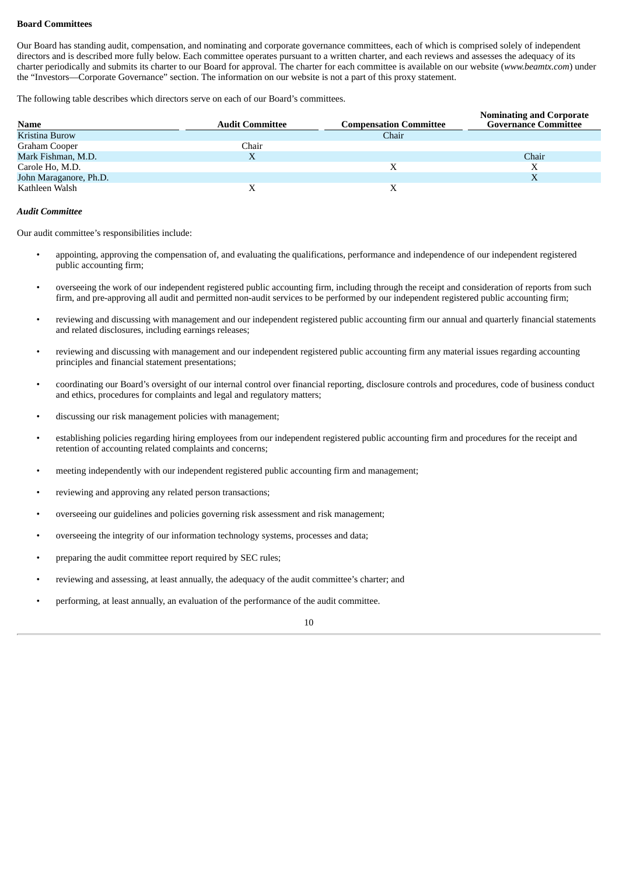#### **Board Committees**

Our Board has standing audit, compensation, and nominating and corporate governance committees, each of which is comprised solely of independent directors and is described more fully below. Each committee operates pursuant to a written charter, and each reviews and assesses the adequacy of its charter periodically and submits its charter to our Board for approval. The charter for each committee is available on our website (*www.beamtx.com*) under the "Investors—Corporate Governance" section. The information on our website is not a part of this proxy statement.

The following table describes which directors serve on each of our Board's committees.

| Name                   | <b>Audit Committee</b> | <b>Compensation Committee</b> | <b>Nominating and Corporate</b><br><b>Governance Committee</b> |
|------------------------|------------------------|-------------------------------|----------------------------------------------------------------|
| Kristina Burow         |                        | Chair                         |                                                                |
| Graham Cooper          | Chair                  |                               |                                                                |
| Mark Fishman, M.D.     | X                      |                               | Chair                                                          |
| Carole Ho, M.D.        |                        | Х                             | Х                                                              |
| John Maraganore, Ph.D. |                        |                               | Χ                                                              |
| Kathleen Walsh         |                        |                               |                                                                |

#### *Audit Committee*

Our audit committee's responsibilities include:

- appointing, approving the compensation of, and evaluating the qualifications, performance and independence of our independent registered public accounting firm;
- overseeing the work of our independent registered public accounting firm, including through the receipt and consideration of reports from such firm, and pre-approving all audit and permitted non-audit services to be performed by our independent registered public accounting firm;
- reviewing and discussing with management and our independent registered public accounting firm our annual and quarterly financial statements and related disclosures, including earnings releases;
- reviewing and discussing with management and our independent registered public accounting firm any material issues regarding accounting principles and financial statement presentations;
- coordinating our Board's oversight of our internal control over financial reporting, disclosure controls and procedures, code of business conduct and ethics, procedures for complaints and legal and regulatory matters;
- discussing our risk management policies with management;
- establishing policies regarding hiring employees from our independent registered public accounting firm and procedures for the receipt and retention of accounting related complaints and concerns;
- meeting independently with our independent registered public accounting firm and management;
- reviewing and approving any related person transactions;
- overseeing our guidelines and policies governing risk assessment and risk management;
- overseeing the integrity of our information technology systems, processes and data;
- preparing the audit committee report required by SEC rules;
- reviewing and assessing, at least annually, the adequacy of the audit committee's charter; and
- performing, at least annually, an evaluation of the performance of the audit committee.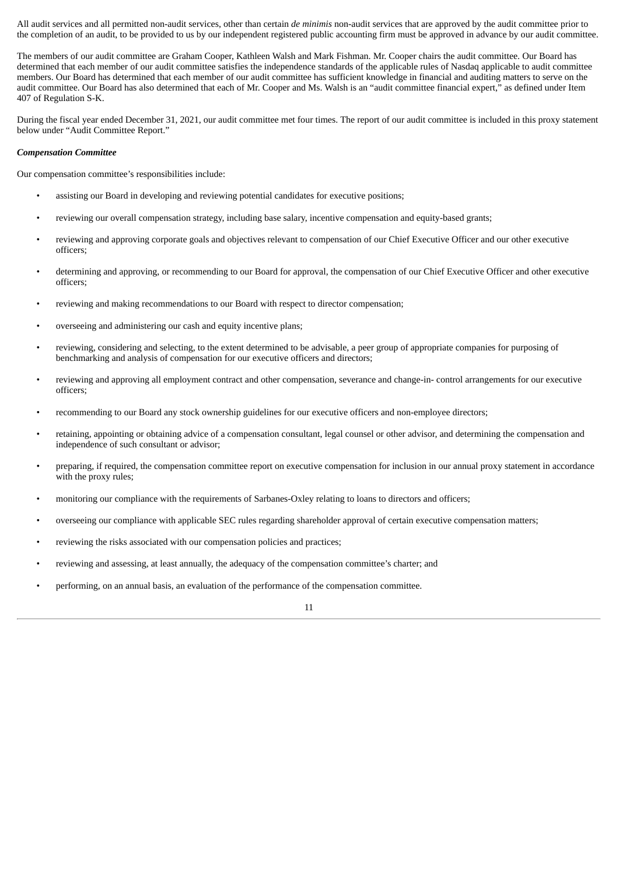All audit services and all permitted non-audit services, other than certain *de minimis* non-audit services that are approved by the audit committee prior to the completion of an audit, to be provided to us by our independent registered public accounting firm must be approved in advance by our audit committee.

The members of our audit committee are Graham Cooper, Kathleen Walsh and Mark Fishman. Mr. Cooper chairs the audit committee. Our Board has determined that each member of our audit committee satisfies the independence standards of the applicable rules of Nasdaq applicable to audit committee members. Our Board has determined that each member of our audit committee has sufficient knowledge in financial and auditing matters to serve on the audit committee. Our Board has also determined that each of Mr. Cooper and Ms. Walsh is an "audit committee financial expert," as defined under Item 407 of Regulation S-K.

During the fiscal year ended December 31, 2021, our audit committee met four times. The report of our audit committee is included in this proxy statement below under "Audit Committee Report."

#### *Compensation Committee*

Our compensation committee's responsibilities include:

- assisting our Board in developing and reviewing potential candidates for executive positions;
- reviewing our overall compensation strategy, including base salary, incentive compensation and equity-based grants;
- reviewing and approving corporate goals and objectives relevant to compensation of our Chief Executive Officer and our other executive officers;
- determining and approving, or recommending to our Board for approval, the compensation of our Chief Executive Officer and other executive officers;
- reviewing and making recommendations to our Board with respect to director compensation;
- overseeing and administering our cash and equity incentive plans;
- reviewing, considering and selecting, to the extent determined to be advisable, a peer group of appropriate companies for purposing of benchmarking and analysis of compensation for our executive officers and directors;
- reviewing and approving all employment contract and other compensation, severance and change-in- control arrangements for our executive officers;
- recommending to our Board any stock ownership guidelines for our executive officers and non-employee directors;
- retaining, appointing or obtaining advice of a compensation consultant, legal counsel or other advisor, and determining the compensation and independence of such consultant or advisor;
- preparing, if required, the compensation committee report on executive compensation for inclusion in our annual proxy statement in accordance with the proxy rules;
- monitoring our compliance with the requirements of Sarbanes-Oxley relating to loans to directors and officers;
- overseeing our compliance with applicable SEC rules regarding shareholder approval of certain executive compensation matters;
- reviewing the risks associated with our compensation policies and practices;
- reviewing and assessing, at least annually, the adequacy of the compensation committee's charter; and
- performing, on an annual basis, an evaluation of the performance of the compensation committee.

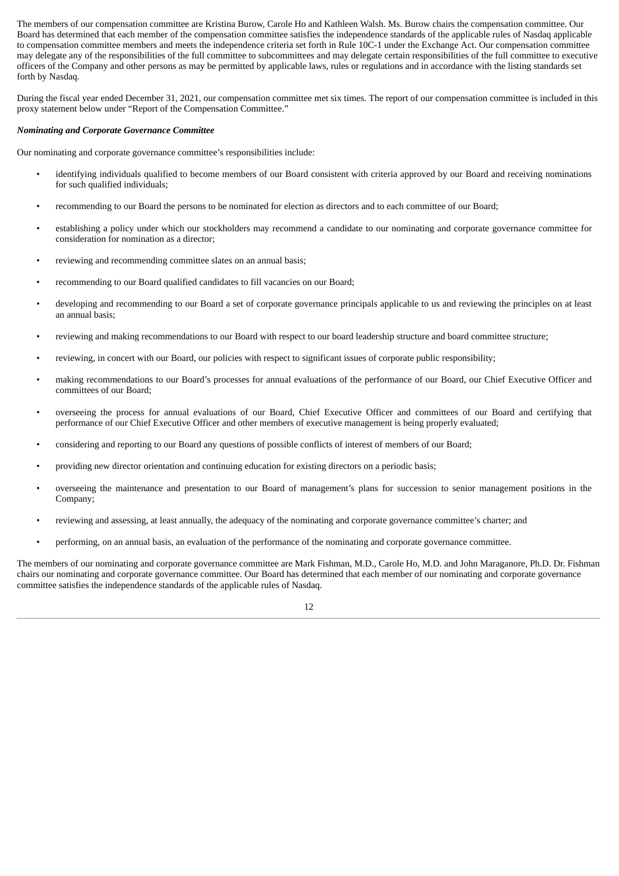The members of our compensation committee are Kristina Burow, Carole Ho and Kathleen Walsh. Ms. Burow chairs the compensation committee. Our Board has determined that each member of the compensation committee satisfies the independence standards of the applicable rules of Nasdaq applicable to compensation committee members and meets the independence criteria set forth in Rule 10C-1 under the Exchange Act. Our compensation committee may delegate any of the responsibilities of the full committee to subcommittees and may delegate certain responsibilities of the full committee to executive officers of the Company and other persons as may be permitted by applicable laws, rules or regulations and in accordance with the listing standards set forth by Nasdaq.

During the fiscal year ended December 31, 2021, our compensation committee met six times. The report of our compensation committee is included in this proxy statement below under "Report of the Compensation Committee."

#### *Nominating and Corporate Governance Committee*

Our nominating and corporate governance committee's responsibilities include:

- identifying individuals qualified to become members of our Board consistent with criteria approved by our Board and receiving nominations for such qualified individuals;
- recommending to our Board the persons to be nominated for election as directors and to each committee of our Board;
- establishing a policy under which our stockholders may recommend a candidate to our nominating and corporate governance committee for consideration for nomination as a director;
- reviewing and recommending committee slates on an annual basis;
- recommending to our Board qualified candidates to fill vacancies on our Board;
- developing and recommending to our Board a set of corporate governance principals applicable to us and reviewing the principles on at least an annual basis;
- reviewing and making recommendations to our Board with respect to our board leadership structure and board committee structure;
- reviewing, in concert with our Board, our policies with respect to significant issues of corporate public responsibility;
- making recommendations to our Board's processes for annual evaluations of the performance of our Board, our Chief Executive Officer and committees of our Board;
- overseeing the process for annual evaluations of our Board, Chief Executive Officer and committees of our Board and certifying that performance of our Chief Executive Officer and other members of executive management is being properly evaluated;
- considering and reporting to our Board any questions of possible conflicts of interest of members of our Board;
- providing new director orientation and continuing education for existing directors on a periodic basis;
- overseeing the maintenance and presentation to our Board of management's plans for succession to senior management positions in the Company;
- reviewing and assessing, at least annually, the adequacy of the nominating and corporate governance committee's charter; and
- performing, on an annual basis, an evaluation of the performance of the nominating and corporate governance committee.

The members of our nominating and corporate governance committee are Mark Fishman, M.D., Carole Ho, M.D. and John Maraganore, Ph.D. Dr. Fishman chairs our nominating and corporate governance committee. Our Board has determined that each member of our nominating and corporate governance committee satisfies the independence standards of the applicable rules of Nasdaq.

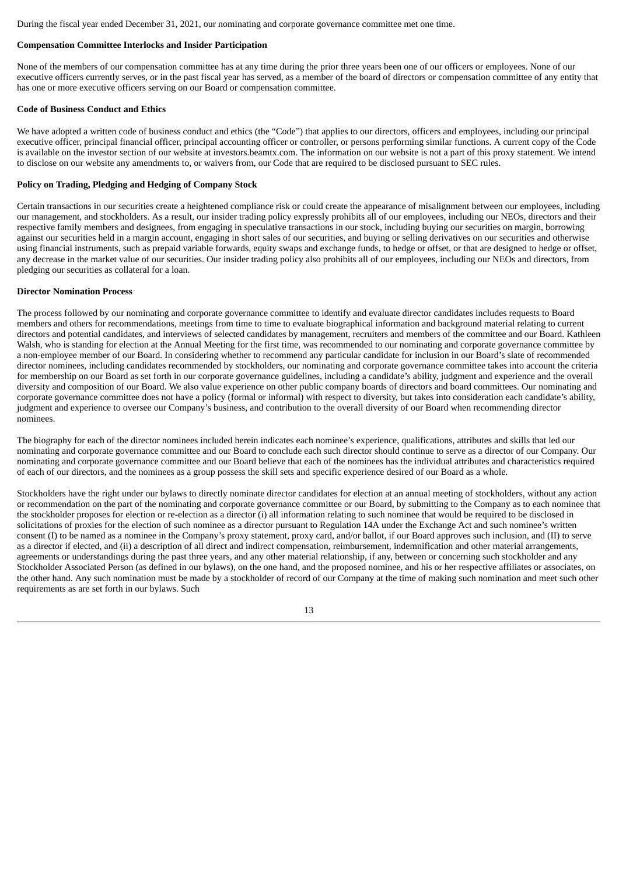During the fiscal year ended December 31, 2021, our nominating and corporate governance committee met one time.

#### **Compensation Committee Interlocks and Insider Participation**

None of the members of our compensation committee has at any time during the prior three years been one of our officers or employees. None of our executive officers currently serves, or in the past fiscal year has served, as a member of the board of directors or compensation committee of any entity that has one or more executive officers serving on our Board or compensation committee.

#### **Code of Business Conduct and Ethics**

We have adopted a written code of business conduct and ethics (the "Code") that applies to our directors, officers and employees, including our principal executive officer, principal financial officer, principal accounting officer or controller, or persons performing similar functions. A current copy of the Code is available on the investor section of our website at investors.beamtx.com. The information on our website is not a part of this proxy statement. We intend to disclose on our website any amendments to, or waivers from, our Code that are required to be disclosed pursuant to SEC rules.

#### **Policy on Trading, Pledging and Hedging of Company Stock**

Certain transactions in our securities create a heightened compliance risk or could create the appearance of misalignment between our employees, including our management, and stockholders. As a result, our insider trading policy expressly prohibits all of our employees, including our NEOs, directors and their respective family members and designees, from engaging in speculative transactions in our stock, including buying our securities on margin, borrowing against our securities held in a margin account, engaging in short sales of our securities, and buying or selling derivatives on our securities and otherwise using financial instruments, such as prepaid variable forwards, equity swaps and exchange funds, to hedge or offset, or that are designed to hedge or offset, any decrease in the market value of our securities. Our insider trading policy also prohibits all of our employees, including our NEOs and directors, from pledging our securities as collateral for a loan.

#### **Director Nomination Process**

The process followed by our nominating and corporate governance committee to identify and evaluate director candidates includes requests to Board members and others for recommendations, meetings from time to time to evaluate biographical information and background material relating to current directors and potential candidates, and interviews of selected candidates by management, recruiters and members of the committee and our Board. Kathleen Walsh, who is standing for election at the Annual Meeting for the first time, was recommended to our nominating and corporate governance committee by a non-employee member of our Board. In considering whether to recommend any particular candidate for inclusion in our Board's slate of recommended director nominees, including candidates recommended by stockholders, our nominating and corporate governance committee takes into account the criteria for membership on our Board as set forth in our corporate governance guidelines, including a candidate's ability, judgment and experience and the overall diversity and composition of our Board. We also value experience on other public company boards of directors and board committees. Our nominating and corporate governance committee does not have a policy (formal or informal) with respect to diversity, but takes into consideration each candidate's ability, judgment and experience to oversee our Company's business, and contribution to the overall diversity of our Board when recommending director nominees.

The biography for each of the director nominees included herein indicates each nominee's experience, qualifications, attributes and skills that led our nominating and corporate governance committee and our Board to conclude each such director should continue to serve as a director of our Company. Our nominating and corporate governance committee and our Board believe that each of the nominees has the individual attributes and characteristics required of each of our directors, and the nominees as a group possess the skill sets and specific experience desired of our Board as a whole.

Stockholders have the right under our bylaws to directly nominate director candidates for election at an annual meeting of stockholders, without any action or recommendation on the part of the nominating and corporate governance committee or our Board, by submitting to the Company as to each nominee that the stockholder proposes for election or re-election as a director (i) all information relating to such nominee that would be required to be disclosed in solicitations of proxies for the election of such nominee as a director pursuant to Regulation 14A under the Exchange Act and such nominee's written consent (I) to be named as a nominee in the Company's proxy statement, proxy card, and/or ballot, if our Board approves such inclusion, and (II) to serve as a director if elected, and (ii) a description of all direct and indirect compensation, reimbursement, indemnification and other material arrangements, agreements or understandings during the past three years, and any other material relationship, if any, between or concerning such stockholder and any Stockholder Associated Person (as defined in our bylaws), on the one hand, and the proposed nominee, and his or her respective affiliates or associates, on the other hand. Any such nomination must be made by a stockholder of record of our Company at the time of making such nomination and meet such other requirements as are set forth in our bylaws. Such

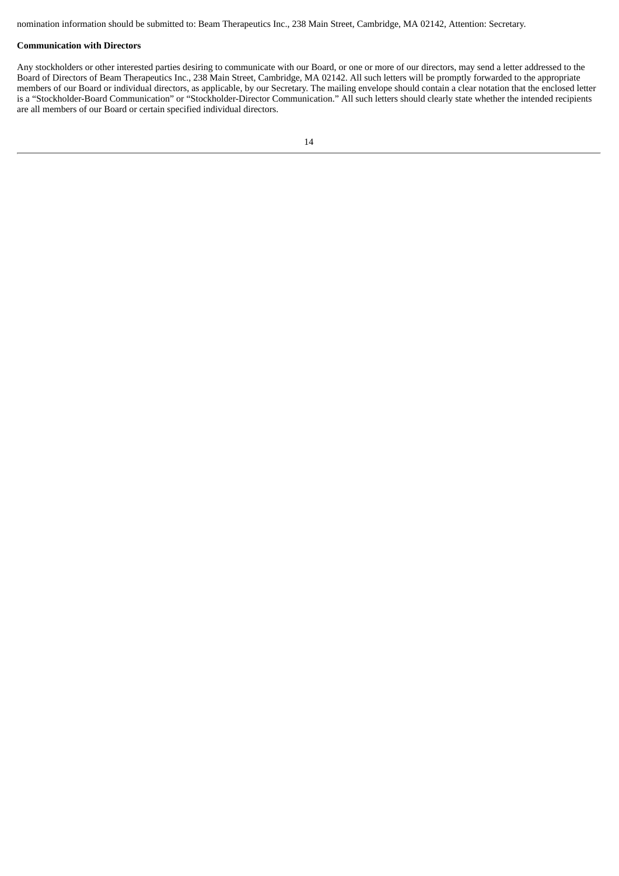nomination information should be submitted to: Beam Therapeutics Inc., 238 Main Street, Cambridge, MA 02142, Attention: Secretary.

#### **Communication with Directors**

Any stockholders or other interested parties desiring to communicate with our Board, or one or more of our directors, may send a letter addressed to the Board of Directors of Beam Therapeutics Inc., 238 Main Street, Cambridge, MA 02142. All such letters will be promptly forwarded to the appropriate members of our Board or individual directors, as applicable, by our Secretary. The mailing envelope should contain a clear notation that the enclosed letter is a "Stockholder-Board Communication" or "Stockholder-Director Communication." All such letters should clearly state whether the intended recipients are all members of our Board or certain specified individual directors.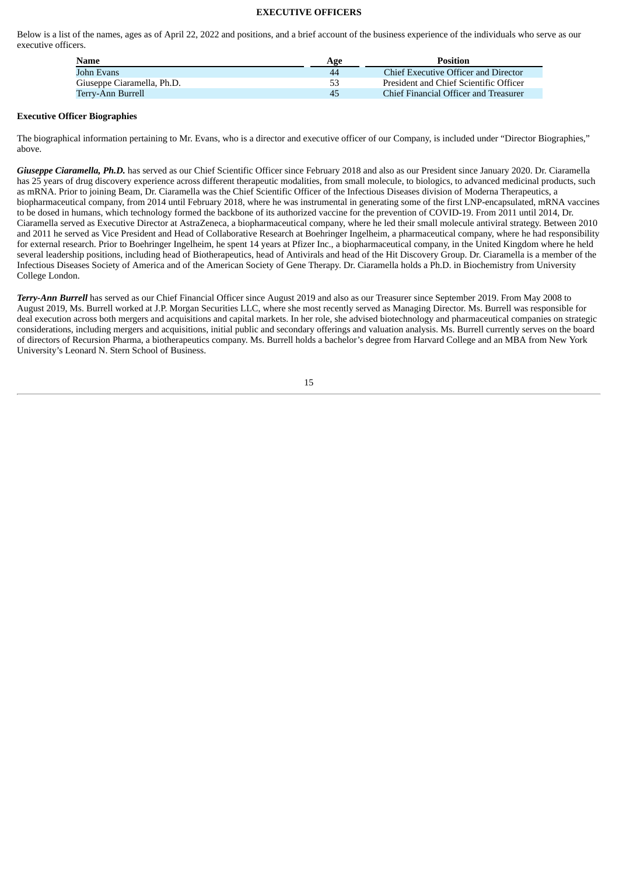#### **EXECUTIVE OFFICERS**

<span id="page-18-0"></span>Below is a list of the names, ages as of April 22, 2022 and positions, and a brief account of the business experience of the individuals who serve as our executive officers.

| <b>Name</b>                | Age | <b>Position</b>                        |
|----------------------------|-----|----------------------------------------|
| John Evans                 | 44  | Chief Executive Officer and Director   |
| Giuseppe Ciaramella, Ph.D. | 53  | President and Chief Scientific Officer |
| Terrv-Ann Burrell          | 45  | Chief Financial Officer and Treasurer  |

#### **Executive Officer Biographies**

The biographical information pertaining to Mr. Evans, who is a director and executive officer of our Company, is included under "Director Biographies," above.

*Giuseppe Ciaramella, Ph.D.* has served as our Chief Scientific Officer since February 2018 and also as our President since January 2020. Dr. Ciaramella has 25 years of drug discovery experience across different therapeutic modalities, from small molecule, to biologics, to advanced medicinal products, such as mRNA. Prior to joining Beam, Dr. Ciaramella was the Chief Scientific Officer of the Infectious Diseases division of Moderna Therapeutics, a biopharmaceutical company, from 2014 until February 2018, where he was instrumental in generating some of the first LNP-encapsulated, mRNA vaccines to be dosed in humans, which technology formed the backbone of its authorized vaccine for the prevention of COVID-19. From 2011 until 2014, Dr. Ciaramella served as Executive Director at AstraZeneca, a biopharmaceutical company, where he led their small molecule antiviral strategy. Between 2010 and 2011 he served as Vice President and Head of Collaborative Research at Boehringer Ingelheim, a pharmaceutical company, where he had responsibility for external research. Prior to Boehringer Ingelheim, he spent 14 years at Pfizer Inc., a biopharmaceutical company, in the United Kingdom where he held several leadership positions, including head of Biotherapeutics, head of Antivirals and head of the Hit Discovery Group. Dr. Ciaramella is a member of the Infectious Diseases Society of America and of the American Society of Gene Therapy. Dr. Ciaramella holds a Ph.D. in Biochemistry from University College London.

*Terry-Ann Burrell* has served as our Chief Financial Officer since August 2019 and also as our Treasurer since September 2019. From May 2008 to August 2019, Ms. Burrell worked at J.P. Morgan Securities LLC, where she most recently served as Managing Director. Ms. Burrell was responsible for deal execution across both mergers and acquisitions and capital markets. In her role, she advised biotechnology and pharmaceutical companies on strategic considerations, including mergers and acquisitions, initial public and secondary offerings and valuation analysis. Ms. Burrell currently serves on the board of directors of Recursion Pharma, a biotherapeutics company. Ms. Burrell holds a bachelor's degree from Harvard College and an MBA from New York University's Leonard N. Stern School of Business.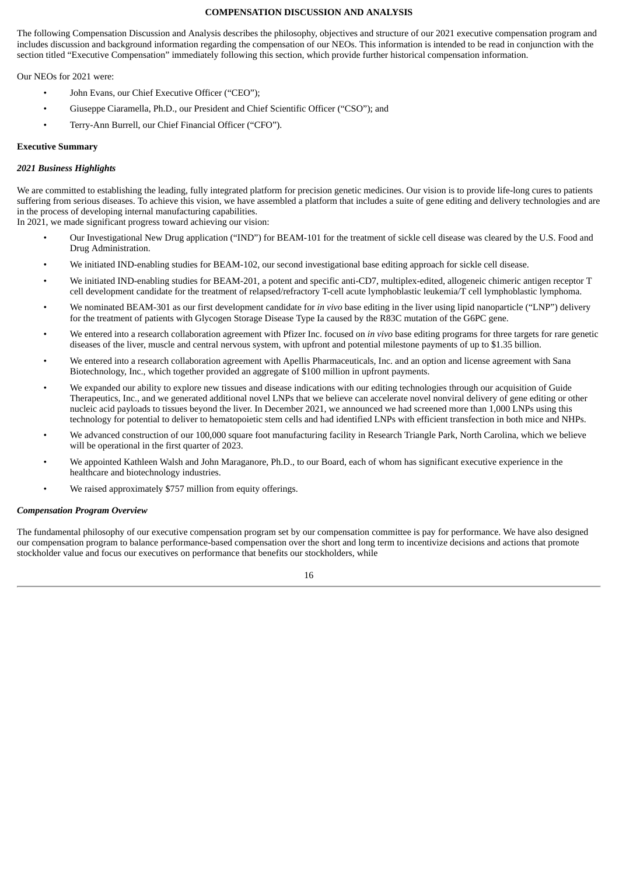#### **COMPENSATION DISCUSSION AND ANALYSIS**

<span id="page-19-0"></span>The following Compensation Discussion and Analysis describes the philosophy, objectives and structure of our 2021 executive compensation program and includes discussion and background information regarding the compensation of our NEOs. This information is intended to be read in conjunction with the section titled "Executive Compensation" immediately following this section, which provide further historical compensation information.

Our NEOs for 2021 were:

- John Evans, our Chief Executive Officer ("CEO");
- Giuseppe Ciaramella, Ph.D., our President and Chief Scientific Officer ("CSO"); and
- Terry-Ann Burrell, our Chief Financial Officer ("CFO").

#### **Executive Summary**

#### *2021 Business Highlights*

We are committed to establishing the leading, fully integrated platform for precision genetic medicines. Our vision is to provide life-long cures to patients suffering from serious diseases. To achieve this vision, we have assembled a platform that includes a suite of gene editing and delivery technologies and are in the process of developing internal manufacturing capabilities.

In 2021, we made significant progress toward achieving our vision:

- Our Investigational New Drug application ("IND") for BEAM-101 for the treatment of sickle cell disease was cleared by the U.S. Food and Drug Administration.
- We initiated IND-enabling studies for BEAM-102, our second investigational base editing approach for sickle cell disease.
- We initiated IND-enabling studies for BEAM-201, a potent and specific anti-CD7, multiplex-edited, allogeneic chimeric antigen receptor T cell development candidate for the treatment of relapsed/refractory T-cell acute lymphoblastic leukemia/T cell lymphoblastic lymphoma.
- We nominated BEAM-301 as our first development candidate for *in vivo* base editing in the liver using lipid nanoparticle ("LNP") delivery for the treatment of patients with Glycogen Storage Disease Type Ia caused by the R83C mutation of the G6PC gene.
- We entered into a research collaboration agreement with Pfizer Inc. focused on *in vivo* base editing programs for three targets for rare genetic diseases of the liver, muscle and central nervous system, with upfront and potential milestone payments of up to \$1.35 billion.
- We entered into a research collaboration agreement with Apellis Pharmaceuticals, Inc. and an option and license agreement with Sana Biotechnology, Inc., which together provided an aggregate of \$100 million in upfront payments.
- We expanded our ability to explore new tissues and disease indications with our editing technologies through our acquisition of Guide Therapeutics, Inc., and we generated additional novel LNPs that we believe can accelerate novel nonviral delivery of gene editing or other nucleic acid payloads to tissues beyond the liver. In December 2021, we announced we had screened more than 1,000 LNPs using this technology for potential to deliver to hematopoietic stem cells and had identified LNPs with efficient transfection in both mice and NHPs.
- We advanced construction of our 100,000 square foot manufacturing facility in Research Triangle Park, North Carolina, which we believe will be operational in the first quarter of 2023.
- We appointed Kathleen Walsh and John Maraganore, Ph.D., to our Board, each of whom has significant executive experience in the healthcare and biotechnology industries.
- We raised approximately \$757 million from equity offerings.

#### *Compensation Program Overview*

The fundamental philosophy of our executive compensation program set by our compensation committee is pay for performance. We have also designed our compensation program to balance performance-based compensation over the short and long term to incentivize decisions and actions that promote stockholder value and focus our executives on performance that benefits our stockholders, while

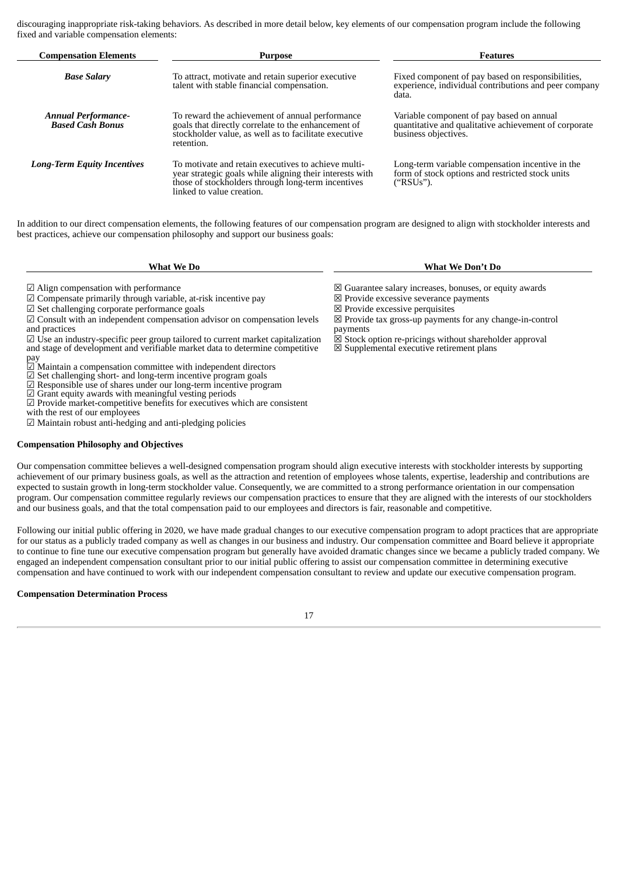discouraging inappropriate risk-taking behaviors. As described in more detail below, key elements of our compensation program include the following fixed and variable compensation elements:

| <b>Compensation Elements</b>                          | <b>Purpose</b>                                                                                                                                                                                     | <b>Features</b>                                                                                                            |
|-------------------------------------------------------|----------------------------------------------------------------------------------------------------------------------------------------------------------------------------------------------------|----------------------------------------------------------------------------------------------------------------------------|
| <b>Base Salary</b>                                    | To attract, motivate and retain superior executive<br>talent with stable financial compensation.                                                                                                   | Fixed component of pay based on responsibilities,<br>experience, individual contributions and peer company<br>data.        |
| <b>Annual Performance-</b><br><b>Based Cash Bonus</b> | To reward the achievement of annual performance<br>goals that directly correlate to the enhancement of<br>stockholder value, as well as to facilitate executive<br>retention.                      | Variable component of pay based on annual<br>quantitative and qualitative achievement of corporate<br>business objectives. |
| <b>Long-Term Equity Incentives</b>                    | To motivate and retain executives to achieve multi-<br>year strategic goals while aligning their interests with<br>those of stockholders through long-term incentives<br>linked to value creation. | Long-term variable compensation incentive in the<br>form of stock options and restricted stock units<br>("RSUs").          |

In addition to our direct compensation elements, the following features of our compensation program are designed to align with stockholder interests and best practices, achieve our compensation philosophy and support our business goals:

| <b>What We Do</b> |  |
|-------------------|--|
|-------------------|--|

 $\boxdot$  Consult with an independent compensation advisor on compensation levels

☑ Use an industry-specific peer group tailored to current market capitalization and stage of development and verifiable market data to determine competitive

**What We Do What We Don't Do**

<p>✓ Align compensation with performance</p>\n<p>✓ Guarantee salary increases, bonus, or equity awards</p>\n<p>✓ Convarates salary increases, bonus, or equity awards</p>\n<p>✓ Compute excessive serverance payments</p>

- 
- ☑ Set challenging corporate performance goals ☒ Provide excessive perquisites
	- ☒ Provide tax gross-up payments for any change-in-control payments
	- $\overline{\boxtimes}$  Stock option re-pricings without shareholder approval
	- $\boxtimes$  Supplemental executive retirement plans

pay

 $\boxdot$  Compensate primarily through variable, at-risk incentive pay

- ⊠ Maintain a compensation committee with independent directors<br>☑ Set challenging short- and long-term incentive program goals<br>☑ Responsible use of shares under our long-term incentive program<br>☑ Grant equity awards with me
- 

 $\overline{\omega}$  Provide market-competitive benefits for executives which are consistent with the rest of our employees

and practices

☑ Maintain robust anti-hedging and anti-pledging policies

#### **Compensation Philosophy and Objectives**

Our compensation committee believes a well-designed compensation program should align executive interests with stockholder interests by supporting achievement of our primary business goals, as well as the attraction and retention of employees whose talents, expertise, leadership and contributions are expected to sustain growth in long-term stockholder value. Consequently, we are committed to a strong performance orientation in our compensation program. Our compensation committee regularly reviews our compensation practices to ensure that they are aligned with the interests of our stockholders and our business goals, and that the total compensation paid to our employees and directors is fair, reasonable and competitive.

Following our initial public offering in 2020, we have made gradual changes to our executive compensation program to adopt practices that are appropriate for our status as a publicly traded company as well as changes in our business and industry. Our compensation committee and Board believe it appropriate to continue to fine tune our executive compensation program but generally have avoided dramatic changes since we became a publicly traded company. We engaged an independent compensation consultant prior to our initial public offering to assist our compensation committee in determining executive compensation and have continued to work with our independent compensation consultant to review and update our executive compensation program.

#### **Compensation Determination Process**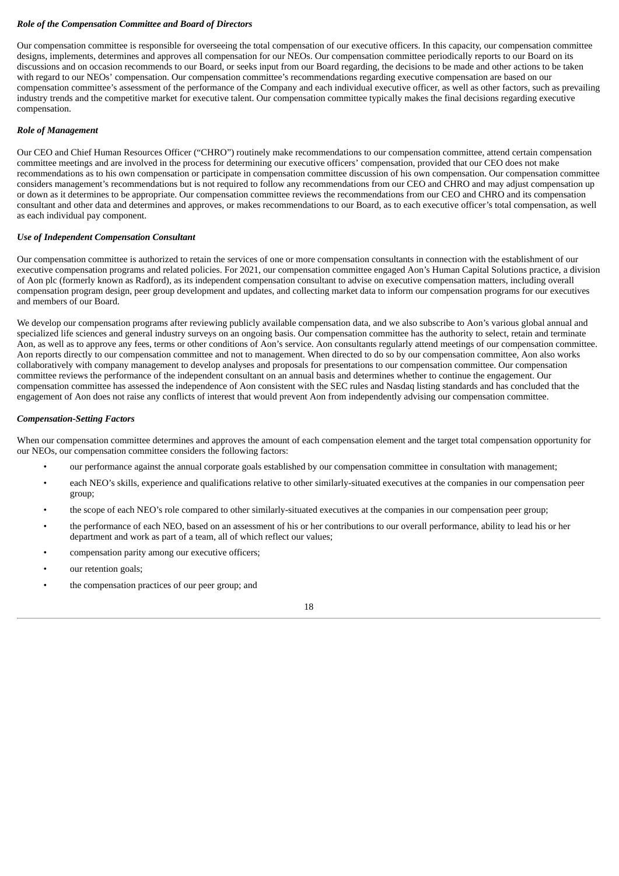#### *Role of the Compensation Committee and Board of Directors*

Our compensation committee is responsible for overseeing the total compensation of our executive officers. In this capacity, our compensation committee designs, implements, determines and approves all compensation for our NEOs. Our compensation committee periodically reports to our Board on its discussions and on occasion recommends to our Board, or seeks input from our Board regarding, the decisions to be made and other actions to be taken with regard to our NEOs' compensation. Our compensation committee's recommendations regarding executive compensation are based on our compensation committee's assessment of the performance of the Company and each individual executive officer, as well as other factors, such as prevailing industry trends and the competitive market for executive talent. Our compensation committee typically makes the final decisions regarding executive compensation.

#### *Role of Management*

Our CEO and Chief Human Resources Officer ("CHRO") routinely make recommendations to our compensation committee, attend certain compensation committee meetings and are involved in the process for determining our executive officers' compensation, provided that our CEO does not make recommendations as to his own compensation or participate in compensation committee discussion of his own compensation. Our compensation committee considers management's recommendations but is not required to follow any recommendations from our CEO and CHRO and may adjust compensation up or down as it determines to be appropriate. Our compensation committee reviews the recommendations from our CEO and CHRO and its compensation consultant and other data and determines and approves, or makes recommendations to our Board, as to each executive officer's total compensation, as well as each individual pay component.

#### *Use of Independent Compensation Consultant*

Our compensation committee is authorized to retain the services of one or more compensation consultants in connection with the establishment of our executive compensation programs and related policies. For 2021, our compensation committee engaged Aon's Human Capital Solutions practice, a division of Aon plc (formerly known as Radford), as its independent compensation consultant to advise on executive compensation matters, including overall compensation program design, peer group development and updates, and collecting market data to inform our compensation programs for our executives and members of our Board.

We develop our compensation programs after reviewing publicly available compensation data, and we also subscribe to Aon's various global annual and specialized life sciences and general industry surveys on an ongoing basis. Our compensation committee has the authority to select, retain and terminate Aon, as well as to approve any fees, terms or other conditions of Aon's service. Aon consultants regularly attend meetings of our compensation committee. Aon reports directly to our compensation committee and not to management. When directed to do so by our compensation committee, Aon also works collaboratively with company management to develop analyses and proposals for presentations to our compensation committee. Our compensation committee reviews the performance of the independent consultant on an annual basis and determines whether to continue the engagement. Our compensation committee has assessed the independence of Aon consistent with the SEC rules and Nasdaq listing standards and has concluded that the engagement of Aon does not raise any conflicts of interest that would prevent Aon from independently advising our compensation committee.

#### *Compensation-Setting Factors*

When our compensation committee determines and approves the amount of each compensation element and the target total compensation opportunity for our NEOs, our compensation committee considers the following factors:

- our performance against the annual corporate goals established by our compensation committee in consultation with management;
- each NEO's skills, experience and qualifications relative to other similarly-situated executives at the companies in our compensation peer group;
- the scope of each NEO's role compared to other similarly-situated executives at the companies in our compensation peer group;
- the performance of each NEO, based on an assessment of his or her contributions to our overall performance, ability to lead his or her department and work as part of a team, all of which reflect our values;
- compensation parity among our executive officers;
- our retention goals;
- the compensation practices of our peer group; and

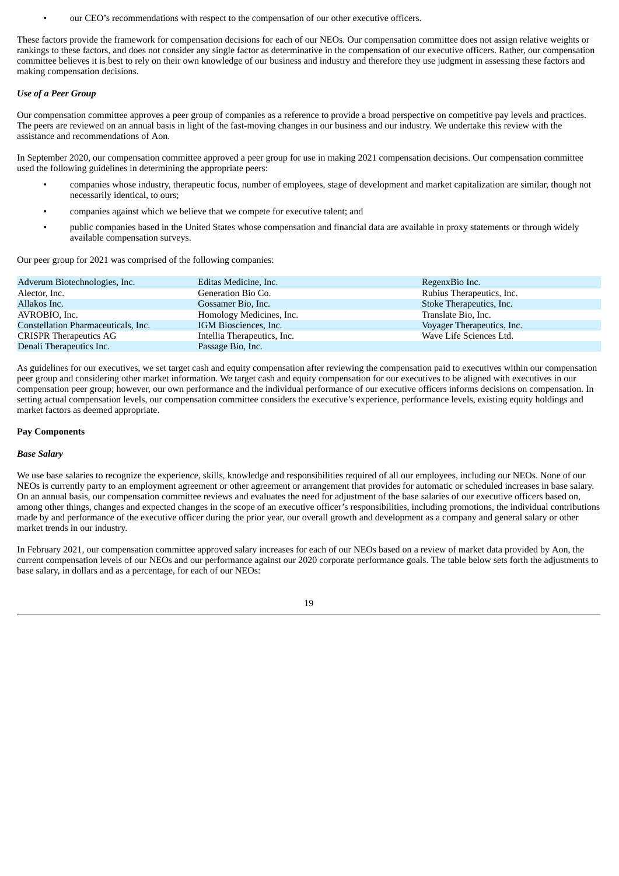our CEO's recommendations with respect to the compensation of our other executive officers.

These factors provide the framework for compensation decisions for each of our NEOs. Our compensation committee does not assign relative weights or rankings to these factors, and does not consider any single factor as determinative in the compensation of our executive officers. Rather, our compensation committee believes it is best to rely on their own knowledge of our business and industry and therefore they use judgment in assessing these factors and making compensation decisions.

#### *Use of a Peer Group*

Our compensation committee approves a peer group of companies as a reference to provide a broad perspective on competitive pay levels and practices. The peers are reviewed on an annual basis in light of the fast-moving changes in our business and our industry. We undertake this review with the assistance and recommendations of Aon.

In September 2020, our compensation committee approved a peer group for use in making 2021 compensation decisions. Our compensation committee used the following guidelines in determining the appropriate peers:

- companies whose industry, therapeutic focus, number of employees, stage of development and market capitalization are similar, though not necessarily identical, to ours;
- companies against which we believe that we compete for executive talent; and
- public companies based in the United States whose compensation and financial data are available in proxy statements or through widely available compensation surveys.

Our peer group for 2021 was comprised of the following companies:

| Adverum Biotechnologies, Inc.       | Editas Medicine, Inc.       | RegenxBio Inc.             |
|-------------------------------------|-----------------------------|----------------------------|
| Alector, Inc.                       | Generation Bio Co.          | Rubius Therapeutics, Inc.  |
| Allakos Inc.                        | Gossamer Bio, Inc.          | Stoke Therapeutics, Inc.   |
| AVROBIO, Inc.                       | Homology Medicines, Inc.    | Translate Bio, Inc.        |
| Constellation Pharmaceuticals, Inc. | IGM Biosciences, Inc.       | Voyager Therapeutics, Inc. |
| <b>CRISPR Therapeutics AG</b>       | Intellia Therapeutics, Inc. | Wave Life Sciences Ltd.    |
| Denali Therapeutics Inc.            | Passage Bio, Inc.           |                            |

As guidelines for our executives, we set target cash and equity compensation after reviewing the compensation paid to executives within our compensation peer group and considering other market information. We target cash and equity compensation for our executives to be aligned with executives in our compensation peer group; however, our own performance and the individual performance of our executive officers informs decisions on compensation. In setting actual compensation levels, our compensation committee considers the executive's experience, performance levels, existing equity holdings and market factors as deemed appropriate.

#### **Pay Components**

#### *Base Salary*

We use base salaries to recognize the experience, skills, knowledge and responsibilities required of all our employees, including our NEOs. None of our NEOs is currently party to an employment agreement or other agreement or arrangement that provides for automatic or scheduled increases in base salary. On an annual basis, our compensation committee reviews and evaluates the need for adjustment of the base salaries of our executive officers based on, among other things, changes and expected changes in the scope of an executive officer's responsibilities, including promotions, the individual contributions made by and performance of the executive officer during the prior year, our overall growth and development as a company and general salary or other market trends in our industry.

In February 2021, our compensation committee approved salary increases for each of our NEOs based on a review of market data provided by Aon, the current compensation levels of our NEOs and our performance against our 2020 corporate performance goals. The table below sets forth the adjustments to base salary, in dollars and as a percentage, for each of our NEOs:

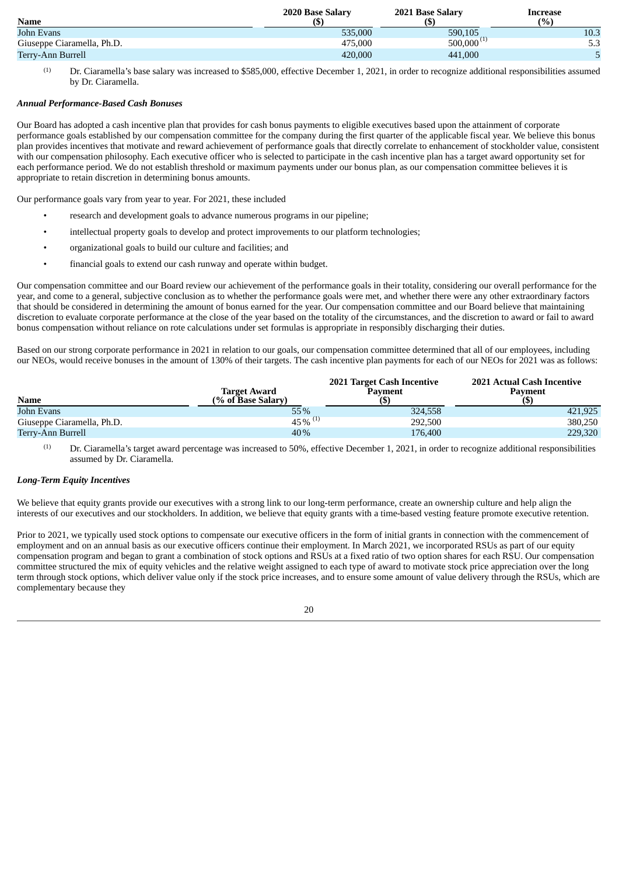|                            | 2020 Base Salary | 2021 Base Salary | Increase |
|----------------------------|------------------|------------------|----------|
| <b>Name</b>                | (S)              |                  | (9/0)    |
| John Evans                 | 535,000          | 590,105          | 10.3     |
| Giuseppe Ciaramella, Ph.D. | 475,000          | 500,000          | ں ں      |
| Terry-Ann Burrell          | 420,000          | 441,000          |          |

Dr. Ciaramella's base salary was increased to \$585,000, effective December 1, 2021, in order to recognize additional responsibilities assumed by Dr. Ciaramella. (1)

#### *Annual Performance-Based Cash Bonuses*

Our Board has adopted a cash incentive plan that provides for cash bonus payments to eligible executives based upon the attainment of corporate performance goals established by our compensation committee for the company during the first quarter of the applicable fiscal year. We believe this bonus plan provides incentives that motivate and reward achievement of performance goals that directly correlate to enhancement of stockholder value, consistent with our compensation philosophy. Each executive officer who is selected to participate in the cash incentive plan has a target award opportunity set for each performance period. We do not establish threshold or maximum payments under our bonus plan, as our compensation committee believes it is appropriate to retain discretion in determining bonus amounts.

Our performance goals vary from year to year. For 2021, these included

- research and development goals to advance numerous programs in our pipeline;
- intellectual property goals to develop and protect improvements to our platform technologies;
- organizational goals to build our culture and facilities; and
- financial goals to extend our cash runway and operate within budget.

Our compensation committee and our Board review our achievement of the performance goals in their totality, considering our overall performance for the year, and come to a general, subjective conclusion as to whether the performance goals were met, and whether there were any other extraordinary factors that should be considered in determining the amount of bonus earned for the year. Our compensation committee and our Board believe that maintaining discretion to evaluate corporate performance at the close of the year based on the totality of the circumstances, and the discretion to award or fail to award bonus compensation without reliance on rote calculations under set formulas is appropriate in responsibly discharging their duties.

Based on our strong corporate performance in 2021 in relation to our goals, our compensation committee determined that all of our employees, including our NEOs, would receive bonuses in the amount of 130% of their targets. The cash incentive plan payments for each of our NEOs for 2021 was as follows:

| <b>Name</b>                | Target Award<br>(% of Base Salary) | 2021 Target Cash Incentive<br>Pavment | 2021 Actual Cash Incentive<br>Pavment |
|----------------------------|------------------------------------|---------------------------------------|---------------------------------------|
| John Evans                 | 55%                                | 324,558                               | 421,925                               |
| Giuseppe Ciaramella, Ph.D. | $45\%$ <sup>(1)</sup>              | 292,500                               | 380,250                               |
| Terry-Ann Burrell          | 40%                                | 176,400                               | 229,320                               |

Dr. Ciaramella's target award percentage was increased to 50%, effective December 1, 2021, in order to recognize additional responsibilities assumed by Dr. Ciaramella. (1)

#### *Long-Term Equity Incentives*

We believe that equity grants provide our executives with a strong link to our long-term performance, create an ownership culture and help align the interests of our executives and our stockholders. In addition, we believe that equity grants with a time-based vesting feature promote executive retention.

Prior to 2021, we typically used stock options to compensate our executive officers in the form of initial grants in connection with the commencement of employment and on an annual basis as our executive officers continue their employment. In March 2021, we incorporated RSUs as part of our equity compensation program and began to grant a combination of stock options and RSUs at a fixed ratio of two option shares for each RSU. Our compensation committee structured the mix of equity vehicles and the relative weight assigned to each type of award to motivate stock price appreciation over the long term through stock options, which deliver value only if the stock price increases, and to ensure some amount of value delivery through the RSUs, which are complementary because they

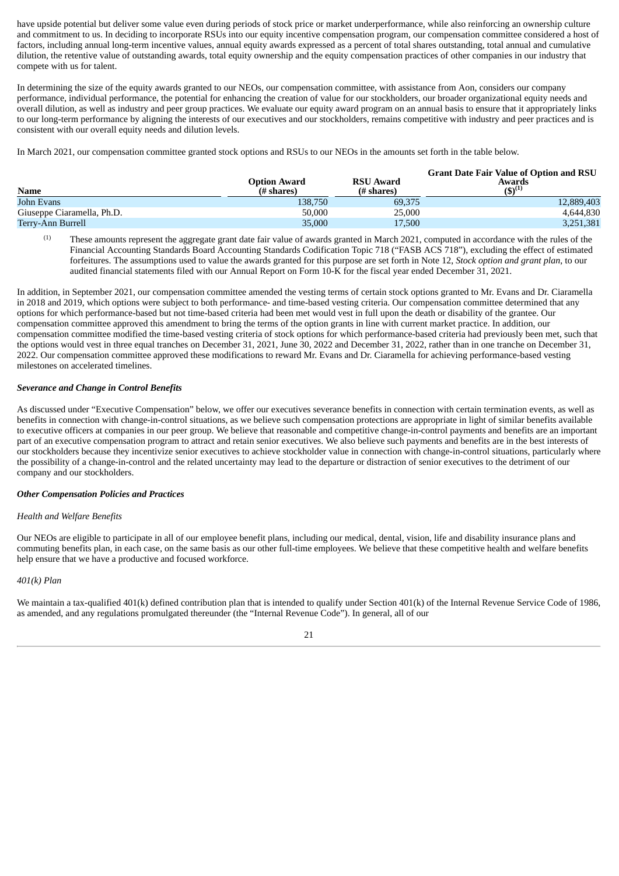have upside potential but deliver some value even during periods of stock price or market underperformance, while also reinforcing an ownership culture and commitment to us. In deciding to incorporate RSUs into our equity incentive compensation program, our compensation committee considered a host of factors, including annual long-term incentive values, annual equity awards expressed as a percent of total shares outstanding, total annual and cumulative dilution, the retentive value of outstanding awards, total equity ownership and the equity compensation practices of other companies in our industry that compete with us for talent.

In determining the size of the equity awards granted to our NEOs, our compensation committee, with assistance from Aon, considers our company performance, individual performance, the potential for enhancing the creation of value for our stockholders, our broader organizational equity needs and overall dilution, as well as industry and peer group practices. We evaluate our equity award program on an annual basis to ensure that it appropriately links to our long-term performance by aligning the interests of our executives and our stockholders, remains competitive with industry and peer practices and is consistent with our overall equity needs and dilution levels.

In March 2021, our compensation committee granted stock options and RSUs to our NEOs in the amounts set forth in the table below.

| Name                       | <b>Option Award</b><br>(# shares) | <b>RSU Award</b><br>(# shares) | <b>Grant Date Fair Value of Option and RSU</b><br>Awards<br>$(5)^{(1)}$ |
|----------------------------|-----------------------------------|--------------------------------|-------------------------------------------------------------------------|
| John Evans                 | 138.750                           | 69,375                         | 12,889,403                                                              |
| Giuseppe Ciaramella, Ph.D. | 50,000                            | 25,000                         | 4.644.830                                                               |
| Terry-Ann Burrell          | 35,000                            | 17,500                         | 3,251,381                                                               |

These amounts represent the aggregate grant date fair value of awards granted in March 2021, computed in accordance with the rules of the Financial Accounting Standards Board Accounting Standards Codification Topic 718 ("FASB ACS 718"), excluding the effect of estimated forfeitures. The assumptions used to value the awards granted for this purpose are set forth in Note 12, *Stock option and grant plan*, to our audited financial statements filed with our Annual Report on Form 10-K for the fiscal year ended December 31, 2021. (1)

In addition, in September 2021, our compensation committee amended the vesting terms of certain stock options granted to Mr. Evans and Dr. Ciaramella in 2018 and 2019, which options were subject to both performance- and time-based vesting criteria. Our compensation committee determined that any options for which performance-based but not time-based criteria had been met would vest in full upon the death or disability of the grantee. Our compensation committee approved this amendment to bring the terms of the option grants in line with current market practice. In addition, our compensation committee modified the time-based vesting criteria of stock options for which performance-based criteria had previously been met, such that the options would vest in three equal tranches on December 31, 2021, June 30, 2022 and December 31, 2022, rather than in one tranche on December 31, 2022. Our compensation committee approved these modifications to reward Mr. Evans and Dr. Ciaramella for achieving performance-based vesting milestones on accelerated timelines.

#### *Severance and Change in Control Benefits*

As discussed under "Executive Compensation" below, we offer our executives severance benefits in connection with certain termination events, as well as benefits in connection with change-in-control situations, as we believe such compensation protections are appropriate in light of similar benefits available to executive officers at companies in our peer group. We believe that reasonable and competitive change-in-control payments and benefits are an important part of an executive compensation program to attract and retain senior executives. We also believe such payments and benefits are in the best interests of our stockholders because they incentivize senior executives to achieve stockholder value in connection with change-in-control situations, particularly where the possibility of a change-in-control and the related uncertainty may lead to the departure or distraction of senior executives to the detriment of our company and our stockholders.

#### *Other Compensation Policies and Practices*

#### *Health and Welfare Benefits*

Our NEOs are eligible to participate in all of our employee benefit plans, including our medical, dental, vision, life and disability insurance plans and commuting benefits plan, in each case, on the same basis as our other full-time employees. We believe that these competitive health and welfare benefits help ensure that we have a productive and focused workforce.

#### *401(k) Plan*

We maintain a tax-qualified 401(k) defined contribution plan that is intended to qualify under Section 401(k) of the Internal Revenue Service Code of 1986. as amended, and any regulations promulgated thereunder (the "Internal Revenue Code"). In general, all of our

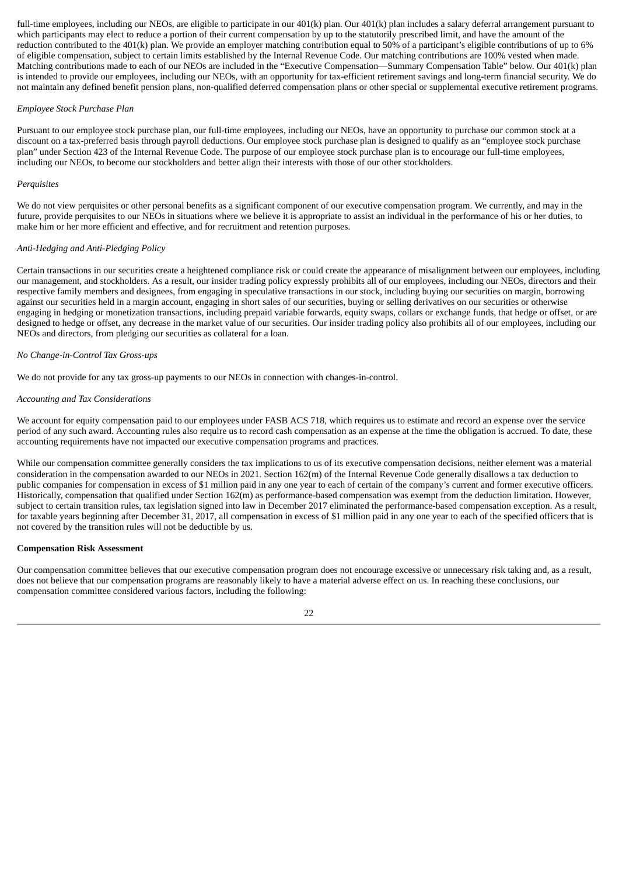full-time employees, including our NEOs, are eligible to participate in our 401(k) plan. Our 401(k) plan includes a salary deferral arrangement pursuant to which participants may elect to reduce a portion of their current compensation by up to the statutorily prescribed limit, and have the amount of the reduction contributed to the 401(k) plan. We provide an employer matching contribution equal to 50% of a participant's eligible contributions of up to 6% of eligible compensation, subject to certain limits established by the Internal Revenue Code. Our matching contributions are 100% vested when made. Matching contributions made to each of our NEOs are included in the "Executive Compensation—Summary Compensation Table" below. Our 401(k) plan is intended to provide our employees, including our NEOs, with an opportunity for tax-efficient retirement savings and long-term financial security. We do not maintain any defined benefit pension plans, non-qualified deferred compensation plans or other special or supplemental executive retirement programs.

#### *Employee Stock Purchase Plan*

Pursuant to our employee stock purchase plan, our full-time employees, including our NEOs, have an opportunity to purchase our common stock at a discount on a tax-preferred basis through payroll deductions. Our employee stock purchase plan is designed to qualify as an "employee stock purchase plan" under Section 423 of the Internal Revenue Code. The purpose of our employee stock purchase plan is to encourage our full-time employees, including our NEOs, to become our stockholders and better align their interests with those of our other stockholders.

#### *Perquisites*

We do not view perquisites or other personal benefits as a significant component of our executive compensation program. We currently, and may in the future, provide perquisites to our NEOs in situations where we believe it is appropriate to assist an individual in the performance of his or her duties, to make him or her more efficient and effective, and for recruitment and retention purposes.

#### *Anti-Hedging and Anti-Pledging Policy*

Certain transactions in our securities create a heightened compliance risk or could create the appearance of misalignment between our employees, including our management, and stockholders. As a result, our insider trading policy expressly prohibits all of our employees, including our NEOs, directors and their respective family members and designees, from engaging in speculative transactions in our stock, including buying our securities on margin, borrowing against our securities held in a margin account, engaging in short sales of our securities, buying or selling derivatives on our securities or otherwise engaging in hedging or monetization transactions, including prepaid variable forwards, equity swaps, collars or exchange funds, that hedge or offset, or are designed to hedge or offset, any decrease in the market value of our securities. Our insider trading policy also prohibits all of our employees, including our NEOs and directors, from pledging our securities as collateral for a loan.

#### *No Change-in-Control Tax Gross-ups*

We do not provide for any tax gross-up payments to our NEOs in connection with changes-in-control.

#### *Accounting and Tax Considerations*

We account for equity compensation paid to our employees under FASB ACS 718, which requires us to estimate and record an expense over the service period of any such award. Accounting rules also require us to record cash compensation as an expense at the time the obligation is accrued. To date, these accounting requirements have not impacted our executive compensation programs and practices.

While our compensation committee generally considers the tax implications to us of its executive compensation decisions, neither element was a material consideration in the compensation awarded to our NEOs in 2021. Section 162(m) of the Internal Revenue Code generally disallows a tax deduction to public companies for compensation in excess of \$1 million paid in any one year to each of certain of the company's current and former executive officers. Historically, compensation that qualified under Section 162(m) as performance-based compensation was exempt from the deduction limitation. However, subject to certain transition rules, tax legislation signed into law in December 2017 eliminated the performance-based compensation exception. As a result, for taxable years beginning after December 31, 2017, all compensation in excess of \$1 million paid in any one year to each of the specified officers that is not covered by the transition rules will not be deductible by us.

#### **Compensation Risk Assessment**

Our compensation committee believes that our executive compensation program does not encourage excessive or unnecessary risk taking and, as a result, does not believe that our compensation programs are reasonably likely to have a material adverse effect on us. In reaching these conclusions, our compensation committee considered various factors, including the following:

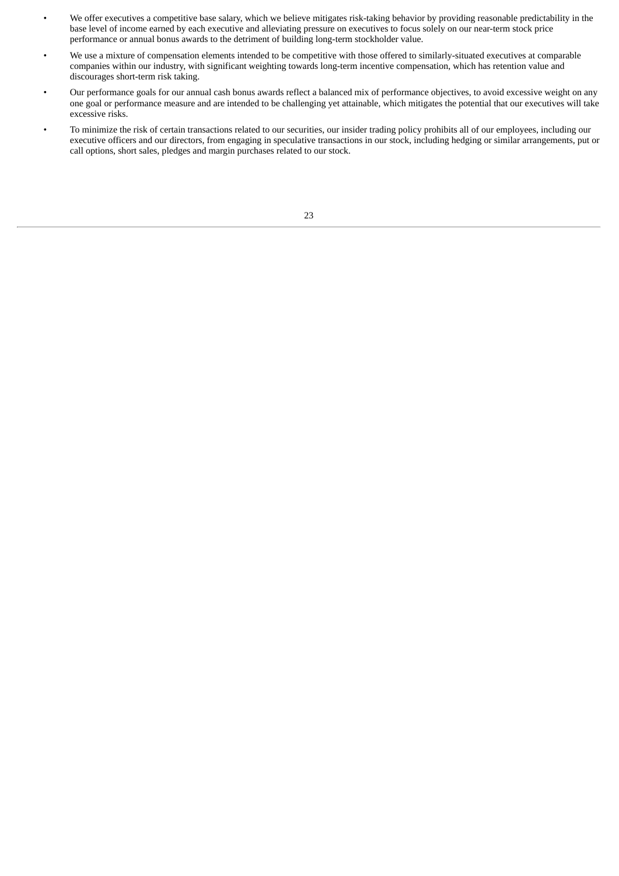- We offer executives a competitive base salary, which we believe mitigates risk-taking behavior by providing reasonable predictability in the base level of income earned by each executive and alleviating pressure on executives to focus solely on our near-term stock price performance or annual bonus awards to the detriment of building long-term stockholder value.
- We use a mixture of compensation elements intended to be competitive with those offered to similarly-situated executives at comparable companies within our industry, with significant weighting towards long-term incentive compensation, which has retention value and discourages short-term risk taking.
- Our performance goals for our annual cash bonus awards reflect a balanced mix of performance objectives, to avoid excessive weight on any one goal or performance measure and are intended to be challenging yet attainable, which mitigates the potential that our executives will take excessive risks.
- To minimize the risk of certain transactions related to our securities, our insider trading policy prohibits all of our employees, including our executive officers and our directors, from engaging in speculative transactions in our stock, including hedging or similar arrangements, put or call options, short sales, pledges and margin purchases related to our stock.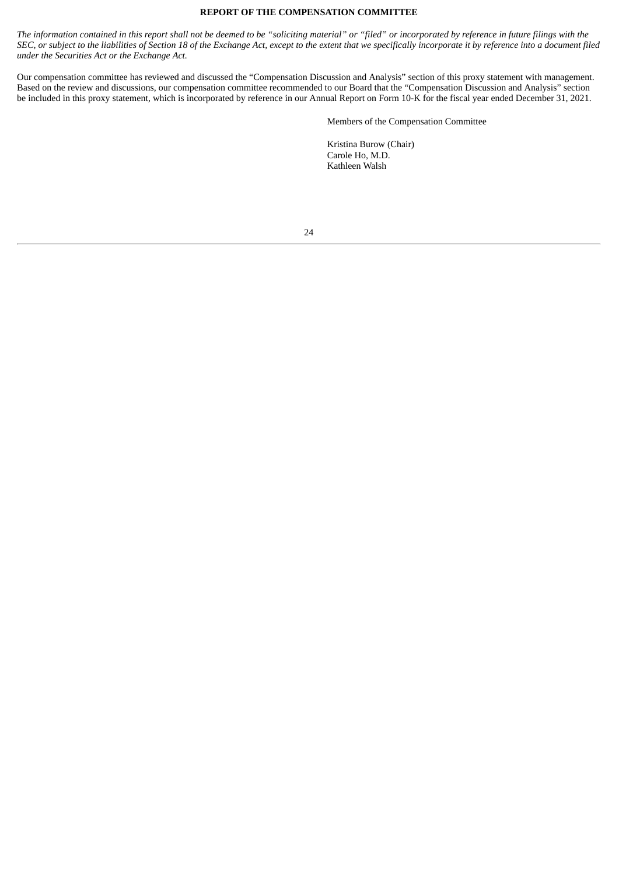#### **REPORT OF THE COMPENSATION COMMITTEE**

<span id="page-27-0"></span>The information contained in this report shall not be deemed to be "soliciting material" or "filed" or incorporated by reference in future filings with the SEC, or subject to the liabilities of Section 18 of the Exchange Act, except to the extent that we specifically incorporate it by reference into a document filed *under the Securities Act or the Exchange Act.*

Our compensation committee has reviewed and discussed the "Compensation Discussion and Analysis" section of this proxy statement with management. Based on the review and discussions, our compensation committee recommended to our Board that the "Compensation Discussion and Analysis" section be included in this proxy statement, which is incorporated by reference in our Annual Report on Form 10-K for the fiscal year ended December 31, 2021.

Members of the Compensation Committee

Kristina Burow (Chair) Carole Ho, M.D. Kathleen Walsh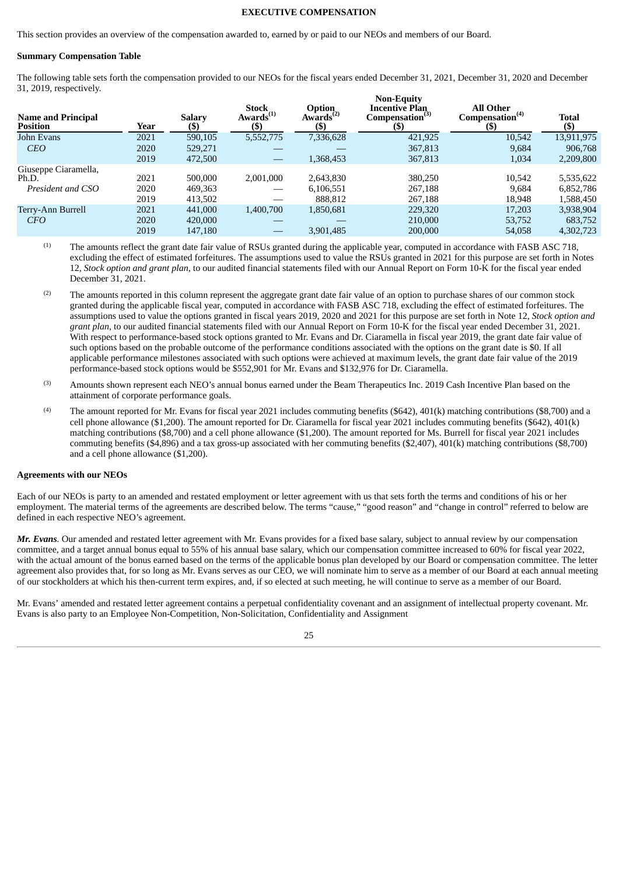#### **EXECUTIVE COMPENSATION**

<span id="page-28-0"></span>This section provides an overview of the compensation awarded to, earned by or paid to our NEOs and members of our Board.

#### **Summary Compensation Table**

The following table sets forth the compensation provided to our NEOs for the fiscal years ended December 31, 2021, December 31, 2020 and December 31, 2019, respectively. **Non-Equity**

| Year | <b>Salary</b><br>(\$) | <b>Stock</b><br>Awards <sup>(1)</sup><br>(\$) | <b>Option</b><br>Awards <sup><math>(2)</math></sup><br>$($ \$ | INOII-EQUILV<br>Incentive Plan<br>Compensation <sup>(3)</sup><br>(S) | <b>All Other</b><br>Compensation <sup>(4)</sup><br>(\$) | <b>Total</b><br>(\$) |
|------|-----------------------|-----------------------------------------------|---------------------------------------------------------------|----------------------------------------------------------------------|---------------------------------------------------------|----------------------|
| 2021 | 590,105               | 5,552,775                                     | 7,336,628                                                     | 421,925                                                              | 10,542                                                  | 13,911,975           |
| 2020 | 529.271               |                                               |                                                               | 367,813                                                              | 9,684                                                   | 906,768              |
| 2019 | 472,500               |                                               | 1,368,453                                                     | 367,813                                                              | 1,034                                                   | 2,209,800            |
|      |                       |                                               |                                                               |                                                                      |                                                         |                      |
| 2021 | 500,000               | 2,001,000                                     | 2,643,830                                                     | 380,250                                                              | 10,542                                                  | 5,535,622            |
| 2020 | 469,363               |                                               | 6,106,551                                                     | 267,188                                                              | 9,684                                                   | 6,852,786            |
| 2019 | 413,502               |                                               | 888.812                                                       | 267,188                                                              | 18,948                                                  | 1,588,450            |
| 2021 | 441,000               | 1,400,700                                     | 1,850,681                                                     | 229,320                                                              | 17,203                                                  | 3,938,904            |
| 2020 | 420,000               |                                               |                                                               | 210,000                                                              | 53,752                                                  | 683,752              |
| 2019 | 147,180               |                                               | 3,901,485                                                     | 200,000                                                              | 54,058                                                  | 4,302,723            |
|      |                       |                                               |                                                               |                                                                      |                                                         |                      |

The amounts reflect the grant date fair value of RSUs granted during the applicable year, computed in accordance with FASB ASC 718, excluding the effect of estimated forfeitures. The assumptions used to value the RSUs granted in 2021 for this purpose are set forth in Notes 12, *Stock option and grant plan*, to our audited financial statements filed with our Annual Report on Form 10-K for the fiscal year ended December 31, 2021. (1)

- The amounts reported in this column represent the aggregate grant date fair value of an option to purchase shares of our common stock granted during the applicable fiscal year, computed in accordance with FASB ASC 718, excluding the effect of estimated forfeitures. The assumptions used to value the options granted in fiscal years 2019, 2020 and 2021 for this purpose are set forth in Note 12, *Stock option and grant plan*, to our audited financial statements filed with our Annual Report on Form 10-K for the fiscal year ended December 31, 2021. With respect to performance-based stock options granted to Mr. Evans and Dr. Ciaramella in fiscal year 2019, the grant date fair value of such options based on the probable outcome of the performance conditions associated with the options on the grant date is \$0. If all applicable performance milestones associated with such options were achieved at maximum levels, the grant date fair value of the 2019 performance-based stock options would be \$552,901 for Mr. Evans and \$132,976 for Dr. Ciaramella. (2)
- Amounts shown represent each NEO's annual bonus earned under the Beam Therapeutics Inc. 2019 Cash Incentive Plan based on the attainment of corporate performance goals. (3)
- The amount reported for Mr. Evans for fiscal year 2021 includes commuting benefits (\$642), 401(k) matching contributions (\$8,700) and a cell phone allowance (\$1,200). The amount reported for Dr. Ciaramella for fiscal year 2021 includes commuting benefits (\$642), 401(k) matching contributions (\$8,700) and a cell phone allowance (\$1,200). The amount reported for Ms. Burrell for fiscal year 2021 includes commuting benefits (\$4,896) and a tax gross-up associated with her commuting benefits (\$2,407), 401(k) matching contributions (\$8,700) and a cell phone allowance (\$1,200). (4)

#### **Agreements with our NEOs**

Each of our NEOs is party to an amended and restated employment or letter agreement with us that sets forth the terms and conditions of his or her employment. The material terms of the agreements are described below. The terms "cause," "good reason" and "change in control" referred to below are defined in each respective NEO's agreement.

*Mr. Evans.* Our amended and restated letter agreement with Mr. Evans provides for a fixed base salary, subject to annual review by our compensation committee, and a target annual bonus equal to 55% of his annual base salary, which our compensation committee increased to 60% for fiscal year 2022, with the actual amount of the bonus earned based on the terms of the applicable bonus plan developed by our Board or compensation committee. The letter agreement also provides that, for so long as Mr. Evans serves as our CEO, we will nominate him to serve as a member of our Board at each annual meeting of our stockholders at which his then-current term expires, and, if so elected at such meeting, he will continue to serve as a member of our Board.

Mr. Evans' amended and restated letter agreement contains a perpetual confidentiality covenant and an assignment of intellectual property covenant. Mr. Evans is also party to an Employee Non-Competition, Non-Solicitation, Confidentiality and Assignment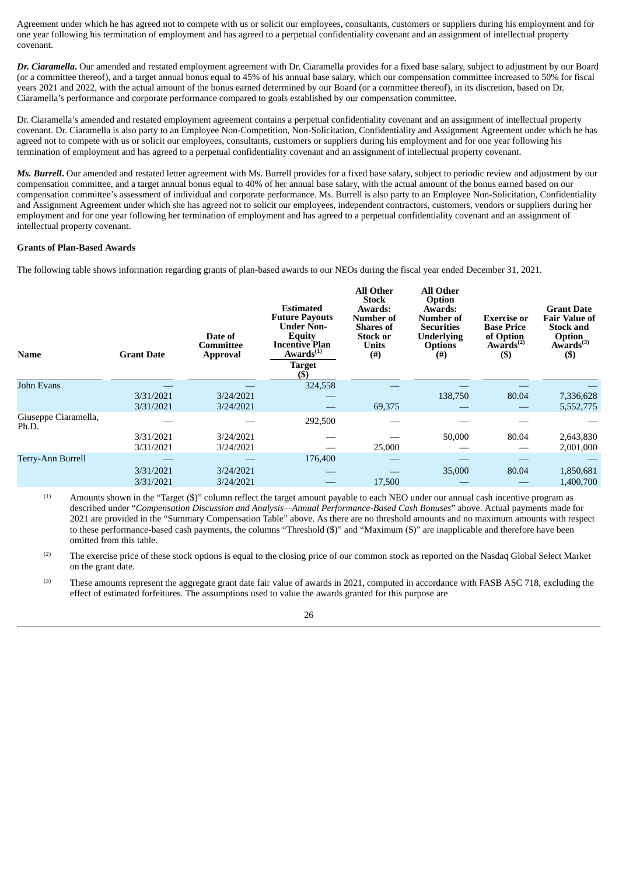Agreement under which he has agreed not to compete with us or solicit our employees, consultants, customers or suppliers during his employment and for one year following his termination of employment and has agreed to a perpetual confidentiality covenant and an assignment of intellectual property covenant.

*Dr. Ciaramella***.** Our amended and restated employment agreement with Dr. Ciaramella provides for a fixed base salary, subject to adjustment by our Board (or a committee thereof), and a target annual bonus equal to 45% of his annual base salary, which our compensation committee increased to 50% for fiscal years 2021 and 2022, with the actual amount of the bonus earned determined by our Board (or a committee thereof), in its discretion, based on Dr. Ciaramella's performance and corporate performance compared to goals established by our compensation committee.

Dr. Ciaramella's amended and restated employment agreement contains a perpetual confidentiality covenant and an assignment of intellectual property covenant. Dr. Ciaramella is also party to an Employee Non-Competition, Non-Solicitation, Confidentiality and Assignment Agreement under which he has agreed not to compete with us or solicit our employees, consultants, customers or suppliers during his employment and for one year following his termination of employment and has agreed to a perpetual confidentiality covenant and an assignment of intellectual property covenant.

*Ms. Burrell***.** Our amended and restated letter agreement with Ms. Burrell provides for a fixed base salary, subject to periodic review and adjustment by our compensation committee, and a target annual bonus equal to 40% of her annual base salary, with the actual amount of the bonus earned based on our compensation committee's assessment of individual and corporate performance. Ms. Burrell is also party to an Employee Non-Solicitation, Confidentiality and Assignment Agreement under which she has agreed not to solicit our employees, independent contractors, customers, vendors or suppliers during her employment and for one year following her termination of employment and has agreed to a perpetual confidentiality covenant and an assignment of intellectual property covenant.

#### **Grants of Plan-Based Awards**

The following table shows information regarding grants of plan-based awards to our NEOs during the fiscal year ended December 31, 2021.

| <b>Name</b>                   | <b>Grant Date</b> | Date of<br>Committee<br><b>Approval</b> | <b>Estimated</b><br><b>Future Payouts</b><br><b>Under Non-</b><br>Equity<br><b>Incentive Plan</b><br>Awards <sup>(1)</sup><br><b>Target</b><br>$(\$)$ | <b>All Other</b><br><b>Stock</b><br>Awards:<br>Number of<br><b>Shares of</b><br><b>Stock or</b><br><b>Units</b><br>$(\#)$ | <b>All Other</b><br>Option<br>Awards:<br>Number of<br><b>Securities</b><br><b>Underlying</b><br><b>Options</b><br>$^{(#)}$ | Exercise or<br><b>Base Price</b><br>of Option<br>Awards <sup><math>(2)</math></sup><br>$($)$ | <b>Grant Date</b><br><b>Fair Value of</b><br><b>Stock and</b><br>Option<br>$A\mathbf{w} \cdot \mathbf{a}$ rds <sup>(3)</sup><br>$($)$ |
|-------------------------------|-------------------|-----------------------------------------|-------------------------------------------------------------------------------------------------------------------------------------------------------|---------------------------------------------------------------------------------------------------------------------------|----------------------------------------------------------------------------------------------------------------------------|----------------------------------------------------------------------------------------------|---------------------------------------------------------------------------------------------------------------------------------------|
| John Evans                    |                   |                                         | 324,558                                                                                                                                               |                                                                                                                           |                                                                                                                            |                                                                                              |                                                                                                                                       |
|                               | 3/31/2021         | 3/24/2021                               |                                                                                                                                                       |                                                                                                                           | 138,750                                                                                                                    | 80.04                                                                                        | 7,336,628                                                                                                                             |
|                               | 3/31/2021         | 3/24/2021                               |                                                                                                                                                       | 69,375                                                                                                                    |                                                                                                                            |                                                                                              | 5,552,775                                                                                                                             |
| Giuseppe Ciaramella,<br>Ph.D. |                   |                                         | 292,500                                                                                                                                               |                                                                                                                           |                                                                                                                            |                                                                                              |                                                                                                                                       |
|                               | 3/31/2021         | 3/24/2021                               |                                                                                                                                                       |                                                                                                                           | 50,000                                                                                                                     | 80.04                                                                                        | 2,643,830                                                                                                                             |
|                               | 3/31/2021         | 3/24/2021                               |                                                                                                                                                       | 25,000                                                                                                                    |                                                                                                                            |                                                                                              | 2,001,000                                                                                                                             |
| Terry-Ann Burrell             |                   |                                         | 176,400                                                                                                                                               |                                                                                                                           |                                                                                                                            |                                                                                              |                                                                                                                                       |
|                               | 3/31/2021         | 3/24/2021                               |                                                                                                                                                       |                                                                                                                           | 35,000                                                                                                                     | 80.04                                                                                        | 1,850,681                                                                                                                             |
|                               | 3/31/2021         | 3/24/2021                               |                                                                                                                                                       | 17,500                                                                                                                    |                                                                                                                            |                                                                                              | 1,400,700                                                                                                                             |
|                               |                   |                                         |                                                                                                                                                       |                                                                                                                           |                                                                                                                            |                                                                                              |                                                                                                                                       |

Amounts shown in the "Target (\$)" column reflect the target amount payable to each NEO under our annual cash incentive program as described under "*Compensation Discussion and Analysis—Annual Performance-Based Cash Bonuses*" above. Actual payments made for 2021 are provided in the "Summary Compensation Table" above. As there are no threshold amounts and no maximum amounts with respect to these performance-based cash payments, the columns "Threshold (\$)" and "Maximum (\$)" are inapplicable and therefore have been omitted from this table. (1)

The exercise price of these stock options is equal to the closing price of our common stock as reported on the Nasdaq Global Select Market on the grant date. (2)

These amounts represent the aggregate grant date fair value of awards in 2021, computed in accordance with FASB ASC 718, excluding the effect of estimated forfeitures. The assumptions used to value the awards granted for this purpose are (3)

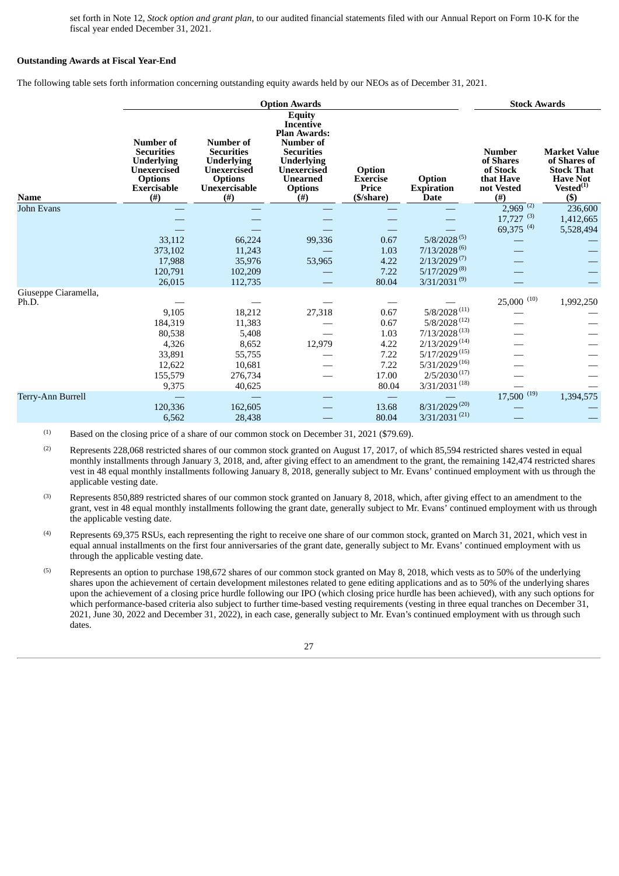set forth in Note 12, *Stock option and grant plan*, to our audited financial statements filed with our Annual Report on Form 10-K for the fiscal year ended December 31, 2021.

#### **Outstanding Awards at Fiscal Year-End**

The following table sets forth information concerning outstanding equity awards held by our NEOs as of December 31, 2021.

|                               |                                                                                                                                 |                                                                                                                            | <b>Option Awards</b>                                                                                                                                                                   |                                                  |                                            | <b>Stock Awards</b>                                                       |                                                                                                          |
|-------------------------------|---------------------------------------------------------------------------------------------------------------------------------|----------------------------------------------------------------------------------------------------------------------------|----------------------------------------------------------------------------------------------------------------------------------------------------------------------------------------|--------------------------------------------------|--------------------------------------------|---------------------------------------------------------------------------|----------------------------------------------------------------------------------------------------------|
| <b>Name</b>                   | <b>Number of</b><br><b>Securities</b><br><b>Underlying</b><br><b>Unexercised</b><br><b>Options</b><br><b>Exercisable</b><br>(#) | <b>Number of</b><br><b>Securities</b><br><b>Underlying</b><br><b>Unexercised</b><br><b>Options</b><br>Unexercisable<br>(#) | <b>Equity</b><br>Incentive<br><b>Plan Awards:</b><br><b>Number of</b><br><b>Securities</b><br><b>Underlying</b><br><b>Unexercised</b><br><b>Unearned</b><br><b>Options</b><br>$^{(#)}$ | Option<br><b>Exercise</b><br>Price<br>(\$/share) | Option<br><b>Expiration</b><br><b>Date</b> | <b>Number</b><br>of Shares<br>of Stock<br>that Have<br>not Vested<br>(f#) | <b>Market Value</b><br>of Shares of<br><b>Stock That</b><br><b>Have Not</b><br>$Vested^{(1)}$<br>$($ \$) |
| John Evans                    |                                                                                                                                 |                                                                                                                            |                                                                                                                                                                                        |                                                  |                                            | $2,969$ <sup>(2)</sup>                                                    | 236,600                                                                                                  |
|                               |                                                                                                                                 |                                                                                                                            |                                                                                                                                                                                        |                                                  |                                            | $17,727$ <sup>(3)</sup><br>69,375 $^{(4)}$                                | 1,412,665<br>5,528,494                                                                                   |
|                               | 33,112                                                                                                                          | 66,224                                                                                                                     | 99,336                                                                                                                                                                                 | 0.67                                             | $5/8/2028^{(5)}$                           |                                                                           |                                                                                                          |
|                               | 373,102                                                                                                                         | 11,243                                                                                                                     |                                                                                                                                                                                        | 1.03                                             | $7/13/2028^{(6)}$                          |                                                                           |                                                                                                          |
|                               | 17,988                                                                                                                          | 35,976                                                                                                                     | 53,965                                                                                                                                                                                 | 4.22                                             | $2/13/2029^{(7)}$<br>$5/17/2029^{(8)}$     |                                                                           |                                                                                                          |
|                               | 120,791<br>26,015                                                                                                               | 102,209<br>112,735                                                                                                         |                                                                                                                                                                                        | 7.22<br>80.04                                    | $3/31/2031^{(9)}$                          |                                                                           |                                                                                                          |
| Giuseppe Ciaramella,<br>Ph.D. |                                                                                                                                 |                                                                                                                            |                                                                                                                                                                                        |                                                  |                                            | $25,000$ <sup>(10)</sup>                                                  | 1,992,250                                                                                                |
|                               | 9,105                                                                                                                           | 18,212                                                                                                                     | 27,318                                                                                                                                                                                 | 0.67                                             | $5/8/2028^{\,(11)}$                        |                                                                           |                                                                                                          |
|                               | 184,319                                                                                                                         | 11,383                                                                                                                     |                                                                                                                                                                                        | 0.67                                             | $5/8/2028$ <sup>(12)</sup>                 |                                                                           |                                                                                                          |
|                               | 80,538                                                                                                                          | 5,408                                                                                                                      |                                                                                                                                                                                        | 1.03                                             | $7/13/2028$ <sup>(13)</sup>                |                                                                           |                                                                                                          |
|                               | 4,326                                                                                                                           | 8,652                                                                                                                      | 12,979                                                                                                                                                                                 | 4.22                                             | $2/13/2029^{(14)}$                         |                                                                           |                                                                                                          |
|                               | 33,891                                                                                                                          | 55,755                                                                                                                     |                                                                                                                                                                                        | 7.22                                             | $5/17/2029^{(15)}$                         |                                                                           |                                                                                                          |
|                               | 12,622                                                                                                                          | 10,681                                                                                                                     |                                                                                                                                                                                        | 7.22                                             | $5/31/2029^{(16)}$                         |                                                                           |                                                                                                          |
|                               | 155,579                                                                                                                         | 276,734                                                                                                                    |                                                                                                                                                                                        | 17.00                                            | $2/5/2030^{(17)}$<br>$3/31/2031^{(18)}$    |                                                                           |                                                                                                          |
| Terry-Ann Burrell             | 9,375                                                                                                                           | 40,625                                                                                                                     |                                                                                                                                                                                        | 80.04                                            |                                            | $17,500$ <sup>(19)</sup>                                                  | 1,394,575                                                                                                |
|                               | 120,336                                                                                                                         | 162,605                                                                                                                    |                                                                                                                                                                                        | 13.68                                            | $8/31/2029^{(20)}$                         |                                                                           |                                                                                                          |
|                               | 6,562                                                                                                                           | 28,438                                                                                                                     |                                                                                                                                                                                        | 80.04                                            | $3/31/2031^{(21)}$                         |                                                                           |                                                                                                          |

Based on the closing price of a share of our common stock on December 31, 2021 (\$79.69). (1)

Represents 228,068 restricted shares of our common stock granted on August 17, 2017, of which 85,594 restricted shares vested in equal monthly installments through January 3, 2018, and, after giving effect to an amendment to the grant, the remaining 142,474 restricted shares vest in 48 equal monthly installments following January 8, 2018, generally subject to Mr. Evans' continued employment with us through the applicable vesting date. (2)

Represents 850,889 restricted shares of our common stock granted on January 8, 2018, which, after giving effect to an amendment to the grant, vest in 48 equal monthly installments following the grant date, generally subject to Mr. Evans' continued employment with us through the applicable vesting date. (3)

Represents 69,375 RSUs, each representing the right to receive one share of our common stock, granted on March 31, 2021, which vest in equal annual installments on the first four anniversaries of the grant date, generally subject to Mr. Evans' continued employment with us through the applicable vesting date. (4)

Represents an option to purchase 198,672 shares of our common stock granted on May 8, 2018, which vests as to 50% of the underlying shares upon the achievement of certain development milestones related to gene editing applications and as to 50% of the underlying shares upon the achievement of a closing price hurdle following our IPO (which closing price hurdle has been achieved), with any such options for which performance-based criteria also subject to further time-based vesting requirements (vesting in three equal tranches on December 31, 2021, June 30, 2022 and December 31, 2022), in each case, generally subject to Mr. Evan's continued employment with us through such dates. (5)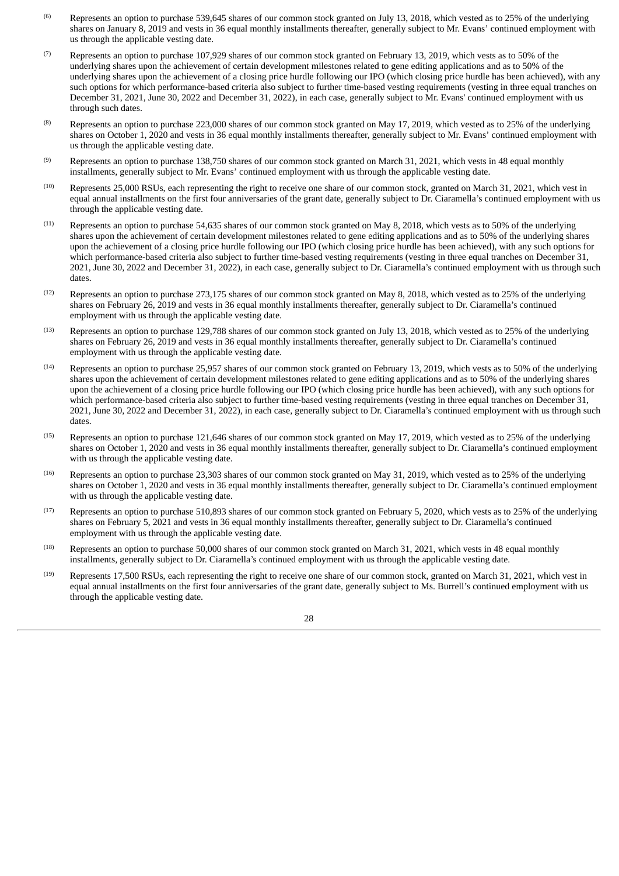- Represents an option to purchase 539,645 shares of our common stock granted on July 13, 2018, which vested as to 25% of the underlying shares on January 8, 2019 and vests in 36 equal monthly installments thereafter, generally subject to Mr. Evans' continued employment with us through the applicable vesting date. (6)
- Represents an option to purchase 107,929 shares of our common stock granted on February 13, 2019, which vests as to 50% of the underlying shares upon the achievement of certain development milestones related to gene editing applications and as to 50% of the underlying shares upon the achievement of a closing price hurdle following our IPO (which closing price hurdle has been achieved), with any such options for which performance-based criteria also subject to further time-based vesting requirements (vesting in three equal tranches on December 31, 2021, June 30, 2022 and December 31, 2022), in each case, generally subject to Mr. Evans' continued employment with us through such dates. (7)
- Represents an option to purchase 223,000 shares of our common stock granted on May 17, 2019, which vested as to 25% of the underlying shares on October 1, 2020 and vests in 36 equal monthly installments thereafter, generally subject to Mr. Evans' continued employment with us through the applicable vesting date. (8)
- Represents an option to purchase 138,750 shares of our common stock granted on March 31, 2021, which vests in 48 equal monthly installments, generally subject to Mr. Evans' continued employment with us through the applicable vesting date. (9)
- Represents 25,000 RSUs, each representing the right to receive one share of our common stock, granted on March 31, 2021, which vest in equal annual installments on the first four anniversaries of the grant date, generally subject to Dr. Ciaramella's continued employment with us through the applicable vesting date. (10)
- Represents an option to purchase 54,635 shares of our common stock granted on May 8, 2018, which vests as to 50% of the underlying shares upon the achievement of certain development milestones related to gene editing applications and as to 50% of the underlying shares upon the achievement of a closing price hurdle following our IPO (which closing price hurdle has been achieved), with any such options for which performance-based criteria also subject to further time-based vesting requirements (vesting in three equal tranches on December 31, 2021, June 30, 2022 and December 31, 2022), in each case, generally subject to Dr. Ciaramella's continued employment with us through such dates. (11)
- Represents an option to purchase 273,175 shares of our common stock granted on May 8, 2018, which vested as to 25% of the underlying shares on February 26, 2019 and vests in 36 equal monthly installments thereafter, generally subject to Dr. Ciaramella's continued employment with us through the applicable vesting date. (12)
- Represents an option to purchase 129,788 shares of our common stock granted on July 13, 2018, which vested as to 25% of the underlying shares on February 26, 2019 and vests in 36 equal monthly installments thereafter, generally subject to Dr. Ciaramella's continued employment with us through the applicable vesting date. (13)
- Represents an option to purchase 25,957 shares of our common stock granted on February 13, 2019, which vests as to 50% of the underlying shares upon the achievement of certain development milestones related to gene editing applications and as to 50% of the underlying shares upon the achievement of a closing price hurdle following our IPO (which closing price hurdle has been achieved), with any such options for which performance-based criteria also subject to further time-based vesting requirements (vesting in three equal tranches on December 31, 2021, June 30, 2022 and December 31, 2022), in each case, generally subject to Dr. Ciaramella's continued employment with us through such dates. (14)
- Represents an option to purchase 121,646 shares of our common stock granted on May 17, 2019, which vested as to 25% of the underlying shares on October 1, 2020 and vests in 36 equal monthly installments thereafter, generally subject to Dr. Ciaramella's continued employment with us through the applicable vesting date. (15)
- Represents an option to purchase 23,303 shares of our common stock granted on May 31, 2019, which vested as to 25% of the underlying shares on October 1, 2020 and vests in 36 equal monthly installments thereafter, generally subject to Dr. Ciaramella's continued employment with us through the applicable vesting date. (16)
- Represents an option to purchase 510,893 shares of our common stock granted on February 5, 2020, which vests as to 25% of the underlying shares on February 5, 2021 and vests in 36 equal monthly installments thereafter, generally subject to Dr. Ciaramella's continued employment with us through the applicable vesting date. (17)
- Represents an option to purchase 50,000 shares of our common stock granted on March 31, 2021, which vests in 48 equal monthly installments, generally subject to Dr. Ciaramella's continued employment with us through the applicable vesting date. (18)
- Represents 17,500 RSUs, each representing the right to receive one share of our common stock, granted on March 31, 2021, which vest in equal annual installments on the first four anniversaries of the grant date, generally subject to Ms. Burrell's continued employment with us through the applicable vesting date. (19)

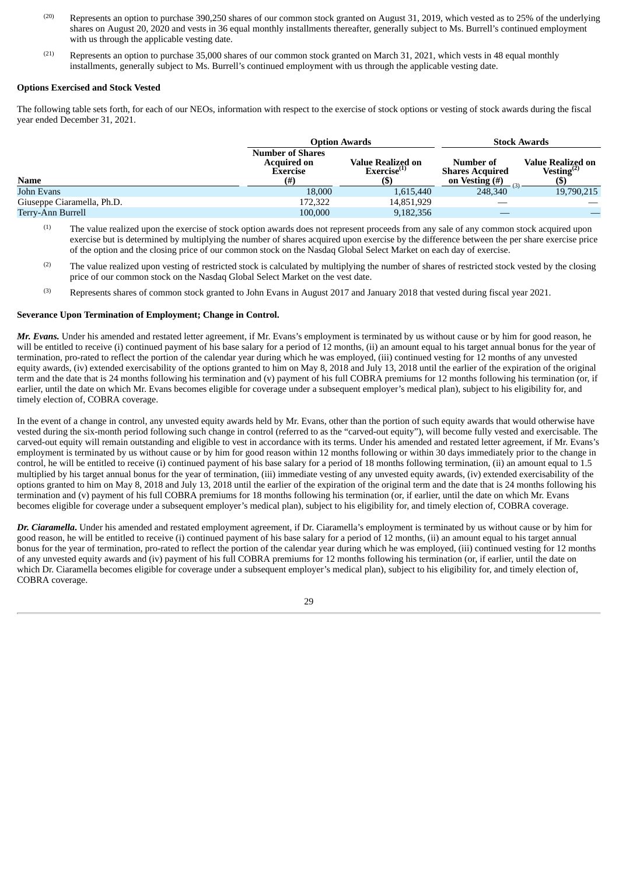- Represents an option to purchase 390,250 shares of our common stock granted on August 31, 2019, which vested as to 25% of the underlying shares on August 20, 2020 and vests in 36 equal monthly installments thereafter, generally subject to Ms. Burrell's continued employment with us through the applicable vesting date. (20)
- Represents an option to purchase 35,000 shares of our common stock granted on March 31, 2021, which vests in 48 equal monthly installments, generally subject to Ms. Burrell's continued employment with us through the applicable vesting date. (21)

#### **Options Exercised and Stock Vested**

The following table sets forth, for each of our NEOs, information with respect to the exercise of stock options or vesting of stock awards during the fiscal year ended December 31, 2021.

|                            |                                                                         | <b>Option Awards</b>                         | <b>Stock Awards</b>                                   |                                       |  |  |
|----------------------------|-------------------------------------------------------------------------|----------------------------------------------|-------------------------------------------------------|---------------------------------------|--|--|
| <b>Name</b>                | <b>Number of Shares</b><br><b>Acquired on</b><br><b>Exercise</b><br>(#) | Value Realized on<br>Exercise <sup>(1)</sup> | Number of<br><b>Shares Acquired</b><br>on Vesting (#) | Value Realized on<br>Vesting $^{(2)}$ |  |  |
| John Evans                 | 18,000                                                                  | 1,615,440                                    | (3)<br>248,340                                        | 19,790,215                            |  |  |
| Giuseppe Ciaramella, Ph.D. | 172,322                                                                 | 14,851,929                                   |                                                       |                                       |  |  |
| Terry-Ann Burrell          | 100,000                                                                 | 9,182,356                                    |                                                       |                                       |  |  |

The value realized upon the exercise of stock option awards does not represent proceeds from any sale of any common stock acquired upon exercise but is determined by multiplying the number of shares acquired upon exercise by the difference between the per share exercise price of the option and the closing price of our common stock on the Nasdaq Global Select Market on each day of exercise. (1)

- The value realized upon vesting of restricted stock is calculated by multiplying the number of shares of restricted stock vested by the closing price of our common stock on the Nasdaq Global Select Market on the vest date. (2)
- Represents shares of common stock granted to John Evans in August 2017 and January 2018 that vested during fiscal year 2021. (3)

#### **Severance Upon Termination of Employment; Change in Control.**

*Mr. Evans.* Under his amended and restated letter agreement, if Mr. Evans's employment is terminated by us without cause or by him for good reason, he will be entitled to receive (i) continued payment of his base salary for a period of 12 months, (ii) an amount equal to his target annual bonus for the year of termination, pro-rated to reflect the portion of the calendar year during which he was employed, (iii) continued vesting for 12 months of any unvested equity awards, (iv) extended exercisability of the options granted to him on May 8, 2018 and July 13, 2018 until the earlier of the expiration of the original term and the date that is 24 months following his termination and (v) payment of his full COBRA premiums for 12 months following his termination (or, if earlier, until the date on which Mr. Evans becomes eligible for coverage under a subsequent employer's medical plan), subject to his eligibility for, and timely election of, COBRA coverage.

In the event of a change in control, any unvested equity awards held by Mr. Evans, other than the portion of such equity awards that would otherwise have vested during the six-month period following such change in control (referred to as the "carved-out equity"), will become fully vested and exercisable. The carved-out equity will remain outstanding and eligible to vest in accordance with its terms. Under his amended and restated letter agreement, if Mr. Evans's employment is terminated by us without cause or by him for good reason within 12 months following or within 30 days immediately prior to the change in control, he will be entitled to receive (i) continued payment of his base salary for a period of 18 months following termination, (ii) an amount equal to 1.5 multiplied by his target annual bonus for the year of termination, (iii) immediate vesting of any unvested equity awards, (iv) extended exercisability of the options granted to him on May 8, 2018 and July 13, 2018 until the earlier of the expiration of the original term and the date that is 24 months following his termination and (v) payment of his full COBRA premiums for 18 months following his termination (or, if earlier, until the date on which Mr. Evans becomes eligible for coverage under a subsequent employer's medical plan), subject to his eligibility for, and timely election of, COBRA coverage.

*Dr. Ciaramella***.** Under his amended and restated employment agreement, if Dr. Ciaramella's employment is terminated by us without cause or by him for good reason, he will be entitled to receive (i) continued payment of his base salary for a period of 12 months, (ii) an amount equal to his target annual bonus for the year of termination, pro-rated to reflect the portion of the calendar year during which he was employed, (iii) continued vesting for 12 months of any unvested equity awards and (iv) payment of his full COBRA premiums for 12 months following his termination (or, if earlier, until the date on which Dr. Ciaramella becomes eligible for coverage under a subsequent employer's medical plan), subject to his eligibility for, and timely election of, COBRA coverage.

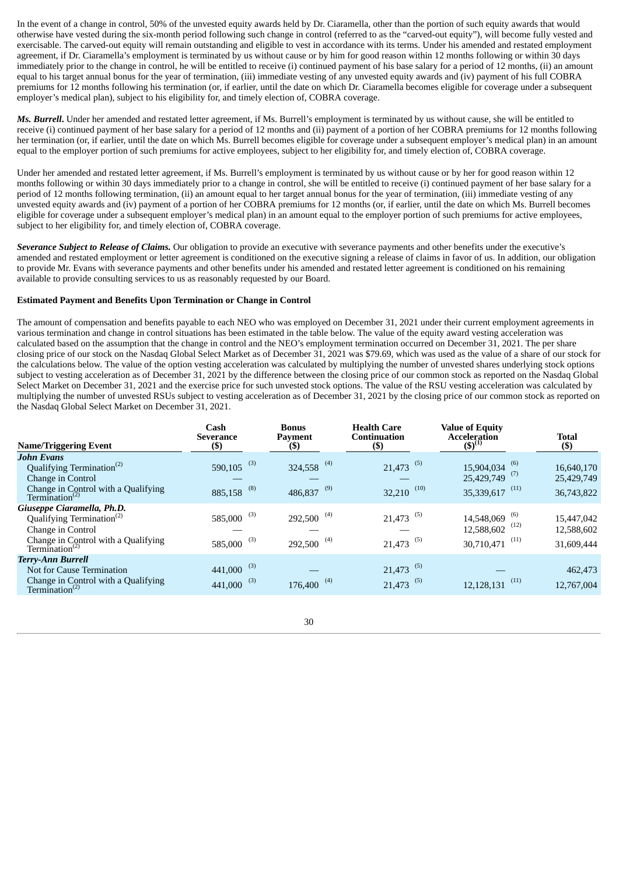In the event of a change in control, 50% of the unvested equity awards held by Dr. Ciaramella, other than the portion of such equity awards that would otherwise have vested during the six-month period following such change in control (referred to as the "carved-out equity"), will become fully vested and exercisable. The carved-out equity will remain outstanding and eligible to vest in accordance with its terms. Under his amended and restated employment agreement, if Dr. Ciaramella's employment is terminated by us without cause or by him for good reason within 12 months following or within 30 days immediately prior to the change in control, he will be entitled to receive (i) continued payment of his base salary for a period of 12 months, (ii) an amount equal to his target annual bonus for the year of termination, (iii) immediate vesting of any unvested equity awards and (iv) payment of his full COBRA premiums for 12 months following his termination (or, if earlier, until the date on which Dr. Ciaramella becomes eligible for coverage under a subsequent employer's medical plan), subject to his eligibility for, and timely election of, COBRA coverage.

*Ms. Burrell***.** Under her amended and restated letter agreement, if Ms. Burrell's employment is terminated by us without cause, she will be entitled to receive (i) continued payment of her base salary for a period of 12 months and (ii) payment of a portion of her COBRA premiums for 12 months following her termination (or, if earlier, until the date on which Ms. Burrell becomes eligible for coverage under a subsequent employer's medical plan) in an amount equal to the employer portion of such premiums for active employees, subject to her eligibility for, and timely election of, COBRA coverage.

Under her amended and restated letter agreement, if Ms. Burrell's employment is terminated by us without cause or by her for good reason within 12 months following or within 30 days immediately prior to a change in control, she will be entitled to receive (i) continued payment of her base salary for a period of 12 months following termination, (ii) an amount equal to her target annual bonus for the year of termination, (iii) immediate vesting of any unvested equity awards and (iv) payment of a portion of her COBRA premiums for 12 months (or, if earlier, until the date on which Ms. Burrell becomes eligible for coverage under a subsequent employer's medical plan) in an amount equal to the employer portion of such premiums for active employees, subject to her eligibility for, and timely election of, COBRA coverage.

*Severance Subject to Release of Claims.* Our obligation to provide an executive with severance payments and other benefits under the executive's amended and restated employment or letter agreement is conditioned on the executive signing a release of claims in favor of us. In addition, our obligation to provide Mr. Evans with severance payments and other benefits under his amended and restated letter agreement is conditioned on his remaining available to provide consulting services to us as reasonably requested by our Board.

#### **Estimated Payment and Benefits Upon Termination or Change in Control**

The amount of compensation and benefits payable to each NEO who was employed on December 31, 2021 under their current employment agreements in various termination and change in control situations has been estimated in the table below. The value of the equity award vesting acceleration was calculated based on the assumption that the change in control and the NEO's employment termination occurred on December 31, 2021. The per share closing price of our stock on the Nasdaq Global Select Market as of December 31, 2021 was \$79.69, which was used as the value of a share of our stock for the calculations below. The value of the option vesting acceleration was calculated by multiplying the number of unvested shares underlying stock options subject to vesting acceleration as of December 31, 2021 by the difference between the closing price of our common stock as reported on the Nasdaq Global Select Market on December 31, 2021 and the exercise price for such unvested stock options. The value of the RSU vesting acceleration was calculated by multiplying the number of unvested RSUs subject to vesting acceleration as of December 31, 2021 by the closing price of our common stock as reported on the Nasdaq Global Select Market on December 31, 2021.

|                                                                   | Cash<br><b>Severance</b> | <b>Bonus</b><br>Payment  | <b>Health Care</b><br><b>Continuation</b> | <b>Value of Equity</b><br><b>Acceleration</b> | <b>Total</b> |
|-------------------------------------------------------------------|--------------------------|--------------------------|-------------------------------------------|-----------------------------------------------|--------------|
| <b>Name/Triggering Event</b>                                      | $($ \$)                  | $($ \$)                  | $(\$)$                                    | $(5)^{(1)}$                                   | $($ \$)      |
| <b>John Evans</b>                                                 |                          |                          |                                           |                                               |              |
| Qualifying Termination <sup>(2)</sup>                             | (3)<br>590,105           | $324,558$ <sup>(4)</sup> | $21,473$ <sup>(5)</sup>                   | $15,904,034$ <sup>(6)</sup>                   | 16,640,170   |
| Change in Control                                                 |                          |                          |                                           | $25,429,749$ <sup>(7)</sup>                   | 25,429,749   |
| Change in Control with a Qualifying<br>Termination <sup>(2)</sup> | (8)<br>885,158           | (9)<br>486,837           | $32,210$ <sup>(10)</sup>                  | 35,339,617 (11)                               | 36,743,822   |
| Giuseppe Ciaramella, Ph.D.                                        |                          |                          |                                           |                                               |              |
| Qualifying Termination <sup>(2)</sup>                             | (3)<br>585,000           | (4)<br>292,500           | $21,473$ <sup>(5)</sup>                   | (6)<br>14,548,069                             | 15,447,042   |
| Change in Control                                                 |                          |                          |                                           | $12,588,602$ <sup>(12)</sup>                  | 12,588,602   |
| Change in Control with a Qualifying Termination <sup>(2)</sup>    | (3)<br>585,000           | 292,500 <sup>(4)</sup>   | $21,473$ <sup>(5)</sup>                   | 30,710,471 (11)                               | 31,609,444   |
| <b>Terry-Ann Burrell</b>                                          |                          |                          |                                           |                                               |              |
| Not for Cause Termination                                         | (3)<br>441,000           |                          | $21,473$ <sup>(5)</sup>                   |                                               | 462,473      |
| Change in Control with a Qualifying<br>Termination <sup>(2)</sup> | (3)<br>441,000           | (4)<br>176,400           | $21,473$ <sup>(5)</sup>                   | (11)<br>12,128,131                            | 12,767,004   |
|                                                                   |                          |                          |                                           |                                               |              |

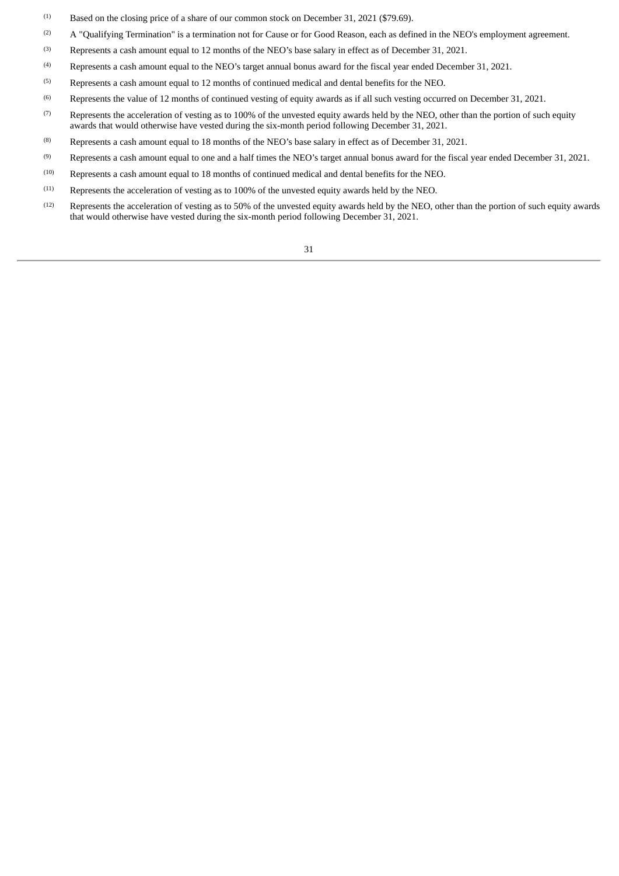- Based on the closing price of a share of our common stock on December 31, 2021 (\$79.69). (1)
- A "Qualifying Termination" is a termination not for Cause or for Good Reason, each as defined in the NEO's employment agreement. (2)
- Represents a cash amount equal to 12 months of the NEO's base salary in effect as of December 31, 2021. (3)
- Represents a cash amount equal to the NEO's target annual bonus award for the fiscal year ended December 31, 2021. (4)
- Represents a cash amount equal to 12 months of continued medical and dental benefits for the NEO. (5)
- Represents the value of 12 months of continued vesting of equity awards as if all such vesting occurred on December 31, 2021. (6)
- Represents the acceleration of vesting as to 100% of the unvested equity awards held by the NEO, other than the portion of such equity awards that would otherwise have vested during the six-month period following December 31, 2021. (7)
- Represents a cash amount equal to 18 months of the NEO's base salary in effect as of December 31, 2021. (8)
- Represents a cash amount equal to one and a half times the NEO's target annual bonus award for the fiscal year ended December 31, 2021. (9)
- Represents a cash amount equal to 18 months of continued medical and dental benefits for the NEO. (10)
- Represents the acceleration of vesting as to 100% of the unvested equity awards held by the NEO. (11)
- Represents the acceleration of vesting as to 50% of the unvested equity awards held by the NEO, other than the portion of such equity awards that would otherwise have vested during the six-month period following December 31, 2021. (12)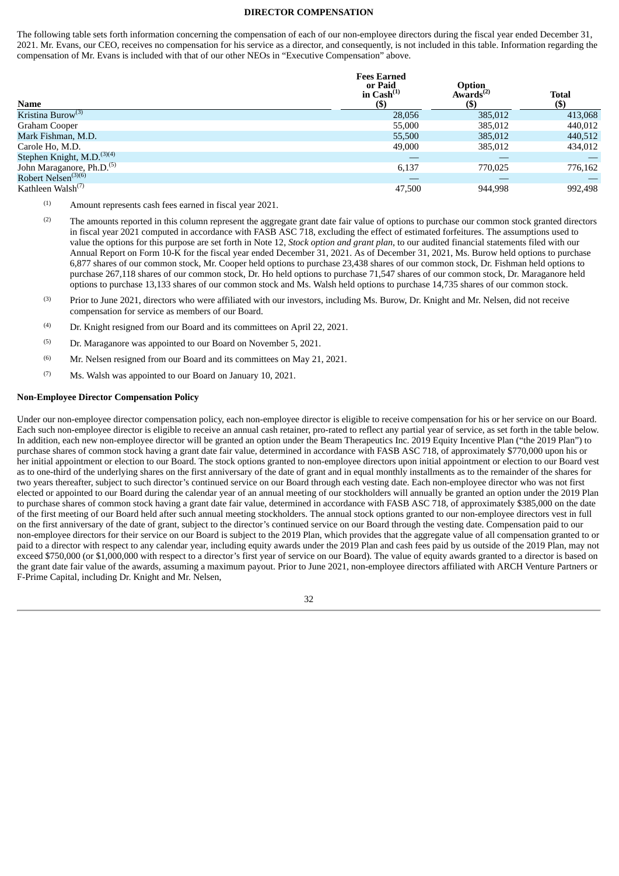#### **DIRECTOR COMPENSATION**

<span id="page-35-0"></span>The following table sets forth information concerning the compensation of each of our non-employee directors during the fiscal year ended December 31, 2021. Mr. Evans, our CEO, receives no compensation for his service as a director, and consequently, is not included in this table. Information regarding the compensation of Mr. Evans is included with that of our other NEOs in "Executive Compensation" above.

| <b>Name</b>                            | <b>Fees Earned</b><br>or Paid<br>in $\text{Cash}^{(1)}$<br>$($ \$ | Option<br>Awards $^{(2)}$<br>$($ \$ | Total<br>$($ \$) |
|----------------------------------------|-------------------------------------------------------------------|-------------------------------------|------------------|
| Kristina Burow <sup>(3)</sup>          | 28,056                                                            | 385,012                             | 413,068          |
| Graham Cooper                          | 55,000                                                            | 385,012                             | 440,012          |
| Mark Fishman, M.D.                     | 55,500                                                            | 385,012                             | 440,512          |
| Carole Ho, M.D.                        | 49,000                                                            | 385,012                             | 434,012          |
| Stephen Knight, M.D. <sup>(3)(4)</sup> |                                                                   |                                     |                  |
| John Maraganore, Ph.D. <sup>(5)</sup>  | 6,137                                                             | 770,025                             | 776,162          |
| Robert Nelsen <sup>(3)(6)</sup>        |                                                                   |                                     |                  |
| Kathleen Walsh <sup>(7)</sup>          | 47,500                                                            | 944.998                             | 992.498          |

- Amount represents cash fees earned in fiscal year 2021. (1)
- The amounts reported in this column represent the aggregate grant date fair value of options to purchase our common stock granted directors in fiscal year 2021 computed in accordance with FASB ASC 718, excluding the effect of estimated forfeitures. The assumptions used to value the options for this purpose are set forth in Note 12, *Stock option and grant plan*, to our audited financial statements filed with our Annual Report on Form 10-K for the fiscal year ended December 31, 2021. As of December 31, 2021, Ms. Burow held options to purchase 6,877 shares of our common stock, Mr. Cooper held options to purchase 23,438 shares of our common stock, Dr. Fishman held options to purchase 267,118 shares of our common stock, Dr. Ho held options to purchase 71,547 shares of our common stock, Dr. Maraganore held options to purchase 13,133 shares of our common stock and Ms. Walsh held options to purchase 14,735 shares of our common stock. (2)
- Prior to June 2021, directors who were affiliated with our investors, including Ms. Burow, Dr. Knight and Mr. Nelsen, did not receive compensation for service as members of our Board. (3)
- Dr. Knight resigned from our Board and its committees on April 22, 2021. (4)
- Dr. Maraganore was appointed to our Board on November 5, 2021. (5)
- Mr. Nelsen resigned from our Board and its committees on May 21, 2021. (6)
- Ms. Walsh was appointed to our Board on January 10, 2021. (7)

#### **Non-Employee Director Compensation Policy**

Under our non-employee director compensation policy, each non-employee director is eligible to receive compensation for his or her service on our Board. Each such non-employee director is eligible to receive an annual cash retainer, pro-rated to reflect any partial year of service, as set forth in the table below. In addition, each new non-employee director will be granted an option under the Beam Therapeutics Inc. 2019 Equity Incentive Plan ("the 2019 Plan") to purchase shares of common stock having a grant date fair value, determined in accordance with FASB ASC 718, of approximately \$770,000 upon his or her initial appointment or election to our Board. The stock options granted to non-employee directors upon initial appointment or election to our Board vest as to one-third of the underlying shares on the first anniversary of the date of grant and in equal monthly installments as to the remainder of the shares for two years thereafter, subject to such director's continued service on our Board through each vesting date. Each non-employee director who was not first elected or appointed to our Board during the calendar year of an annual meeting of our stockholders will annually be granted an option under the 2019 Plan to purchase shares of common stock having a grant date fair value, determined in accordance with FASB ASC 718, of approximately \$385,000 on the date of the first meeting of our Board held after such annual meeting stockholders. The annual stock options granted to our non-employee directors vest in full on the first anniversary of the date of grant, subject to the director's continued service on our Board through the vesting date. Compensation paid to our non-employee directors for their service on our Board is subject to the 2019 Plan, which provides that the aggregate value of all compensation granted to or paid to a director with respect to any calendar year, including equity awards under the 2019 Plan and cash fees paid by us outside of the 2019 Plan, may not exceed \$750,000 (or \$1,000,000 with respect to a director's first year of service on our Board). The value of equity awards granted to a director is based on the grant date fair value of the awards, assuming a maximum payout. Prior to June 2021, non-employee directors affiliated with ARCH Venture Partners or F-Prime Capital, including Dr. Knight and Mr. Nelsen,

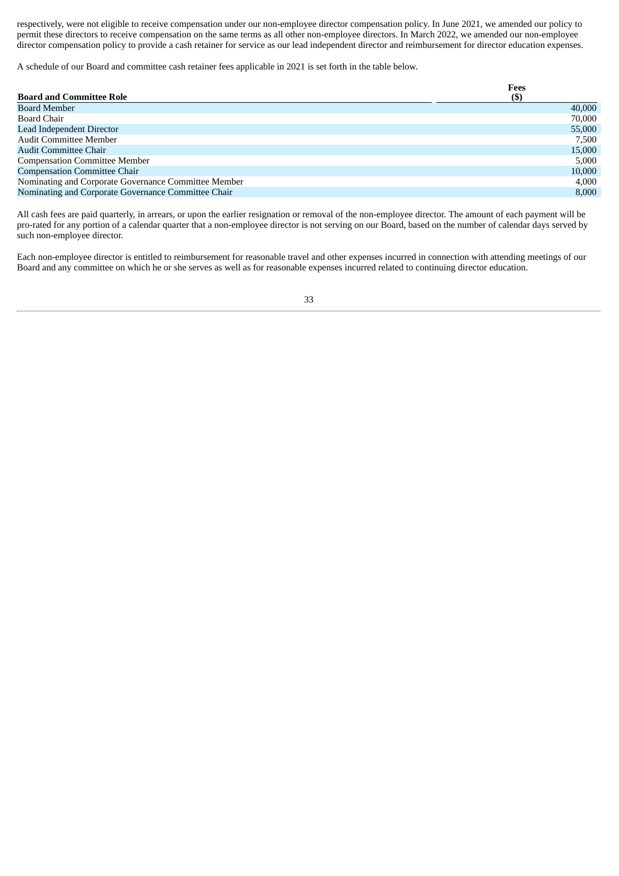respectively, were not eligible to receive compensation under our non-employee director compensation policy. In June 2021, we amended our policy to permit these directors to receive compensation on the same terms as all other non-employee directors. In March 2022, we amended our non-employee director compensation policy to provide a cash retainer for service as our lead independent director and reimbursement for director education expenses.

A schedule of our Board and committee cash retainer fees applicable in 2021 is set forth in the table below.

|                                                      | Fees   |
|------------------------------------------------------|--------|
| <b>Board and Committee Role</b>                      | $(\$)$ |
| <b>Board Member</b>                                  | 40,000 |
| Board Chair                                          | 70,000 |
| Lead Independent Director                            | 55,000 |
| <b>Audit Committee Member</b>                        | 7,500  |
| Audit Committee Chair                                | 15,000 |
| <b>Compensation Committee Member</b>                 | 5.000  |
| <b>Compensation Committee Chair</b>                  | 10,000 |
| Nominating and Corporate Governance Committee Member | 4,000  |
| Nominating and Corporate Governance Committee Chair  | 8,000  |
|                                                      |        |

All cash fees are paid quarterly, in arrears, or upon the earlier resignation or removal of the non-employee director. The amount of each payment will be pro-rated for any portion of a calendar quarter that a non-employee director is not serving on our Board, based on the number of calendar days served by such non-employee director.

Each non-employee director is entitled to reimbursement for reasonable travel and other expenses incurred in connection with attending meetings of our Board and any committee on which he or she serves as well as for reasonable expenses incurred related to continuing director education.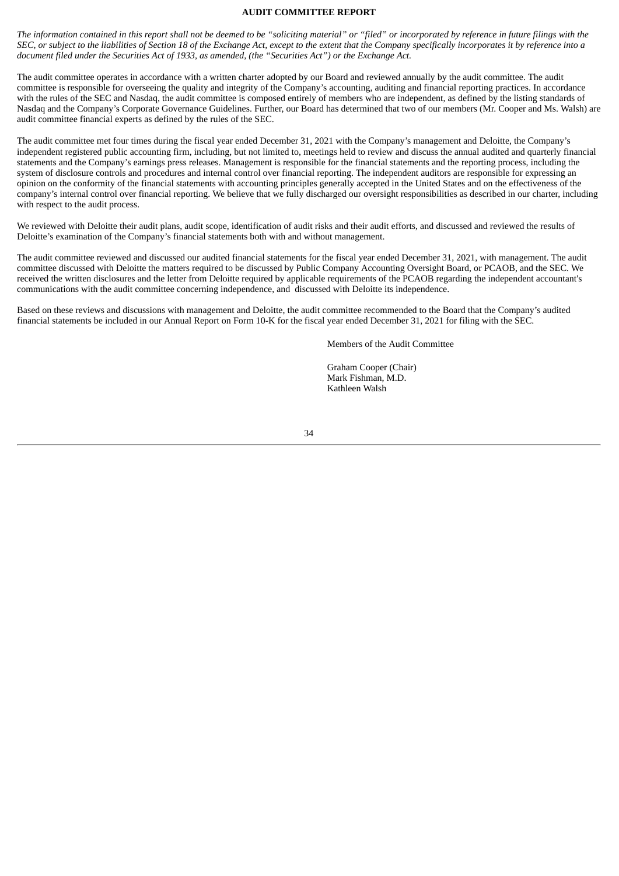#### **AUDIT COMMITTEE REPORT**

<span id="page-37-0"></span>The information contained in this report shall not be deemed to be "soliciting material" or "filed" or incorporated by reference in future filings with the SEC, or subject to the liabilities of Section 18 of the Exchange Act, except to the extent that the Company specifically incorporates it by reference into a *document filed under the Securities Act of 1933, as amended, (the "Securities Act") or the Exchange Act.*

The audit committee operates in accordance with a written charter adopted by our Board and reviewed annually by the audit committee. The audit committee is responsible for overseeing the quality and integrity of the Company's accounting, auditing and financial reporting practices. In accordance with the rules of the SEC and Nasdaq, the audit committee is composed entirely of members who are independent, as defined by the listing standards of Nasdaq and the Company's Corporate Governance Guidelines. Further, our Board has determined that two of our members (Mr. Cooper and Ms. Walsh) are audit committee financial experts as defined by the rules of the SEC.

The audit committee met four times during the fiscal year ended December 31, 2021 with the Company's management and Deloitte, the Company's independent registered public accounting firm, including, but not limited to, meetings held to review and discuss the annual audited and quarterly financial statements and the Company's earnings press releases. Management is responsible for the financial statements and the reporting process, including the system of disclosure controls and procedures and internal control over financial reporting. The independent auditors are responsible for expressing an opinion on the conformity of the financial statements with accounting principles generally accepted in the United States and on the effectiveness of the company's internal control over financial reporting. We believe that we fully discharged our oversight responsibilities as described in our charter, including with respect to the audit process.

We reviewed with Deloitte their audit plans, audit scope, identification of audit risks and their audit efforts, and discussed and reviewed the results of Deloitte's examination of the Company's financial statements both with and without management.

The audit committee reviewed and discussed our audited financial statements for the fiscal year ended December 31, 2021, with management. The audit committee discussed with Deloitte the matters required to be discussed by Public Company Accounting Oversight Board, or PCAOB, and the SEC. We received the written disclosures and the letter from Deloitte required by applicable requirements of the PCAOB regarding the independent accountant's communications with the audit committee concerning independence, and discussed with Deloitte its independence.

Based on these reviews and discussions with management and Deloitte, the audit committee recommended to the Board that the Company's audited financial statements be included in our Annual Report on Form 10-K for the fiscal year ended December 31, 2021 for filing with the SEC.

Members of the Audit Committee

Graham Cooper (Chair) Mark Fishman, M.D. Kathleen Walsh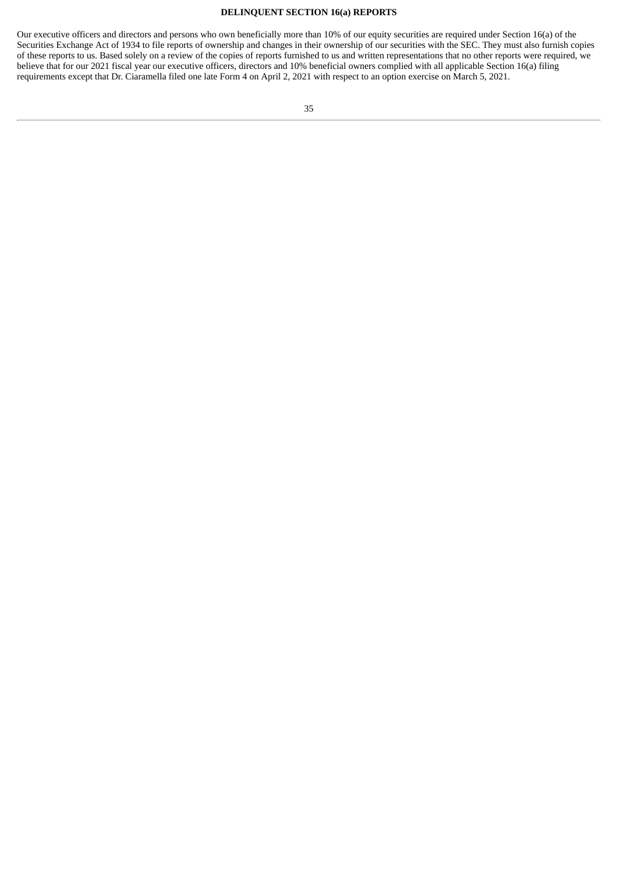#### **DELINQUENT SECTION 16(a) REPORTS**

<span id="page-38-0"></span>Our executive officers and directors and persons who own beneficially more than 10% of our equity securities are required under Section 16(a) of the Securities Exchange Act of 1934 to file reports of ownership and changes in their ownership of our securities with the SEC. They must also furnish copies of these reports to us. Based solely on a review of the copies of reports furnished to us and written representations that no other reports were required, we believe that for our 2021 fiscal year our executive officers, directors and 10% beneficial owners complied with all applicable Section 16(a) filing requirements except that Dr. Ciaramella filed one late Form 4 on April 2, 2021 with respect to an option exercise on March 5, 2021.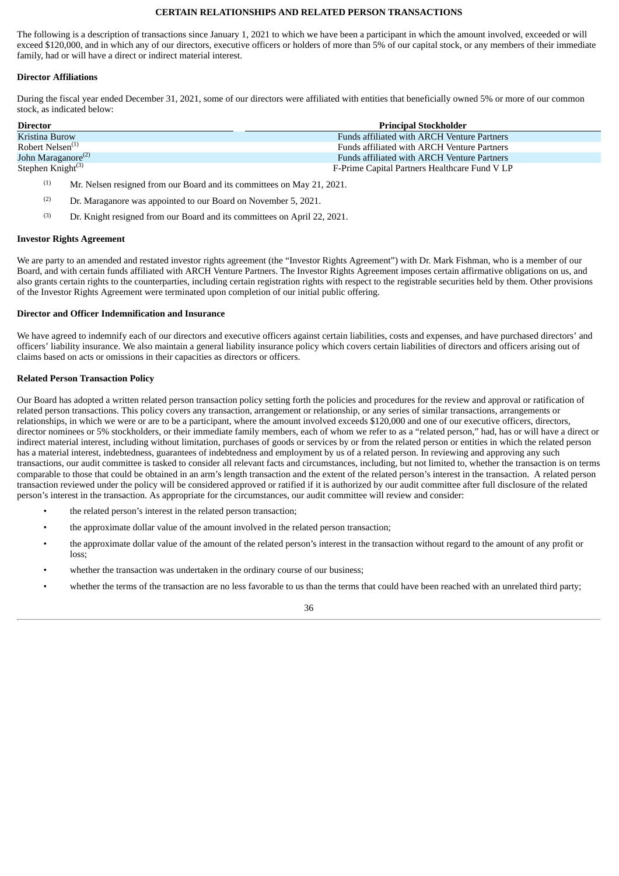#### **CERTAIN RELATIONSHIPS AND RELATED PERSON TRANSACTIONS**

<span id="page-39-0"></span>The following is a description of transactions since January 1, 2021 to which we have been a participant in which the amount involved, exceeded or will exceed \$120,000, and in which any of our directors, executive officers or holders of more than 5% of our capital stock, or any members of their immediate family, had or will have a direct or indirect material interest.

#### **Director Affiliations**

During the fiscal year ended December 31, 2021, some of our directors were affiliated with entities that beneficially owned 5% or more of our common stock, as indicated below:

| <b>Director</b>                | <b>Principal Stockholder</b>                       |
|--------------------------------|----------------------------------------------------|
| Kristina Burow                 | <b>Funds affiliated with ARCH Venture Partners</b> |
| Robert Nelsen <sup>(1)</sup>   | <b>Funds affiliated with ARCH Venture Partners</b> |
| John Maraganore <sup>(2)</sup> | <b>Funds affiliated with ARCH Venture Partners</b> |
| Stephen Knight $(3)$           | F-Prime Capital Partners Healthcare Fund V LP      |

- Mr. Nelsen resigned from our Board and its committees on May 21, 2021. (1)
- Dr. Maraganore was appointed to our Board on November 5, 2021. (2)
- Dr. Knight resigned from our Board and its committees on April 22, 2021. (3)

#### **Investor Rights Agreement**

We are party to an amended and restated investor rights agreement (the "Investor Rights Agreement") with Dr. Mark Fishman, who is a member of our Board, and with certain funds affiliated with ARCH Venture Partners. The Investor Rights Agreement imposes certain affirmative obligations on us, and also grants certain rights to the counterparties, including certain registration rights with respect to the registrable securities held by them. Other provisions of the Investor Rights Agreement were terminated upon completion of our initial public offering.

#### **Director and Officer Indemnification and Insurance**

We have agreed to indemnify each of our directors and executive officers against certain liabilities, costs and expenses, and have purchased directors' and officers' liability insurance. We also maintain a general liability insurance policy which covers certain liabilities of directors and officers arising out of claims based on acts or omissions in their capacities as directors or officers.

#### **Related Person Transaction Policy**

Our Board has adopted a written related person transaction policy setting forth the policies and procedures for the review and approval or ratification of related person transactions. This policy covers any transaction, arrangement or relationship, or any series of similar transactions, arrangements or relationships, in which we were or are to be a participant, where the amount involved exceeds \$120,000 and one of our executive officers, directors, director nominees or 5% stockholders, or their immediate family members, each of whom we refer to as a "related person," had, has or will have a direct or indirect material interest, including without limitation, purchases of goods or services by or from the related person or entities in which the related person has a material interest, indebtedness, guarantees of indebtedness and employment by us of a related person. In reviewing and approving any such transactions, our audit committee is tasked to consider all relevant facts and circumstances, including, but not limited to, whether the transaction is on terms comparable to those that could be obtained in an arm's length transaction and the extent of the related person's interest in the transaction. A related person transaction reviewed under the policy will be considered approved or ratified if it is authorized by our audit committee after full disclosure of the related person's interest in the transaction. As appropriate for the circumstances, our audit committee will review and consider:

- the related person's interest in the related person transaction;
- the approximate dollar value of the amount involved in the related person transaction;
- the approximate dollar value of the amount of the related person's interest in the transaction without regard to the amount of any profit or loss;
- whether the transaction was undertaken in the ordinary course of our business;
- whether the terms of the transaction are no less favorable to us than the terms that could have been reached with an unrelated third party;

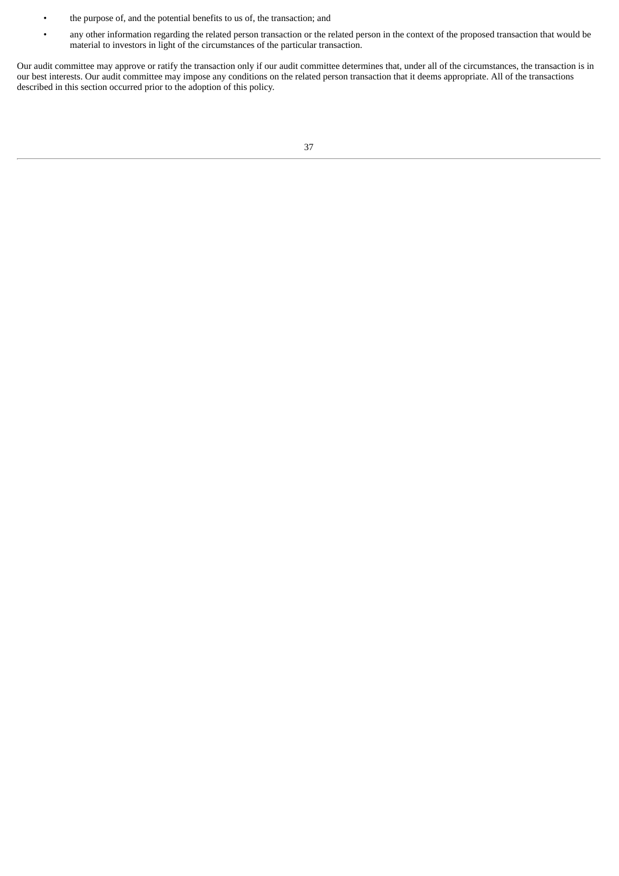- the purpose of, and the potential benefits to us of, the transaction; and
- any other information regarding the related person transaction or the related person in the context of the proposed transaction that would be material to investors in light of the circumstances of the particular transaction.

Our audit committee may approve or ratify the transaction only if our audit committee determines that, under all of the circumstances, the transaction is in our best interests. Our audit committee may impose any conditions on the related person transaction that it deems appropriate. All of the transactions described in this section occurred prior to the adoption of this policy.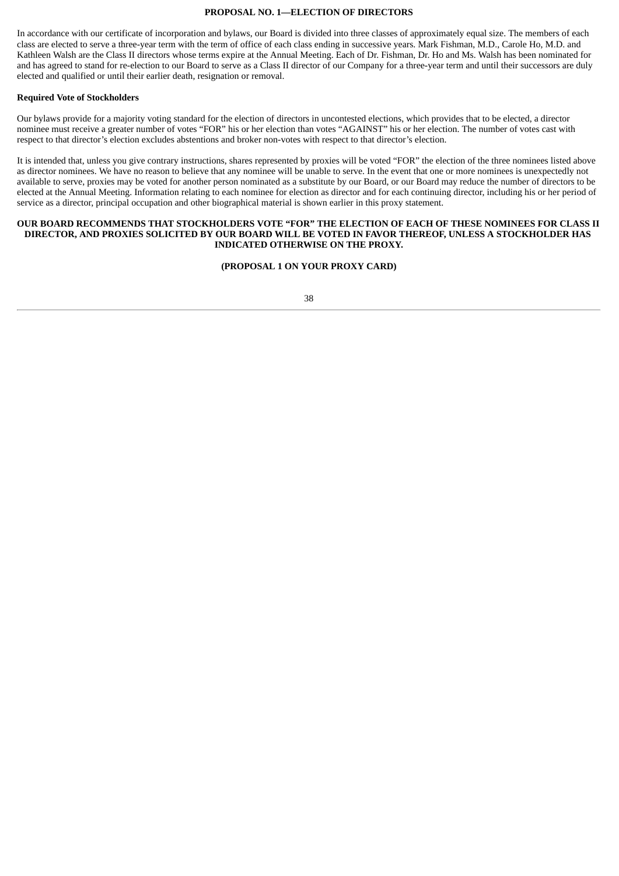#### **PROPOSAL NO. 1—ELECTION OF DIRECTORS**

<span id="page-41-0"></span>In accordance with our certificate of incorporation and bylaws, our Board is divided into three classes of approximately equal size. The members of each class are elected to serve a three-year term with the term of office of each class ending in successive years. Mark Fishman, M.D., Carole Ho, M.D. and Kathleen Walsh are the Class II directors whose terms expire at the Annual Meeting. Each of Dr. Fishman, Dr. Ho and Ms. Walsh has been nominated for and has agreed to stand for re-election to our Board to serve as a Class II director of our Company for a three-year term and until their successors are duly elected and qualified or until their earlier death, resignation or removal.

#### **Required Vote of Stockholders**

Our bylaws provide for a majority voting standard for the election of directors in uncontested elections, which provides that to be elected, a director nominee must receive a greater number of votes "FOR" his or her election than votes "AGAINST" his or her election. The number of votes cast with respect to that director's election excludes abstentions and broker non-votes with respect to that director's election.

It is intended that, unless you give contrary instructions, shares represented by proxies will be voted "FOR" the election of the three nominees listed above as director nominees. We have no reason to believe that any nominee will be unable to serve. In the event that one or more nominees is unexpectedly not available to serve, proxies may be voted for another person nominated as a substitute by our Board, or our Board may reduce the number of directors to be elected at the Annual Meeting. Information relating to each nominee for election as director and for each continuing director, including his or her period of service as a director, principal occupation and other biographical material is shown earlier in this proxy statement.

#### **OUR BOARD RECOMMENDS THAT STOCKHOLDERS VOTE "FOR" THE ELECTION OF EACH OF THESE NOMINEES FOR CLASS II DIRECTOR, AND PROXIES SOLICITED BY OUR BOARD WILL BE VOTED IN FAVOR THEREOF, UNLESS A STOCKHOLDER HAS INDICATED OTHERWISE ON THE PROXY.**

#### **(PROPOSAL 1 ON YOUR PROXY CARD)**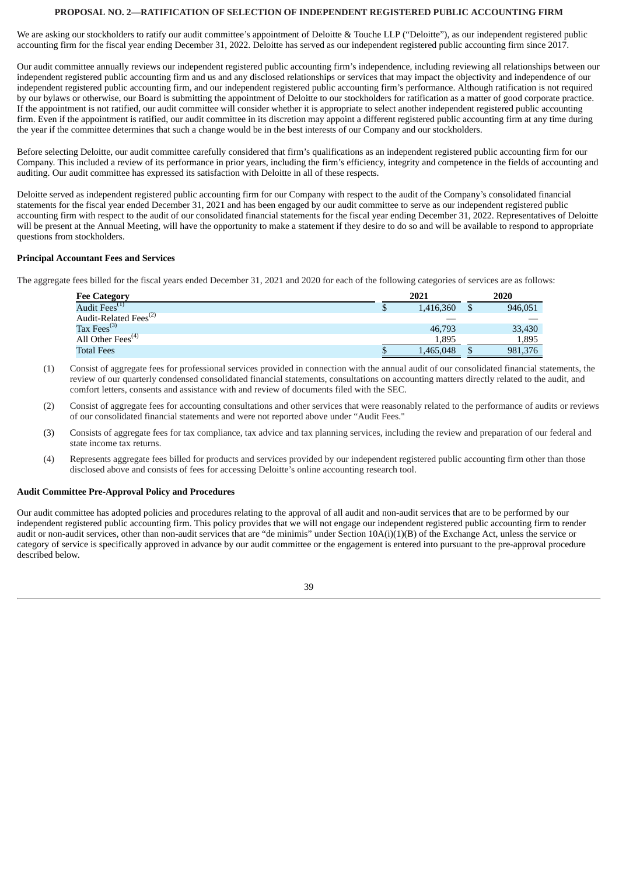#### **PROPOSAL NO. 2—RATIFICATION OF SELECTION OF INDEPENDENT REGISTERED PUBLIC ACCOUNTING FIRM**

<span id="page-42-0"></span>We are asking our stockholders to ratify our audit committee's appointment of Deloitte & Touche LLP ("Deloitte"), as our independent registered public accounting firm for the fiscal year ending December 31, 2022. Deloitte has served as our independent registered public accounting firm since 2017.

Our audit committee annually reviews our independent registered public accounting firm's independence, including reviewing all relationships between our independent registered public accounting firm and us and any disclosed relationships or services that may impact the objectivity and independence of our independent registered public accounting firm, and our independent registered public accounting firm's performance. Although ratification is not required by our bylaws or otherwise, our Board is submitting the appointment of Deloitte to our stockholders for ratification as a matter of good corporate practice. If the appointment is not ratified, our audit committee will consider whether it is appropriate to select another independent registered public accounting firm. Even if the appointment is ratified, our audit committee in its discretion may appoint a different registered public accounting firm at any time during the year if the committee determines that such a change would be in the best interests of our Company and our stockholders.

Before selecting Deloitte, our audit committee carefully considered that firm's qualifications as an independent registered public accounting firm for our Company. This included a review of its performance in prior years, including the firm's efficiency, integrity and competence in the fields of accounting and auditing. Our audit committee has expressed its satisfaction with Deloitte in all of these respects.

Deloitte served as independent registered public accounting firm for our Company with respect to the audit of the Company's consolidated financial statements for the fiscal year ended December 31, 2021 and has been engaged by our audit committee to serve as our independent registered public accounting firm with respect to the audit of our consolidated financial statements for the fiscal year ending December 31, 2022. Representatives of Deloitte will be present at the Annual Meeting, will have the opportunity to make a statement if they desire to do so and will be available to respond to appropriate questions from stockholders.

#### **Principal Accountant Fees and Services**

The aggregate fees billed for the fiscal years ended December 31, 2021 and 2020 for each of the following categories of services are as follows:

| <b>Fee Category</b>               | 2021      |   | 2020    |
|-----------------------------------|-----------|---|---------|
| Audit Fees <sup>(1)</sup>         | 1,416,360 | J | 946,051 |
| Audit-Related Fees <sup>(2)</sup> |           |   |         |
| Tax Fees $^{(3)}$                 | 46,793    |   | 33,430  |
| All Other Fees <sup>(4)</sup>     | 1.895     |   | 1,895   |
| <b>Total Fees</b>                 | 1,465,048 |   | 981,376 |

- (1) Consist of aggregate fees for professional services provided in connection with the annual audit of our consolidated financial statements, the review of our quarterly condensed consolidated financial statements, consultations on accounting matters directly related to the audit, and comfort letters, consents and assistance with and review of documents filed with the SEC.
- (2) Consist of aggregate fees for accounting consultations and other services that were reasonably related to the performance of audits or reviews of our consolidated financial statements and were not reported above under "Audit Fees."
- (3) Consists of aggregate fees for tax compliance, tax advice and tax planning services, including the review and preparation of our federal and state income tax returns.
- (4) Represents aggregate fees billed for products and services provided by our independent registered public accounting firm other than those disclosed above and consists of fees for accessing Deloitte's online accounting research tool.

#### **Audit Committee Pre-Approval Policy and Procedures**

Our audit committee has adopted policies and procedures relating to the approval of all audit and non-audit services that are to be performed by our independent registered public accounting firm. This policy provides that we will not engage our independent registered public accounting firm to render audit or non-audit services, other than non-audit services that are "de minimis" under Section 10A(i)(1)(B) of the Exchange Act, unless the service or category of service is specifically approved in advance by our audit committee or the engagement is entered into pursuant to the pre-approval procedure described below.

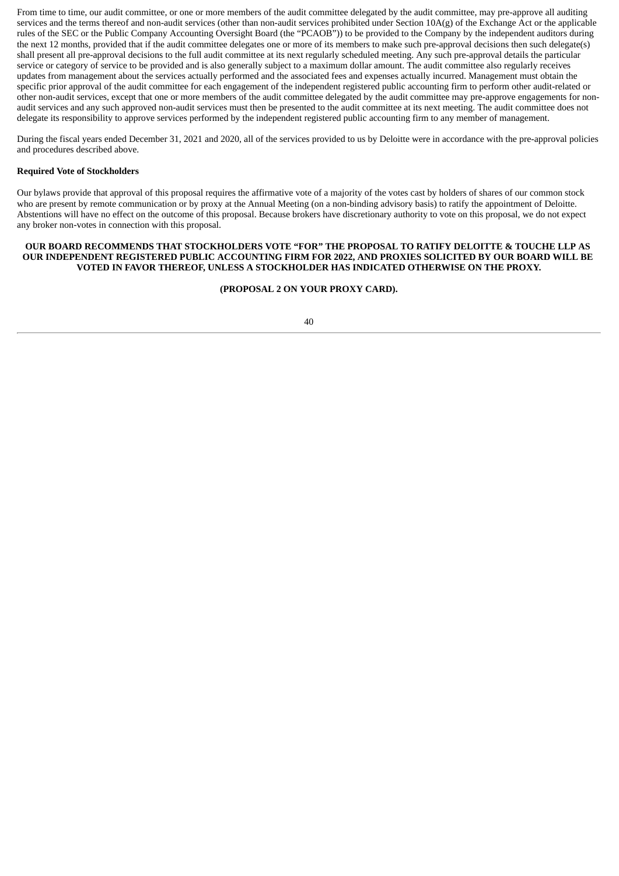From time to time, our audit committee, or one or more members of the audit committee delegated by the audit committee, may pre-approve all auditing services and the terms thereof and non-audit services (other than non-audit services prohibited under Section  $10A(g)$  of the Exchange Act or the applicable rules of the SEC or the Public Company Accounting Oversight Board (the "PCAOB")) to be provided to the Company by the independent auditors during the next 12 months, provided that if the audit committee delegates one or more of its members to make such pre-approval decisions then such delegate(s) shall present all pre-approval decisions to the full audit committee at its next regularly scheduled meeting. Any such pre-approval details the particular service or category of service to be provided and is also generally subject to a maximum dollar amount. The audit committee also regularly receives updates from management about the services actually performed and the associated fees and expenses actually incurred. Management must obtain the specific prior approval of the audit committee for each engagement of the independent registered public accounting firm to perform other audit-related or other non-audit services, except that one or more members of the audit committee delegated by the audit committee may pre-approve engagements for nonaudit services and any such approved non-audit services must then be presented to the audit committee at its next meeting. The audit committee does not delegate its responsibility to approve services performed by the independent registered public accounting firm to any member of management.

During the fiscal years ended December 31, 2021 and 2020, all of the services provided to us by Deloitte were in accordance with the pre-approval policies and procedures described above.

#### **Required Vote of Stockholders**

Our bylaws provide that approval of this proposal requires the affirmative vote of a majority of the votes cast by holders of shares of our common stock who are present by remote communication or by proxy at the Annual Meeting (on a non-binding advisory basis) to ratify the appointment of Deloitte. Abstentions will have no effect on the outcome of this proposal. Because brokers have discretionary authority to vote on this proposal, we do not expect any broker non-votes in connection with this proposal.

#### **OUR BOARD RECOMMENDS THAT STOCKHOLDERS VOTE "FOR" THE PROPOSAL TO RATIFY DELOITTE & TOUCHE LLP AS OUR INDEPENDENT REGISTERED PUBLIC ACCOUNTING FIRM FOR 2022, AND PROXIES SOLICITED BY OUR BOARD WILL BE VOTED IN FAVOR THEREOF, UNLESS A STOCKHOLDER HAS INDICATED OTHERWISE ON THE PROXY.**

#### **(PROPOSAL 2 ON YOUR PROXY CARD).**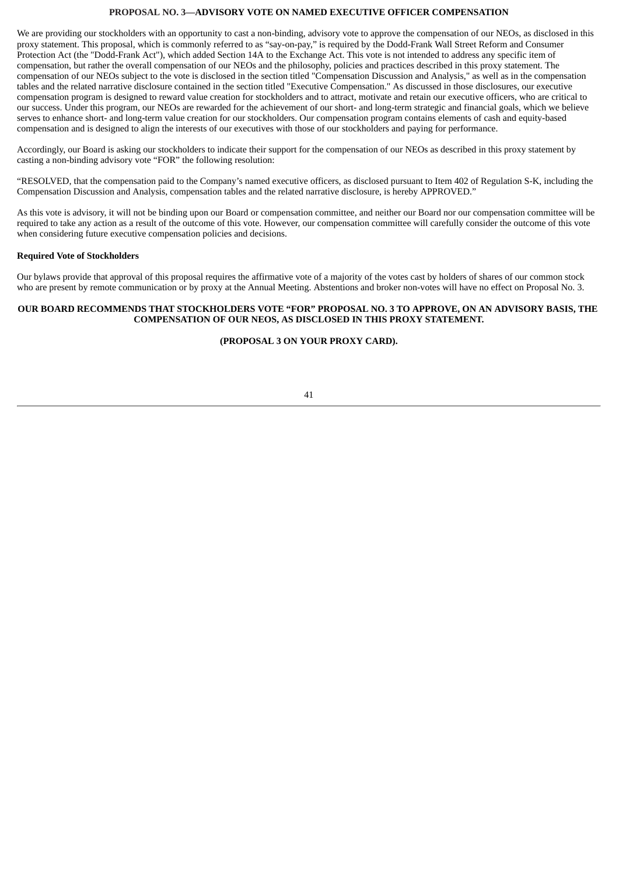#### **PROPOSAL NO. 3—ADVISORY VOTE ON NAMED EXECUTIVE OFFICER COMPENSATION**

<span id="page-44-0"></span>We are providing our stockholders with an opportunity to cast a non-binding, advisory vote to approve the compensation of our NEOs, as disclosed in this proxy statement. This proposal, which is commonly referred to as "say-on-pay," is required by the Dodd-Frank Wall Street Reform and Consumer Protection Act (the "Dodd-Frank Act"), which added Section 14A to the Exchange Act. This vote is not intended to address any specific item of compensation, but rather the overall compensation of our NEOs and the philosophy, policies and practices described in this proxy statement. The compensation of our NEOs subject to the vote is disclosed in the section titled "Compensation Discussion and Analysis," as well as in the compensation tables and the related narrative disclosure contained in the section titled "Executive Compensation." As discussed in those disclosures, our executive compensation program is designed to reward value creation for stockholders and to attract, motivate and retain our executive officers, who are critical to our success. Under this program, our NEOs are rewarded for the achievement of our short- and long-term strategic and financial goals, which we believe serves to enhance short- and long-term value creation for our stockholders. Our compensation program contains elements of cash and equity-based compensation and is designed to align the interests of our executives with those of our stockholders and paying for performance.

Accordingly, our Board is asking our stockholders to indicate their support for the compensation of our NEOs as described in this proxy statement by casting a non-binding advisory vote "FOR" the following resolution:

"RESOLVED, that the compensation paid to the Company's named executive officers, as disclosed pursuant to Item 402 of Regulation S-K, including the Compensation Discussion and Analysis, compensation tables and the related narrative disclosure, is hereby APPROVED."

As this vote is advisory, it will not be binding upon our Board or compensation committee, and neither our Board nor our compensation committee will be required to take any action as a result of the outcome of this vote. However, our compensation committee will carefully consider the outcome of this vote when considering future executive compensation policies and decisions.

#### **Required Vote of Stockholders**

Our bylaws provide that approval of this proposal requires the affirmative vote of a majority of the votes cast by holders of shares of our common stock who are present by remote communication or by proxy at the Annual Meeting. Abstentions and broker non-votes will have no effect on Proposal No. 3.

#### **OUR BOARD RECOMMENDS THAT STOCKHOLDERS VOTE "FOR" PROPOSAL NO. 3 TO APPROVE, ON AN ADVISORY BASIS, THE COMPENSATION OF OUR NEOS, AS DISCLOSED IN THIS PROXY STATEMENT.**

#### **(PROPOSAL 3 ON YOUR PROXY CARD).**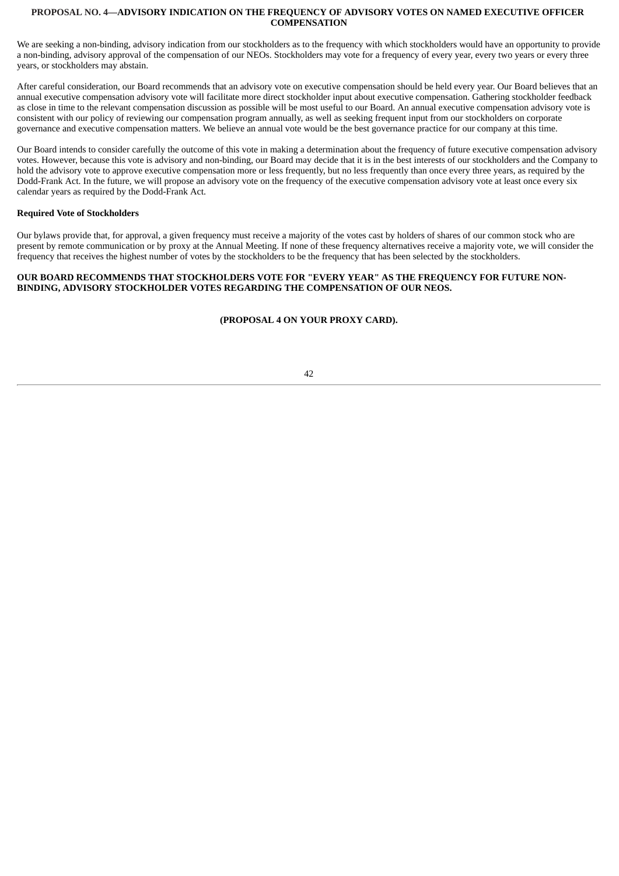#### <span id="page-45-0"></span>**PROPOSAL NO. 4—ADVISORY INDICATION ON THE FREQUENCY OF ADVISORY VOTES ON NAMED EXECUTIVE OFFICER COMPENSATION**

We are seeking a non-binding, advisory indication from our stockholders as to the frequency with which stockholders would have an opportunity to provide a non-binding, advisory approval of the compensation of our NEOs. Stockholders may vote for a frequency of every year, every two years or every three years, or stockholders may abstain.

After careful consideration, our Board recommends that an advisory vote on executive compensation should be held every year. Our Board believes that an annual executive compensation advisory vote will facilitate more direct stockholder input about executive compensation. Gathering stockholder feedback as close in time to the relevant compensation discussion as possible will be most useful to our Board. An annual executive compensation advisory vote is consistent with our policy of reviewing our compensation program annually, as well as seeking frequent input from our stockholders on corporate governance and executive compensation matters. We believe an annual vote would be the best governance practice for our company at this time.

Our Board intends to consider carefully the outcome of this vote in making a determination about the frequency of future executive compensation advisory votes. However, because this vote is advisory and non-binding, our Board may decide that it is in the best interests of our stockholders and the Company to hold the advisory vote to approve executive compensation more or less frequently, but no less frequently than once every three years, as required by the Dodd-Frank Act. In the future, we will propose an advisory vote on the frequency of the executive compensation advisory vote at least once every six calendar years as required by the Dodd-Frank Act.

#### **Required Vote of Stockholders**

Our bylaws provide that, for approval, a given frequency must receive a majority of the votes cast by holders of shares of our common stock who are present by remote communication or by proxy at the Annual Meeting. If none of these frequency alternatives receive a majority vote, we will consider the frequency that receives the highest number of votes by the stockholders to be the frequency that has been selected by the stockholders.

#### **OUR BOARD RECOMMENDS THAT STOCKHOLDERS VOTE FOR "EVERY YEAR" AS THE FREQUENCY FOR FUTURE NON-BINDING, ADVISORY STOCKHOLDER VOTES REGARDING THE COMPENSATION OF OUR NEOS.**

#### **(PROPOSAL 4 ON YOUR PROXY CARD).**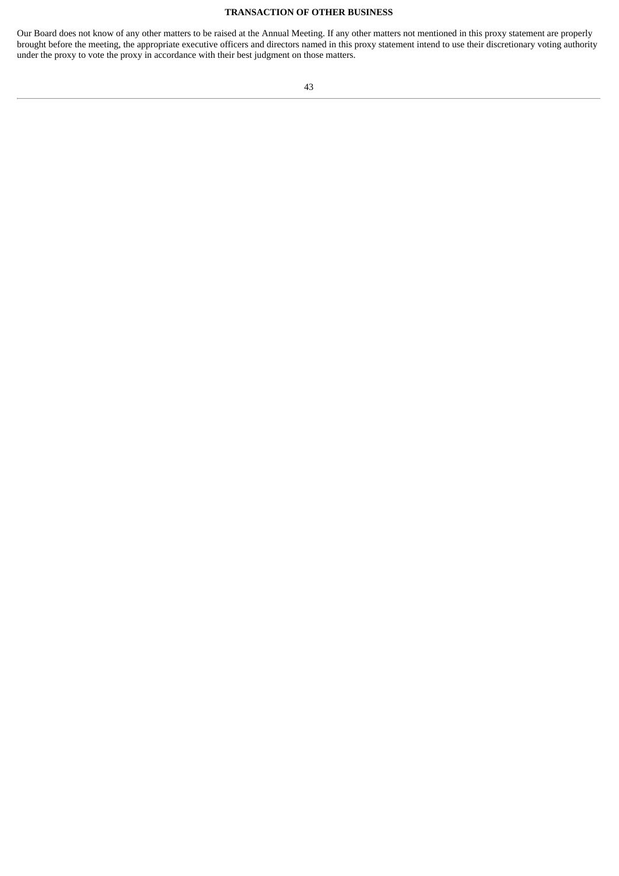#### **TRANSACTION OF OTHER BUSINESS**

Our Board does not know of any other matters to be raised at the Annual Meeting. If any other matters not mentioned in this proxy statement are properly brought before the meeting, the appropriate executive officers and directors named in this proxy statement intend to use their discretionary voting authority under the proxy to vote the proxy in accordance with their best judgment on those matters.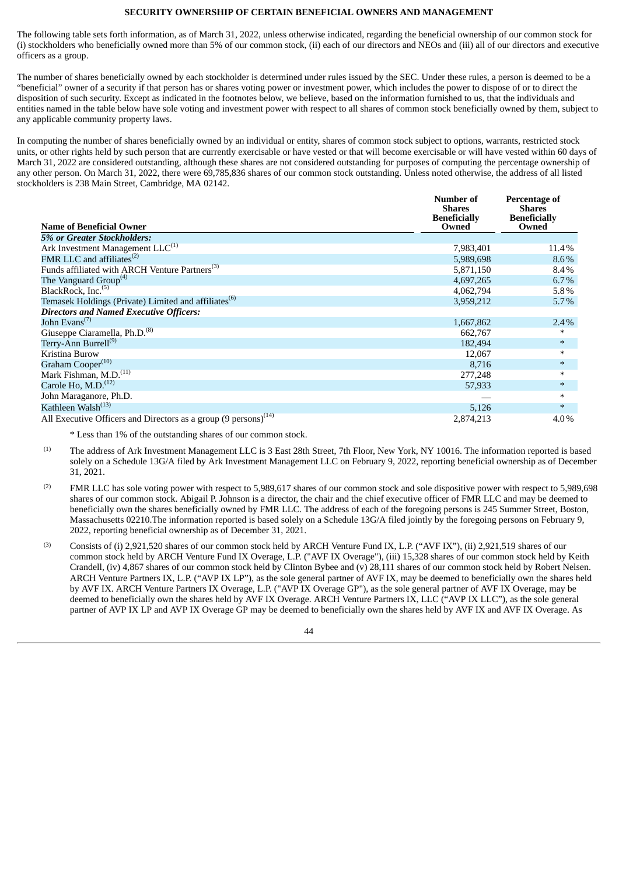#### **SECURITY OWNERSHIP OF CERTAIN BENEFICIAL OWNERS AND MANAGEMENT**

<span id="page-47-0"></span>The following table sets forth information, as of March 31, 2022, unless otherwise indicated, regarding the beneficial ownership of our common stock for (i) stockholders who beneficially owned more than 5% of our common stock, (ii) each of our directors and NEOs and (iii) all of our directors and executive officers as a group.

The number of shares beneficially owned by each stockholder is determined under rules issued by the SEC. Under these rules, a person is deemed to be a "beneficial" owner of a security if that person has or shares voting power or investment power, which includes the power to dispose of or to direct the disposition of such security. Except as indicated in the footnotes below, we believe, based on the information furnished to us, that the individuals and entities named in the table below have sole voting and investment power with respect to all shares of common stock beneficially owned by them, subject to any applicable community property laws.

In computing the number of shares beneficially owned by an individual or entity, shares of common stock subject to options, warrants, restricted stock units, or other rights held by such person that are currently exercisable or have vested or that will become exercisable or will have vested within 60 days of March 31, 2022 are considered outstanding, although these shares are not considered outstanding for purposes of computing the percentage ownership of any other person. On March 31, 2022, there were 69,785,836 shares of our common stock outstanding. Unless noted otherwise, the address of all listed stockholders is 238 Main Street, Cambridge, MA 02142.

| <b>Name of Beneficial Owner</b>                                             | Number of<br><b>Shares</b><br><b>Beneficially</b><br>Owned | <b>Percentage of</b><br><b>Shares</b><br><b>Beneficially</b><br>Owned |
|-----------------------------------------------------------------------------|------------------------------------------------------------|-----------------------------------------------------------------------|
| 5% or Greater Stockholders:                                                 |                                                            |                                                                       |
|                                                                             |                                                            |                                                                       |
| Ark Investment Management $LLC^{(1)}$                                       | 7,983,401                                                  | 11.4%                                                                 |
| FMR LLC and affiliates <sup>(2)</sup>                                       | 5,989,698                                                  | $8.6\%$                                                               |
| Funds affiliated with ARCH Venture Partners <sup>(3)</sup>                  | 5,871,150                                                  | 8.4%                                                                  |
| The Vanguard Group <sup>(4)</sup>                                           | 4,697,265                                                  | 6.7%                                                                  |
| BlackRock, Inc. <sup>(5)</sup>                                              | 4,062,794                                                  | 5.8%                                                                  |
| Temasek Holdings (Private) Limited and affiliates <sup>(b)</sup>            | 3,959,212                                                  | 5.7%                                                                  |
| <b>Directors and Named Executive Officers:</b>                              |                                                            |                                                                       |
| John Evans <sup>(7)</sup>                                                   | 1,667,862                                                  | 2.4%                                                                  |
| Giuseppe Ciaramella, Ph.D. <sup>(8)</sup>                                   | 662,767                                                    | $\ast$                                                                |
| Terry-Ann Burrell <sup>(9)</sup>                                            | 182,494                                                    | $\ast$                                                                |
| Kristina Burow                                                              | 12,067                                                     | $\ast$                                                                |
| Graham Cooper <sup>(10)</sup>                                               | 8,716                                                      | $\ast$                                                                |
| Mark Fishman, M.D. <sup>(11)</sup>                                          | 277,248                                                    | $\ast$                                                                |
| Carole Ho, M.D. <sup>(12)</sup>                                             | 57,933                                                     | $\ast$                                                                |
| John Maraganore, Ph.D.                                                      |                                                            | $\ast$                                                                |
| Kathleen Walsh <sup>(13)</sup>                                              | 5,126                                                      | $\ast$                                                                |
| All Executive Officers and Directors as a group (9 persons) <sup>(14)</sup> | 2,874,213                                                  | 4.0%                                                                  |

\* Less than 1% of the outstanding shares of our common stock.

- The address of Ark Investment Management LLC is 3 East 28th Street, 7th Floor, New York, NY 10016. The information reported is based solely on a Schedule 13G/A filed by Ark Investment Management LLC on February 9, 2022, reporting beneficial ownership as of December 31, 2021. (1)
- FMR LLC has sole voting power with respect to 5,989,617 shares of our common stock and sole dispositive power with respect to 5,989,698 shares of our common stock. Abigail P. Johnson is a director, the chair and the chief executive officer of FMR LLC and may be deemed to beneficially own the shares beneficially owned by FMR LLC. The address of each of the foregoing persons is 245 Summer Street, Boston, Massachusetts 02210.The information reported is based solely on a Schedule 13G/A filed jointly by the foregoing persons on February 9, 2022, reporting beneficial ownership as of December 31, 2021. (2)
- Consists of (i) 2,921,520 shares of our common stock held by ARCH Venture Fund IX, L.P. ("AVF IX"), (ii) 2,921,519 shares of our common stock held by ARCH Venture Fund IX Overage, L.P. ("AVF IX Overage"), (iii) 15,328 shares of our common stock held by Keith Crandell, (iv) 4,867 shares of our common stock held by Clinton Bybee and (v) 28,111 shares of our common stock held by Robert Nelsen. ARCH Venture Partners IX, L.P. ("AVP IX LP"), as the sole general partner of AVF IX, may be deemed to beneficially own the shares held by AVF IX. ARCH Venture Partners IX Overage, L.P. ("AVP IX Overage GP"), as the sole general partner of AVF IX Overage, may be deemed to beneficially own the shares held by AVF IX Overage. ARCH Venture Partners IX, LLC ("AVP IX LLC"), as the sole general partner of AVP IX LP and AVP IX Overage GP may be deemed to beneficially own the shares held by AVF IX and AVF IX Overage. As (3)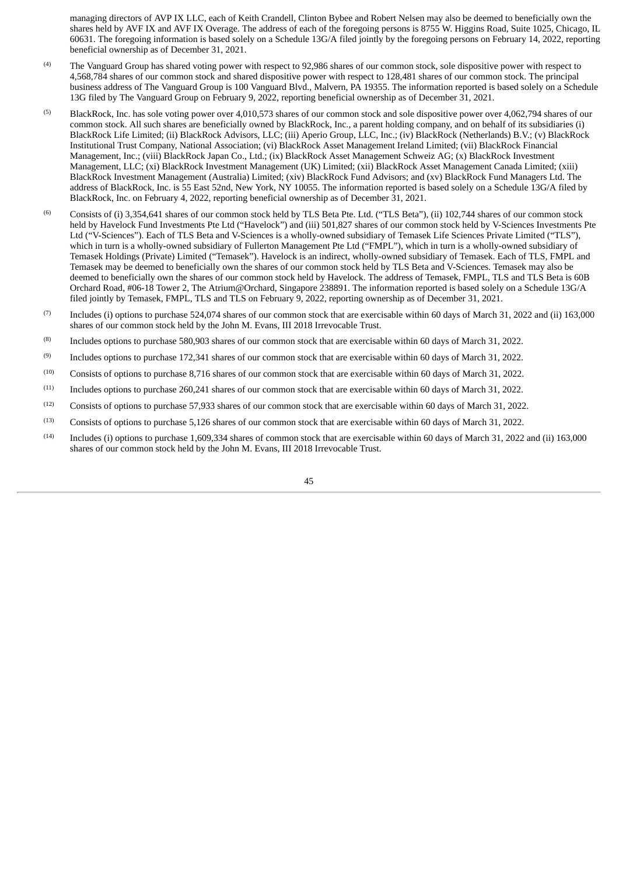managing directors of AVP IX LLC, each of Keith Crandell, Clinton Bybee and Robert Nelsen may also be deemed to beneficially own the shares held by AVF IX and AVF IX Overage. The address of each of the foregoing persons is 8755 W. Higgins Road, Suite 1025, Chicago, IL 60631. The foregoing information is based solely on a Schedule 13G/A filed jointly by the foregoing persons on February 14, 2022, reporting beneficial ownership as of December 31, 2021.

- The Vanguard Group has shared voting power with respect to 92,986 shares of our common stock, sole dispositive power with respect to 4,568,784 shares of our common stock and shared dispositive power with respect to 128,481 shares of our common stock. The principal business address of The Vanguard Group is 100 Vanguard Blvd., Malvern, PA 19355. The information reported is based solely on a Schedule 13G filed by The Vanguard Group on February 9, 2022, reporting beneficial ownership as of December 31, 2021. (4)
- BlackRock, Inc. has sole voting power over 4,010,573 shares of our common stock and sole dispositive power over 4,062,794 shares of our common stock. All such shares are beneficially owned by BlackRock, Inc., a parent holding company, and on behalf of its subsidiaries (i) BlackRock Life Limited; (ii) BlackRock Advisors, LLC; (iii) Aperio Group, LLC, Inc.; (iv) BlackRock (Netherlands) B.V.; (v) BlackRock Institutional Trust Company, National Association; (vi) BlackRock Asset Management Ireland Limited; (vii) BlackRock Financial Management, Inc.; (viii) BlackRock Japan Co., Ltd.; (ix) BlackRock Asset Management Schweiz AG; (x) BlackRock Investment Management, LLC; (xi) BlackRock Investment Management (UK) Limited; (xii) BlackRock Asset Management Canada Limited; (xiii) BlackRock Investment Management (Australia) Limited; (xiv) BlackRock Fund Advisors; and (xv) BlackRock Fund Managers Ltd. The address of BlackRock, Inc. is 55 East 52nd, New York, NY 10055. The information reported is based solely on a Schedule 13G/A filed by BlackRock, Inc. on February 4, 2022, reporting beneficial ownership as of December 31, 2021. (5)
- Consists of (i) 3,354,641 shares of our common stock held by TLS Beta Pte. Ltd. ("TLS Beta"), (ii) 102,744 shares of our common stock held by Havelock Fund Investments Pte Ltd ("Havelock") and (iii) 501,827 shares of our common stock held by V-Sciences Investments Pte Ltd ("V-Sciences"). Each of TLS Beta and V-Sciences is a wholly-owned subsidiary of Temasek Life Sciences Private Limited ("TLS"), which in turn is a wholly-owned subsidiary of Fullerton Management Pte Ltd ("FMPL"), which in turn is a wholly-owned subsidiary of Temasek Holdings (Private) Limited ("Temasek"). Havelock is an indirect, wholly-owned subsidiary of Temasek. Each of TLS, FMPL and Temasek may be deemed to beneficially own the shares of our common stock held by TLS Beta and V-Sciences. Temasek may also be deemed to beneficially own the shares of our common stock held by Havelock. The address of Temasek, FMPL, TLS and TLS Beta is 60B Orchard Road, #06-18 Tower 2, The Atrium@Orchard, Singapore 238891. The information reported is based solely on a Schedule 13G/A filed jointly by Temasek, FMPL, TLS and TLS on February 9, 2022, reporting ownership as of December 31, 2021. (6)
- Includes (i) options to purchase 524,074 shares of our common stock that are exercisable within 60 days of March 31, 2022 and (ii) 163,000 shares of our common stock held by the John M. Evans, III 2018 Irrevocable Trust. (7)
- Includes options to purchase 580,903 shares of our common stock that are exercisable within 60 days of March 31, 2022. (8)
- Includes options to purchase 172,341 shares of our common stock that are exercisable within 60 days of March 31, 2022. (9)
- Consists of options to purchase 8,716 shares of our common stock that are exercisable within 60 days of March 31, 2022. (10)
- Includes options to purchase 260,241 shares of our common stock that are exercisable within 60 days of March 31, 2022. (11)
- Consists of options to purchase 57,933 shares of our common stock that are exercisable within 60 days of March 31, 2022. (12)
- Consists of options to purchase 5,126 shares of our common stock that are exercisable within 60 days of March 31, 2022. (13)
- Includes (i) options to purchase 1,609,334 shares of common stock that are exercisable within 60 days of March 31, 2022 and (ii) 163,000 shares of our common stock held by the John M. Evans, III 2018 Irrevocable Trust. (14)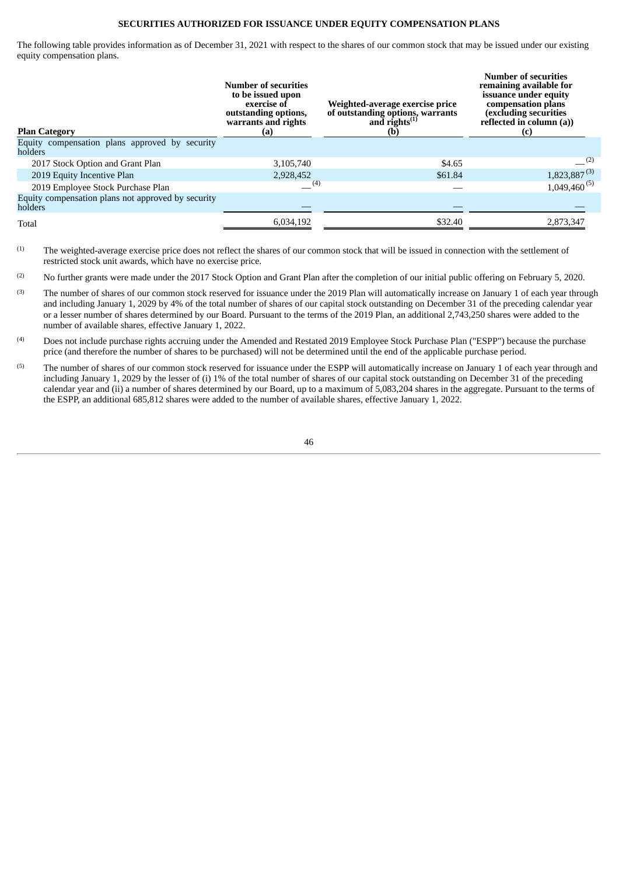#### **SECURITIES AUTHORIZED FOR ISSUANCE UNDER EQUITY COMPENSATION PLANS**

<span id="page-49-0"></span>The following table provides information as of December 31, 2021 with respect to the shares of our common stock that may be issued under our existing equity compensation plans.

| holders<br>$-^{(2)}$<br>2017 Stock Option and Grant Plan<br>\$4.65<br>3,105,740<br>$1,823,887^{(3)}$<br>2019 Equity Incentive Plan<br>\$61.84<br>2,928,452<br>$1,049,460^{(5)}$<br>(4)<br>2019 Employee Stock Purchase Plan<br>Equity compensation plans not approved by security<br>holders<br>\$32.40<br>2,873,347<br>6,034,192<br>Total | <b>Plan Category</b>                           | Number of securities<br>to be issued upon<br>exercise of<br>outstanding options,<br>warrants and rights<br>(a) | Weighted-average exercise price<br>of outstanding options, warrants<br>and rights <sup>(1)</sup><br>(b) | <b>Number of securities</b><br>remaining available for<br>issuance under equity<br>compensation plans<br>(excluding securities<br>reflected in column (a))<br>(c) |
|--------------------------------------------------------------------------------------------------------------------------------------------------------------------------------------------------------------------------------------------------------------------------------------------------------------------------------------------|------------------------------------------------|----------------------------------------------------------------------------------------------------------------|---------------------------------------------------------------------------------------------------------|-------------------------------------------------------------------------------------------------------------------------------------------------------------------|
|                                                                                                                                                                                                                                                                                                                                            | Equity compensation plans approved by security |                                                                                                                |                                                                                                         |                                                                                                                                                                   |
|                                                                                                                                                                                                                                                                                                                                            |                                                |                                                                                                                |                                                                                                         |                                                                                                                                                                   |
|                                                                                                                                                                                                                                                                                                                                            |                                                |                                                                                                                |                                                                                                         |                                                                                                                                                                   |
|                                                                                                                                                                                                                                                                                                                                            |                                                |                                                                                                                |                                                                                                         |                                                                                                                                                                   |
|                                                                                                                                                                                                                                                                                                                                            |                                                |                                                                                                                |                                                                                                         |                                                                                                                                                                   |
|                                                                                                                                                                                                                                                                                                                                            |                                                |                                                                                                                |                                                                                                         |                                                                                                                                                                   |

The weighted-average exercise price does not reflect the shares of our common stock that will be issued in connection with the settlement of restricted stock unit awards, which have no exercise price.  $(1)$ 

No further grants were made under the 2017 Stock Option and Grant Plan after the completion of our initial public offering on February 5, 2020.  $(2)$ 

- The number of shares of our common stock reserved for issuance under the 2019 Plan will automatically increase on January 1 of each year through and including January 1, 2029 by 4% of the total number of shares of our capital stock outstanding on December 31 of the preceding calendar year or a lesser number of shares determined by our Board. Pursuant to the terms of the 2019 Plan, an additional 2,743,250 shares were added to the number of available shares, effective January 1, 2022. (3)
- Does not include purchase rights accruing under the Amended and Restated 2019 Employee Stock Purchase Plan ("ESPP") because the purchase price (and therefore the number of shares to be purchased) will not be determined until the end of the applicable purchase period. (4)
- The number of shares of our common stock reserved for issuance under the ESPP will automatically increase on January 1 of each year through and including January 1, 2029 by the lesser of (i) 1% of the total number of shares of our capital stock outstanding on December 31 of the preceding calendar year and (ii) a number of shares determined by our Board, up to a maximum of 5,083,204 shares in the aggregate. Pursuant to the terms of the ESPP, an additional 685,812 shares were added to the number of available shares, effective January 1, 2022. (5)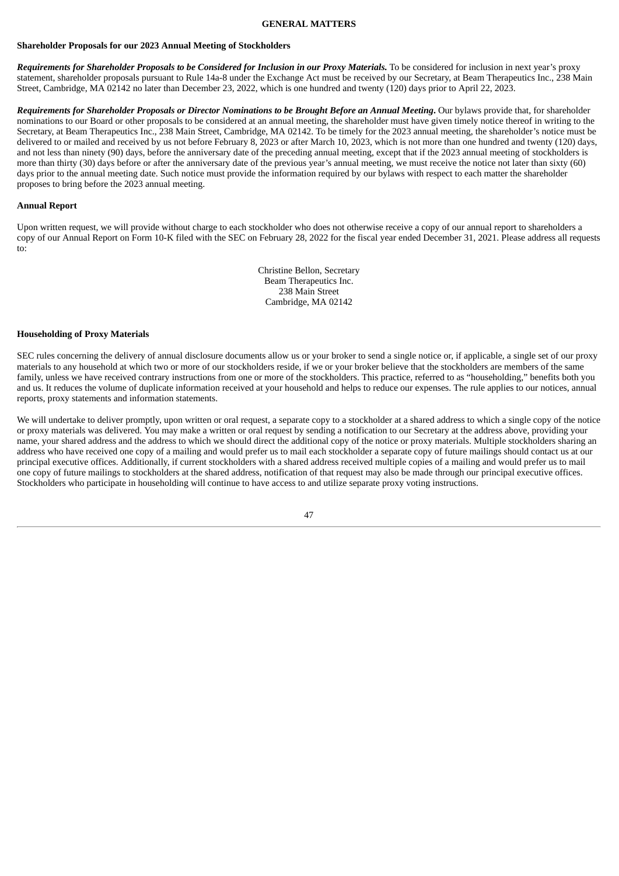#### **GENERAL MATTERS**

#### <span id="page-50-0"></span>**Shareholder Proposals for our 2023 Annual Meeting of Stockholders**

Requirements for Shareholder Proposals to be Considered for Inclusion in our Proxy Materials. To be considered for inclusion in next year's proxy statement, shareholder proposals pursuant to Rule 14a-8 under the Exchange Act must be received by our Secretary, at Beam Therapeutics Inc., 238 Main Street, Cambridge, MA 02142 no later than December 23, 2022, which is one hundred and twenty (120) days prior to April 22, 2023.

Requirements for Shareholder Proposals or Director Nominations to be Brought Before an Annual Meeting. Our bylaws provide that, for shareholder nominations to our Board or other proposals to be considered at an annual meeting, the shareholder must have given timely notice thereof in writing to the Secretary, at Beam Therapeutics Inc., 238 Main Street, Cambridge, MA 02142. To be timely for the 2023 annual meeting, the shareholder's notice must be delivered to or mailed and received by us not before February 8, 2023 or after March 10, 2023, which is not more than one hundred and twenty (120) days, and not less than ninety (90) days, before the anniversary date of the preceding annual meeting, except that if the 2023 annual meeting of stockholders is more than thirty (30) days before or after the anniversary date of the previous year's annual meeting, we must receive the notice not later than sixty (60) days prior to the annual meeting date. Such notice must provide the information required by our bylaws with respect to each matter the shareholder proposes to bring before the 2023 annual meeting.

#### **Annual Report**

Upon written request, we will provide without charge to each stockholder who does not otherwise receive a copy of our annual report to shareholders a copy of our Annual Report on Form 10-K filed with the SEC on February 28, 2022 for the fiscal year ended December 31, 2021. Please address all requests to:

> Christine Bellon, Secretary Beam Therapeutics Inc. 238 Main Street Cambridge, MA 02142

#### **Householding of Proxy Materials**

SEC rules concerning the delivery of annual disclosure documents allow us or your broker to send a single notice or, if applicable, a single set of our proxy materials to any household at which two or more of our stockholders reside, if we or your broker believe that the stockholders are members of the same family, unless we have received contrary instructions from one or more of the stockholders. This practice, referred to as "householding," benefits both you and us. It reduces the volume of duplicate information received at your household and helps to reduce our expenses. The rule applies to our notices, annual reports, proxy statements and information statements.

We will undertake to deliver promptly, upon written or oral request, a separate copy to a stockholder at a shared address to which a single copy of the notice or proxy materials was delivered. You may make a written or oral request by sending a notification to our Secretary at the address above, providing your name, your shared address and the address to which we should direct the additional copy of the notice or proxy materials. Multiple stockholders sharing an address who have received one copy of a mailing and would prefer us to mail each stockholder a separate copy of future mailings should contact us at our principal executive offices. Additionally, if current stockholders with a shared address received multiple copies of a mailing and would prefer us to mail one copy of future mailings to stockholders at the shared address, notification of that request may also be made through our principal executive offices. Stockholders who participate in householding will continue to have access to and utilize separate proxy voting instructions.

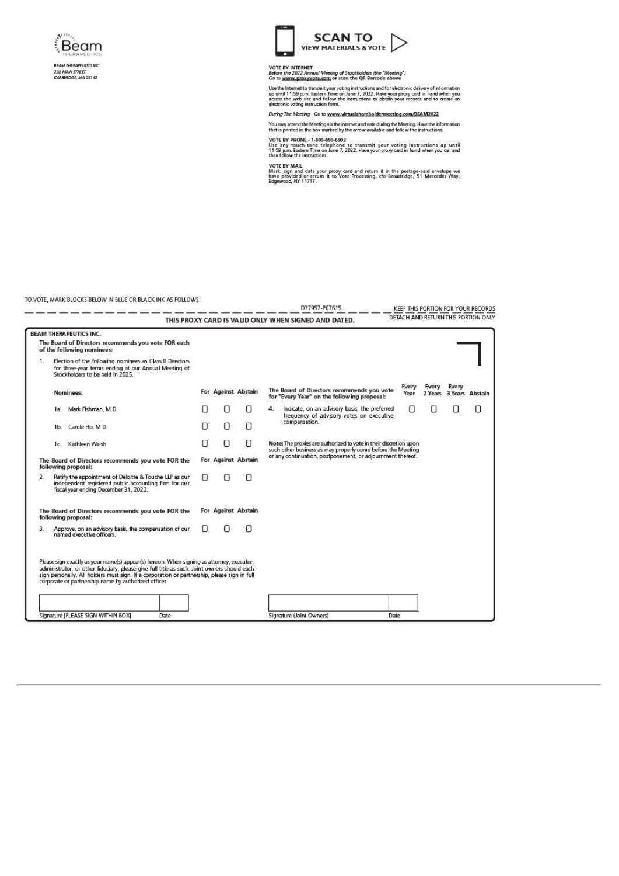

238 MAIN STREET<br>CAMBRIDGE, MA 02142



# VOTE BY INTERNET<br>Before the 2022 Annual Meeting of Stockholders (the "Meeting")<br>Go to <u>www.proxyvote.com</u> or scan the QR Barcode above

Use the Internet to transmit your voting instructions and for electronic delivery of information up until 11:59 p.m. Eastern Time on June 7, 2022. Have your proxy card in hand when you access the web site and follow the in

#### During The Meeting - Go to www.virtualshareholdermeeting.com/BEAM2022

You may attend the Meeting via the Internet and vote during the Meeting. Have the information<br>that is printed in the box marked by the arrow available and follow the instructions.

VOTE BY PHONE - 1-800-690-6903<br>Use any touch-tone telephone to transmit your voting instructions up until<br>11:59 p.m. Eastern Time on lune 7, 2022. Have your proxy card in hand when you call and<br>then follow the instructions

VOTE BY MAIL<br>Mark, sign and date your proxy card and return it in the postage-paid envelope we<br>have provided or return it to Vote Processing, c/o Broadridge, 51 Mercedes Way,<br>Edgewood, NY 11717.

TO VOTE, MARK BLOCKS BELOW IN BLUE OR BLACK INK AS FOLLOWS:

|               |                                                                                                                                                      |                                                                                                                                                                                                                                                     |      |   |                     |   |               | D77957-P67615                                                                                                                    | KEEP THIS PORTION FOR YOUR RECORDS  |       |       |                         |
|---------------|------------------------------------------------------------------------------------------------------------------------------------------------------|-----------------------------------------------------------------------------------------------------------------------------------------------------------------------------------------------------------------------------------------------------|------|---|---------------------|---|---------------|----------------------------------------------------------------------------------------------------------------------------------|-------------------------------------|-------|-------|-------------------------|
|               |                                                                                                                                                      |                                                                                                                                                                                                                                                     |      |   |                     |   |               | THIS PROXY CARD IS VALID ONLY WHEN SIGNED AND DATED.                                                                             | DETACH AND RETURN THIS PORTION ONLY |       |       |                         |
|               |                                                                                                                                                      | <b>BEAM THERAPEUTICS INC.</b>                                                                                                                                                                                                                       |      |   |                     |   |               |                                                                                                                                  |                                     |       |       |                         |
|               |                                                                                                                                                      | The Board of Directors recommends you vote FOR each<br>of the following nominees:                                                                                                                                                                   |      |   |                     |   |               |                                                                                                                                  |                                     |       |       |                         |
| 1<br>2.<br>3. | Election of the following nominees as Class II Directors<br>for three-year terms ending at our Annual Meeting of<br>Stockholders to be held in 2025. |                                                                                                                                                                                                                                                     |      |   |                     |   |               |                                                                                                                                  |                                     |       |       |                         |
|               |                                                                                                                                                      | Nominees:                                                                                                                                                                                                                                           |      |   | For Against Abstain |   |               | The Board of Directors recommends you vote<br>for "Every Year" on the following proposal:                                        | Every<br>Year                       | Every | Every | 2 Years 3 Years Abstain |
|               |                                                                                                                                                      | 1a. Mark Fishman, M.D.                                                                                                                                                                                                                              |      |   | Π                   | O | 4.            | Indicate, on an advisory basis, the preferred<br>frequency of advisory votes on executive                                        | 0                                   | П     | n     | 0                       |
|               |                                                                                                                                                      | 1b. Carole Ho, M.D.                                                                                                                                                                                                                                 |      |   | Π                   | O | compensation. |                                                                                                                                  |                                     |       |       |                         |
|               |                                                                                                                                                      | 1c. Kathleen Walsh                                                                                                                                                                                                                                  |      | 0 | O                   | п |               | Note: The proxies are authorized to vote in their discretion upon<br>such other business as may properly come before the Meeting |                                     |       |       |                         |
|               |                                                                                                                                                      | The Board of Directors recommends you vote FOR the<br>following proposal:                                                                                                                                                                           |      |   | For Against Abstain |   |               | or any continuation, postponement, or adjournment thereof.                                                                       |                                     |       |       |                         |
|               |                                                                                                                                                      | Ratify the appointment of Deloitte & Touche LLP as our<br>independent registered public accounting firm for our<br>fiscal year ending December 31, 2022.                                                                                            |      | Π |                     |   |               |                                                                                                                                  |                                     |       |       |                         |
|               |                                                                                                                                                      | The Board of Directors recommends you vote FOR the<br>following proposal:                                                                                                                                                                           |      |   | For Against Abstain |   |               |                                                                                                                                  |                                     |       |       |                         |
|               |                                                                                                                                                      | Approve, on an advisory basis, the compensation of our<br>named executive officers.                                                                                                                                                                 |      |   |                     |   |               |                                                                                                                                  |                                     |       |       |                         |
|               |                                                                                                                                                      | Please sign exactly as your name(s) appear(s) hereon. When signing as attorney, executor,                                                                                                                                                           |      |   |                     |   |               |                                                                                                                                  |                                     |       |       |                         |
|               |                                                                                                                                                      | administrator, or other fiduciary, please give full title as such. Joint owners should each<br>sign personally. All holders must sign. If a corporation or partnership, please sign in full<br>corporate or partnership name by authorized officer. |      |   |                     |   |               |                                                                                                                                  |                                     |       |       |                         |
|               |                                                                                                                                                      |                                                                                                                                                                                                                                                     |      |   |                     |   |               |                                                                                                                                  |                                     |       |       |                         |
|               |                                                                                                                                                      | Signature [PLEASE SIGN WITHIN BOX]                                                                                                                                                                                                                  | Date |   |                     |   |               | Signature (Joint Owners)                                                                                                         | Date                                |       |       |                         |